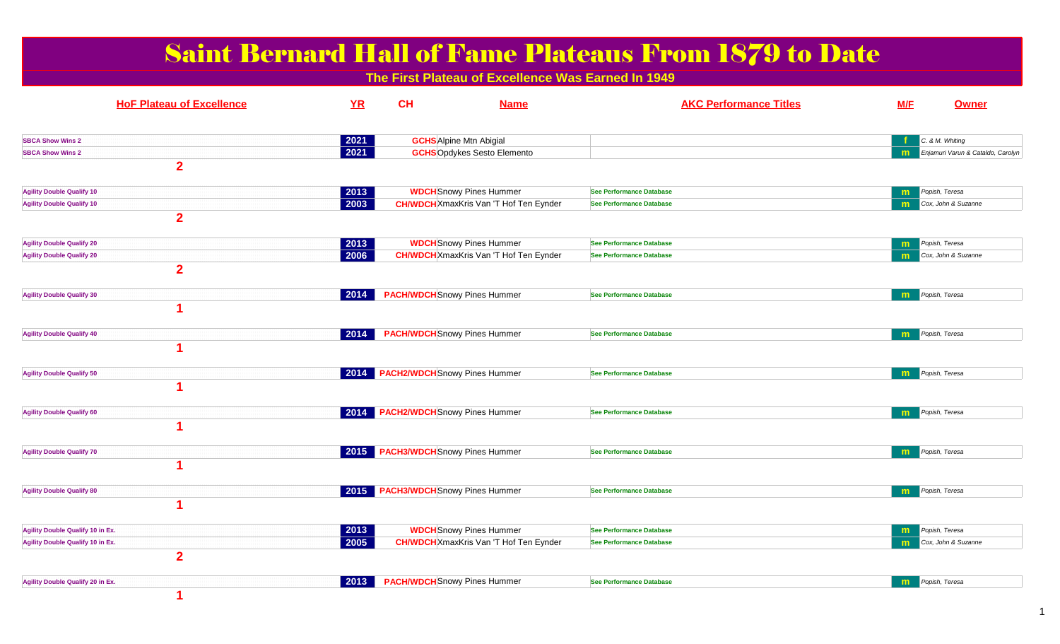| <b>Saint Bernard Hall of Fame Plateaus From 1879 to Date</b><br>The First Plateau of Excellence Was Earned In 1949 |                        |                                          |                                                                                 |                                                                    |                               |                              |                                                      |  |  |
|--------------------------------------------------------------------------------------------------------------------|------------------------|------------------------------------------|---------------------------------------------------------------------------------|--------------------------------------------------------------------|-------------------------------|------------------------------|------------------------------------------------------|--|--|
| <b>HoF Plateau of Excellence</b>                                                                                   | YR                     | CH                                       | <b>Name</b>                                                                     |                                                                    | <b>AKC Performance Titles</b> | M/F                          | <b>Owner</b>                                         |  |  |
| <b>SBCA Show Wins 2</b><br><b>SBCA Show Wins 2</b><br>$\overline{2}$                                               | 2021<br>2021           |                                          | <b>GCHS</b> Alpine Mtn Abigial<br><b>GCHS</b> Opdykes Sesto Elemento            |                                                                    |                               | m                            | C. & M. Whiting<br>Enjamuri Varun & Cataldo, Carolyn |  |  |
| <b>Agility Double Qualify 10</b><br><b>Agility Double Qualify 10</b><br>$\overline{2}$                             | $\boxed{2013}$<br>2003 |                                          | <b>WDCH</b> Snowy Pines Hummer<br><b>CH/WDCH</b> XmaxKris Van 'T Hof Ten Eynder | <b>See Performance Database</b><br><b>See Performance Database</b> |                               | m<br>m                       | Popish, Teresa<br>Cox, John & Suzanne                |  |  |
| <b>Agility Double Qualify 20</b><br><b>Agility Double Qualify 20</b><br>$\overline{2}$                             | $\boxed{2013}$<br>2006 |                                          | <b>WDCH</b> Snowy Pines Hummer<br><b>CH/WDCH</b> XmaxKris Van 'T Hof Ten Eynder | <b>See Performance Database</b><br><b>See Performance Database</b> |                               | $\mathsf{m}$<br>m            | Popish, Teresa<br>Cox, John & Suzanne                |  |  |
| <b>Agility Double Qualify 30</b>                                                                                   | 2014                   | <b>PACH/WDCH</b> Snowy Pines Hummer      |                                                                                 | See Performance Database                                           |                               | m                            | Popish, Teresa                                       |  |  |
| <b>Agility Double Qualify 40</b>                                                                                   | 2014                   | <b>PACH/WDCH</b> Snowy Pines Hummer      |                                                                                 | See Performance Database                                           |                               | m                            | Popish, Teresa                                       |  |  |
| <b>Agility Double Qualify 50</b>                                                                                   | $\vert$ 2014 $\vert$   | <b>PACH2/WDCH</b> Snowy Pines Hummer     |                                                                                 | <b>See Performance Database</b>                                    |                               | m                            | Popish, Teresa                                       |  |  |
| <b>Agility Double Qualify 60</b>                                                                                   |                        | 2014 PACH2/WDCH Snowy Pines Hummer       |                                                                                 | See Performance Database                                           |                               | m                            | Popish, Teresa                                       |  |  |
| <b>Agility Double Qualify 70</b>                                                                                   |                        | 2015 PACH3/WDCH Snowy Pines Hummer       |                                                                                 | <b>See Performance Database</b>                                    |                               | m                            | Popish, Teresa                                       |  |  |
| <b>Agility Double Qualify 80</b>                                                                                   |                        | 2015 PACH3/WDCH Snowy Pines Hummer       |                                                                                 | <b>See Performance Database</b>                                    |                               | m                            | Popish, Teresa                                       |  |  |
| Agility Double Qualify 10 in Ex.<br>Agility Double Qualify 10 in Ex.<br>$\overline{\mathbf{2}}$                    | $ 2013\rangle$<br>2005 |                                          | <b>WDCH</b> Snowy Pines Hummer<br><b>CH/WDCH</b> XmaxKris Van 'T Hof Ten Eynder | <b>See Performance Database</b><br><b>See Performance Database</b> |                               | $\mathbf{m}$<br>$\mathsf{m}$ | Popish, Teresa<br>Cox, John & Suzanne                |  |  |
| <b>Agility Double Qualify 20 in Ex.</b>                                                                            |                        | <b>2013 PACH/WDCH</b> Snowy Pines Hummer |                                                                                 | See Performance Database                                           |                               | m                            | Popish, Teresa                                       |  |  |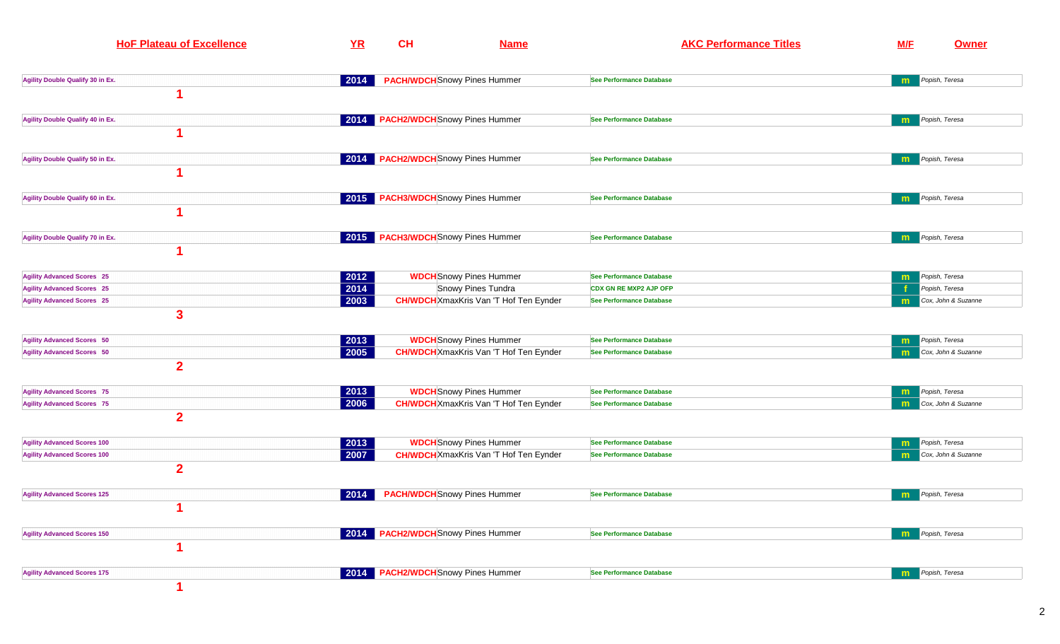| <b>HoF Plateau of Excellence</b>                    | YR   | CH                                  | <b>Name</b>                                   |                                 | <b>AKC Performance Titles</b> | <b>M/F</b>              | Owner               |
|-----------------------------------------------------|------|-------------------------------------|-----------------------------------------------|---------------------------------|-------------------------------|-------------------------|---------------------|
| Agility Double Qualify 30 in Ex.                    |      | <b>PACH/WDCH</b> Snowy Pines Hummer |                                               | <b>See Performance Database</b> |                               | <b>m</b> Popish, Teresa |                     |
|                                                     |      |                                     |                                               |                                 |                               |                         |                     |
| Agility Double Qualify 40 in Ex.                    |      | 2014 PACH2/WDCH Snowy Pines Hummer  |                                               | <b>See Performance Database</b> |                               | m                       | Popish, Teresa      |
|                                                     |      |                                     |                                               |                                 |                               |                         |                     |
| Agility Double Qualify 50 in Ex.                    |      | 2014 PACH2/WDCH Snowy Pines Hummer  |                                               | <b>See Performance Database</b> |                               | m                       | Popish, Teresa      |
|                                                     |      | 2015 PACH3/WDCH Snowy Pines Hummer  |                                               | <b>See Performance Database</b> |                               |                         | Popish, Teresa      |
| Agility Double Qualify 60 in Ex.                    |      |                                     |                                               |                                 |                               | m                       |                     |
| Agility Double Qualify 70 in Ex.                    |      | 2015 PACH3/WDCH Snowy Pines Hummer  |                                               | See Performance Database        |                               | m                       | Popish, Teresa      |
|                                                     |      |                                     |                                               |                                 |                               |                         |                     |
| <b>Agility Advanced Scores 25</b>                   | 2012 |                                     | <b>WDCH</b> Snowy Pines Hummer                | <b>See Performance Database</b> |                               | m                       | Popish, Teresa      |
| <b>Agility Advanced Scores 25</b>                   | 2014 |                                     | Snowy Pines Tundra                            | <b>CDX GN RE MXP2 AJP OFP</b>   |                               |                         | Popish, Teresa      |
| <b>Agility Advanced Scores 25</b>                   | 2003 |                                     | <b>CH/WDCH</b> XmaxKris Van 'T Hof Ten Eynder | <b>See Performance Database</b> |                               | m                       | Cox, John & Suzanne |
| $\mathbf{3}$                                        |      |                                     |                                               |                                 |                               |                         |                     |
| <b>Agility Advanced Scores 50</b>                   | 2013 |                                     | <b>WDCH</b> Snowy Pines Hummer                | <b>See Performance Database</b> |                               | m                       | Popish, Teresa      |
| <b>Agility Advanced Scores 50</b><br>$\overline{2}$ | 2005 |                                     | <b>CH/WDCH</b> XmaxKris Van 'T Hof Ten Eynder | <b>See Performance Database</b> |                               | m                       | Cox, John & Suzanne |
|                                                     |      |                                     |                                               |                                 |                               |                         |                     |
| <b>Agility Advanced Scores 75</b>                   | 2013 |                                     | <b>WDCH</b> Snowy Pines Hummer                | <b>See Performance Database</b> |                               | m                       | Popish, Teresa      |
| <b>Agility Advanced Scores 75</b><br>$\overline{2}$ | 2006 |                                     | <b>CH/WDCH</b> XmaxKris Van 'T Hof Ten Eynder | <b>See Performance Database</b> |                               | m                       | Cox, John & Suzanne |
| <b>Agility Advanced Scores 100</b>                  | 2013 |                                     | <b>WDCH</b> Snowy Pines Hummer                | <b>See Performance Database</b> |                               | m                       | Popish, Teresa      |
| <b>Agility Advanced Scores 100</b>                  | 2007 |                                     | <b>CH/WDCH</b> XmaxKris Van 'T Hof Ten Eynder | See Performance Database        |                               | m                       | Cox, John & Suzanne |
| $\mathbf{2}$                                        |      |                                     |                                               |                                 |                               |                         |                     |
| <b>Agility Advanced Scores 125</b>                  | 2014 | <b>PACH/WDCH</b> Snowy Pines Hummer |                                               | See Performance Database        |                               | m                       | Popish, Teresa      |
|                                                     |      |                                     |                                               |                                 |                               |                         |                     |
| <b>Agility Advanced Scores 150</b>                  |      | 2014 PACH2/WDCH Snowy Pines Hummer  |                                               | <b>See Performance Database</b> |                               | m                       | Popish, Teresa      |
|                                                     |      |                                     |                                               |                                 |                               |                         |                     |
| <b>Agility Advanced Scores 175</b>                  |      | 2014 PACH2/WDCH Snowy Pines Hummer  |                                               | <b>See Performance Database</b> |                               | m                       | Popish, Teresa      |
|                                                     |      |                                     |                                               |                                 |                               |                         |                     |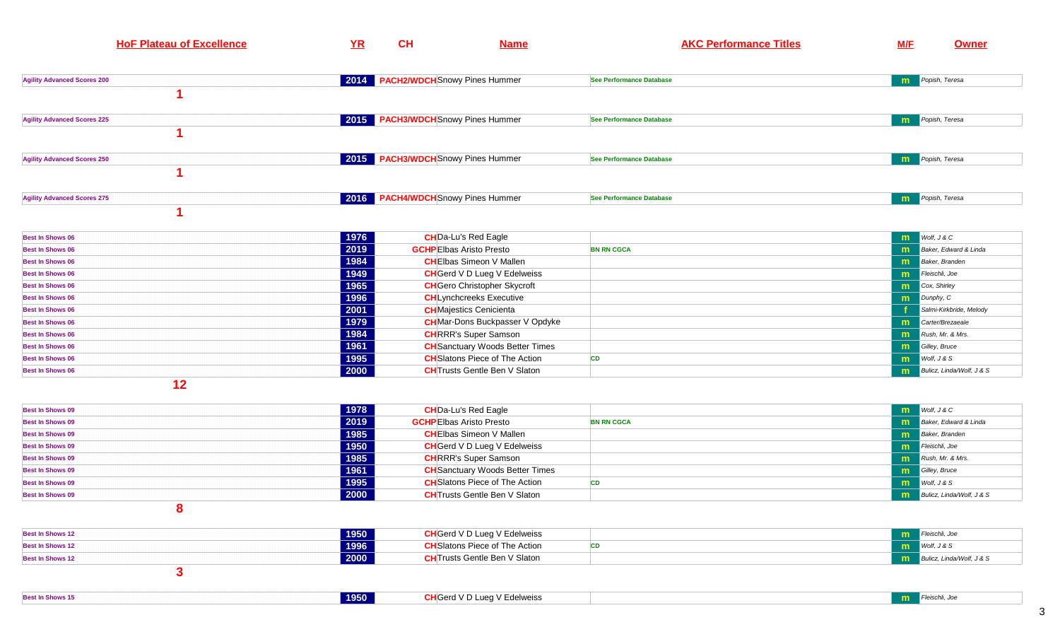| <b>HoF Plateau of Excellence</b>   | <b>YR</b> | CH                                   | <b>Name</b> |                                 | <b>AKC Performance Titles</b> | <b>M/F</b>          | <b>Owner</b> |
|------------------------------------|-----------|--------------------------------------|-------------|---------------------------------|-------------------------------|---------------------|--------------|
| <b>Agility Advanced Scores 200</b> | 2014      | <b>PACH2/WDCH</b> Snowy Pines Hummer |             | See Performance Database        |                               | Popish, Teresa<br>m |              |
|                                    |           |                                      |             |                                 |                               |                     |              |
| <b>Agility Advanced Scores 225</b> |           | 2015 PACH3/WDCH Snowy Pines Hummer   |             | <b>See Performance Database</b> |                               | Popish, Teresa<br>m |              |
| <b>Agility Advanced Scores 250</b> |           | 2015 PACH3/WDCH Snowy Pines Hummer   |             | <b>See Performance Database</b> |                               | Popish, Teresa<br>m |              |
| <b>Agility Advanced Scores 275</b> |           | 2016 PACH4/WDCH Snowy Pines Hummer   |             | <b>See Performance Database</b> |                               | Popish, Teresa<br>m |              |

| <b>Best In Shows 06</b>  | 1976 | <b>CH</b> Da-Lu's Red Eagle            |                   | $W$ olf, $J & C$                  |
|--------------------------|------|----------------------------------------|-------------------|-----------------------------------|
| <b>Best In Shows 06</b>  | 2019 | <b>GCHP</b> Elbas Aristo Presto        | <b>BN RN CGCA</b> | Baker, Edward & Linda<br><b>m</b> |
| <b>Best In Shows 06</b>  | 1984 | <b>CH</b> Elbas Simeon V Mallen        |                   | Baker, Branden                    |
| <b>Best In Shows 06</b>  | 1949 | <b>CH</b> Gerd V D Lueg V Edelweiss    |                   | Fleischli, Joe                    |
| <b>Best In Shows 06</b>  | 1965 | <b>CH</b> Gero Christopher Skycroft    |                   | Cox, Shirley                      |
| <b>Best In Shows 06</b>  | 1996 | <b>CH</b> Lynchcreeks Executive        |                   | Dunphy, C                         |
| <b>Best In Shows 06</b>  | 2001 | <b>CH</b> Majestics Cenicienta         |                   | Salmi-Kirkbride, Melody           |
| <b>Best In Shows 06</b>  | 1979 | <b>CH</b> Mar-Dons Buckpasser V Opdyke |                   | Carter/Brezaeale                  |
| <b>Best In Shows 06</b>  | 1984 | <b>CH</b> RRR's Super Samson           |                   | Rush, Mr. & Mrs.<br>m             |
| <b>Best In Shows 06</b>  | 1961 | <b>CH</b> Sanctuary Woods Better Times |                   | Gilley, Bruce                     |
| <b>Best In Shows 06</b>  | 1995 | <b>CH</b> Slatons Piece of The Action  | <b>CD</b>         | $W$ olf, $J & S$                  |
| <b>Best In Shows 06</b>  | 2000 | <b>CH</b> Trusts Gentle Ben V Slaton   |                   | Bulicz, Linda/Wolf, J & S<br>m    |
| $\overline{\phantom{a}}$ |      |                                        |                   |                                   |

| <b>Best In Shows 09</b> | 1978 | <b>CH</b> Da-Lu's Red Eagle            |                   | $W$ olf, $J & C$                   |
|-------------------------|------|----------------------------------------|-------------------|------------------------------------|
| <b>Best In Shows 09</b> | 2019 | <b>GCHP</b> Elbas Aristo Presto        | <b>BN RN CGCA</b> | <b>na</b> Baker, Edward & Linda    |
| <b>Best In Shows 09</b> | 1985 | <b>CH</b> Elbas Simeon V Mallen        |                   | Baker, Branden                     |
| <b>Best In Shows 09</b> | 1950 | <b>CH</b> Gerd V D Lueg V Edelweiss    |                   | Fleischli, Joe<br>m.               |
| <b>Best In Shows 09</b> | 1985 | <b>CH</b> RRR's Super Samson           |                   | Rush, Mr. & Mrs.<br>m.             |
| <b>Best In Shows 09</b> | 1961 | <b>CH</b> Sanctuary Woods Better Times |                   | <b>n Gilley, Bruce</b>             |
| <b>Best In Shows 09</b> | 1995 | <b>CH</b> Slatons Piece of The Action  |                   | $W$ olf, $J & S$<br><b>THE</b>     |
| <b>Best In Shows 09</b> | 2000 | <b>CH</b> Trusts Gentle Ben V Slaton   |                   | <b>m</b> Bulicz, Linda/Wolf, J & S |
|                         |      |                                        |                   |                                    |

**Best In Shows 12 1950 CH**Gerd V D Lueg V Edelweisss and the contract of the contract of the contract of the contract of the contract of the contract of the contract of the contract of the contract of the contract of the contract of the contract of the contract of the cont **m** Fleischli, Joe **Best In Shows 12CH**Slatons Piece of The Action **n cD m**  $\frac{W \text{olf}, \text{J} \& S}{P \text{olf} \cdot \text{J} \cdot \text{J} \cdot \text{J} \cdot \text{J} \cdot \text{J} \cdot \text{J} \cdot \text{J} \cdot \text{J}}$ **Best In Shows 12CH**Trusts Gentle Ben V Slaton **n m** Bulicz, Linda/Wolf, J & S **3** 

| <b>Best In Shows 15</b> | 1950 | Lueg V Edelweiss<br>CH[Gerd V D] |  |
|-------------------------|------|----------------------------------|--|
|                         |      |                                  |  |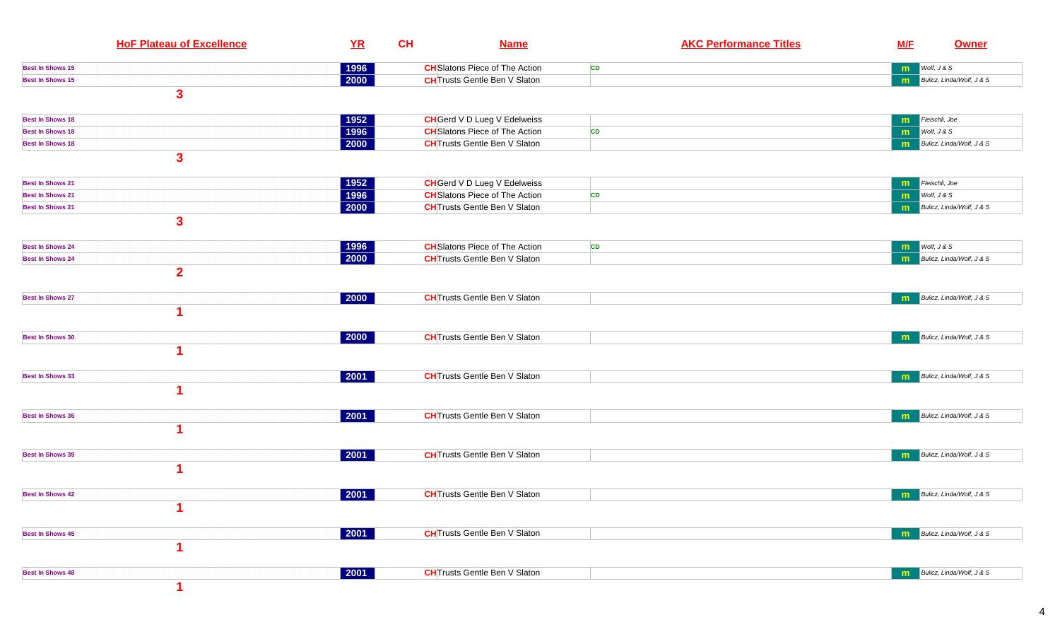|                         | <b>HoF Plateau of Excellence</b> | YR                   | CH | <b>Name</b>                           |    | <b>AKC Performance Titles</b> | <b>M/F</b> | Owner                     |
|-------------------------|----------------------------------|----------------------|----|---------------------------------------|----|-------------------------------|------------|---------------------------|
| <b>Best In Shows 15</b> |                                  | 1996                 |    | <b>CH</b> Slatons Piece of The Action | CD |                               | m          | Wolf, J & S               |
| <b>Best In Shows 15</b> |                                  | $\boxed{2000}$       |    | <b>CH</b> Trusts Gentle Ben V Slaton  |    |                               | m          | Bulicz, Linda/Wolf, J & S |
|                         | $\mathbf{3}$                     |                      |    |                                       |    |                               |            |                           |
| <b>Best In Shows 18</b> |                                  | 1952                 |    | <b>CH</b> Gerd V D Lueg V Edelweiss   |    |                               | m          | Fleischli, Joe            |
| <b>Best In Shows 18</b> |                                  | 1996                 |    | <b>CH</b> Slatons Piece of The Action | CD |                               | m          | Wolf, J & S               |
| <b>Best In Shows 18</b> |                                  | 2000                 |    | <b>CH</b> Trusts Gentle Ben V Slaton  |    |                               | m          | Bulicz, Linda/Wolf, J & S |
|                         | $\mathbf{3}$                     |                      |    |                                       |    |                               |            |                           |
| <b>Best In Shows 21</b> |                                  | 1952                 |    | <b>CH</b> Gerd V D Lueg V Edelweiss   |    |                               | m          | Fleischli, Joe            |
| <b>Best In Shows 21</b> |                                  | 1996                 |    | <b>CH</b> Slatons Piece of The Action | CD |                               | m          | Wolf, J & S               |
| <b>Best In Shows 21</b> |                                  | $\boxed{2000}$       |    | <b>CH</b> Trusts Gentle Ben V Slaton  |    |                               | m          | Bulicz, Linda/Wolf, J & S |
|                         | $\mathbf{3}$                     |                      |    |                                       |    |                               |            |                           |
| <b>Best In Shows 24</b> |                                  | 1996                 |    | <b>CH</b> Slatons Piece of The Action | CD |                               | m          | Wolf, J & S               |
| <b>Best In Shows 24</b> |                                  | $\boxed{2000}$       |    | <b>CH</b> Trusts Gentle Ben V Slaton  |    |                               | m          | Bulicz, Linda/Wolf, J & S |
|                         | $\overline{2}$                   |                      |    |                                       |    |                               |            |                           |
| <b>Best In Shows 27</b> |                                  | $ 2000\rangle$       |    | <b>CH</b> Trusts Gentle Ben V Slaton  |    |                               | m          | Bulicz, Linda/Wolf, J & S |
|                         | 1                                |                      |    |                                       |    |                               |            |                           |
| <b>Best In Shows 30</b> |                                  | $ 2000\rangle$       |    | <b>CH</b> Trusts Gentle Ben V Slaton  |    |                               | m          | Bulicz, Linda/Wolf, J & S |
|                         |                                  |                      |    |                                       |    |                               |            |                           |
| <b>Best In Shows 33</b> |                                  | $ 2001\rangle$       |    | <b>CH</b> Trusts Gentle Ben V Slaton  |    |                               | m          | Bulicz, Linda/Wolf, J & S |
|                         |                                  |                      |    |                                       |    |                               |            |                           |
| <b>Best In Shows 36</b> |                                  | $ 2001\rangle$       |    | <b>CH</b> Trusts Gentle Ben V Slaton  |    |                               | m          | Bulicz, Linda/Wolf, J & S |
|                         | и                                |                      |    |                                       |    |                               |            |                           |
| <b>Best In Shows 39</b> |                                  | $\sqrt{2001}$        |    | <b>CH</b> Trusts Gentle Ben V Slaton  |    |                               | m          | Bulicz, Linda/Wolf, J & S |
|                         |                                  |                      |    |                                       |    |                               |            |                           |
| <b>Best In Shows 42</b> |                                  | 2001                 |    | <b>CH</b> Trusts Gentle Ben V Slaton  |    |                               | m          | Bulicz, Linda/Wolf, J & S |
|                         | $\mathbf 1$                      |                      |    |                                       |    |                               |            |                           |
| <b>Best In Shows 45</b> |                                  | $ 2001\rangle$       |    | <b>CH</b> Trusts Gentle Ben V Slaton  |    |                               | m          | Bulicz, Linda/Wolf, J & S |
|                         | 1                                |                      |    |                                       |    |                               |            |                           |
| <b>Best In Shows 48</b> |                                  | $\vert$ 2001 $\vert$ |    | <b>CH</b> Trusts Gentle Ben V Slaton  |    |                               | m          | Bulicz, Linda/Wolf, J & S |
|                         |                                  |                      |    |                                       |    |                               |            |                           |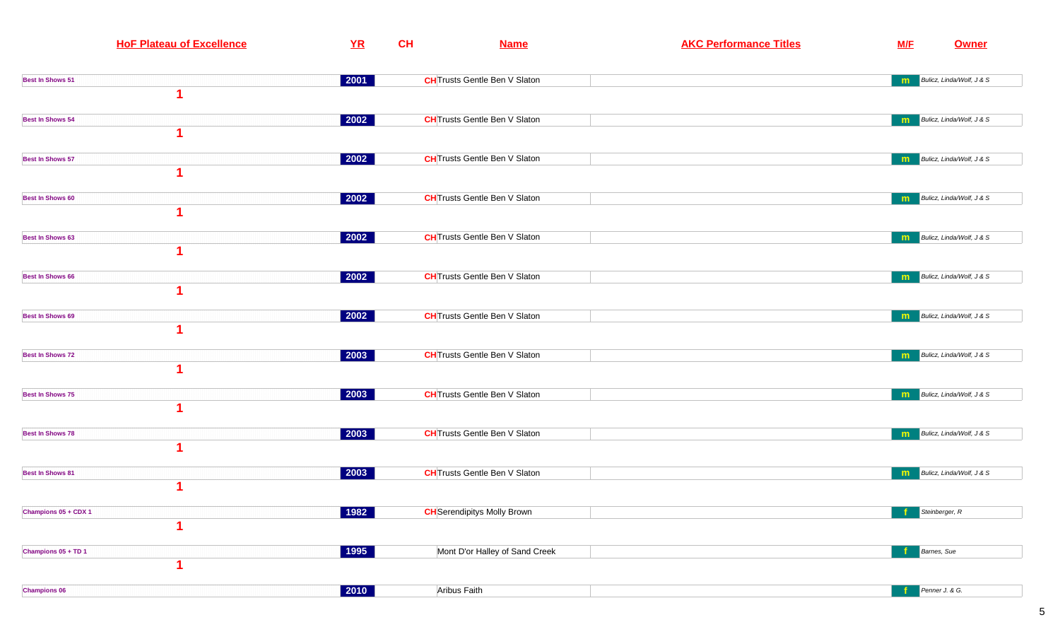| <b>HoF Plateau of Excellence</b> | YR                   | CH | <b>Name</b>                          | <b>AKC Performance Titles</b> | M/E | <b>Owner</b>              |
|----------------------------------|----------------------|----|--------------------------------------|-------------------------------|-----|---------------------------|
| <b>Best In Shows 51</b>          | $ 2001\rangle$       |    | <b>CH</b> Trusts Gentle Ben V Slaton |                               | m   | Bulicz, Linda/Wolf, J & S |
|                                  |                      |    |                                      |                               |     |                           |
| <b>Best In Shows 54</b>          | 2002                 |    | <b>CH</b> Trusts Gentle Ben V Slaton |                               | m   | Bulicz, Linda/Wolf, J & S |
|                                  |                      |    |                                      |                               |     |                           |
| <b>Best In Shows 57</b>          | $ 2002\rangle$       |    | <b>CH</b> Trusts Gentle Ben V Slaton |                               | m   | Bulicz, Linda/Wolf, J & S |
| <b>Best In Shows 60</b>          | 2002                 |    | <b>CH</b> Trusts Gentle Ben V Slaton |                               | m   | Bulicz, Linda/Wolf, J & S |
|                                  |                      |    |                                      |                               |     |                           |
| <b>Best In Shows 63</b>          | 2002                 |    | <b>CH</b> Trusts Gentle Ben V Slaton |                               | m   | Bulicz, Linda/Wolf, J & S |
| <b>Best In Shows 66</b>          | $ 2002\rangle$       |    | <b>CH</b> Trusts Gentle Ben V Slaton |                               | m   | Bulicz, Linda/Wolf, J & S |
|                                  |                      |    |                                      |                               |     |                           |
| <b>Best In Shows 69</b>          | 2002                 |    | <b>CH</b> Trusts Gentle Ben V Slaton |                               | m   | Bulicz, Linda/Wolf, J & S |
| <b>Best In Shows 72</b>          | 2003                 |    | <b>CH</b> Trusts Gentle Ben V Slaton |                               | m   | Bulicz, Linda/Wolf, J & S |
|                                  |                      |    |                                      |                               |     |                           |
| <b>Best In Shows 75</b>          | 2003                 |    | <b>CH</b> Trusts Gentle Ben V Slaton |                               | m   | Bulicz, Linda/Wolf, J & S |
| <b>Best In Shows 78</b>          | 2003                 |    | <b>CH</b> Trusts Gentle Ben V Slaton |                               | m   | Bulicz, Linda/Wolf, J & S |
| <b>Best In Shows 81</b>          | 2003                 |    | <b>CH</b> Trusts Gentle Ben V Slaton |                               | m   | Bulicz, Linda/Wolf, J & S |
|                                  |                      |    |                                      |                               |     |                           |
| Champions 05 + CDX 1             | 1982                 |    | <b>CH</b> Serendipitys Molly Brown   |                               |     | Steinberger, R            |
|                                  |                      |    |                                      |                               |     |                           |
| Champions 05 + TD 1<br>1         | 1995                 |    | Mont D'or Halley of Sand Creek       |                               | -f  | Barnes, Sue               |
| <b>Champions 06</b>              | $\vert$ 2010 $\vert$ |    | Aribus Faith                         |                               |     | Penner J. & G.            |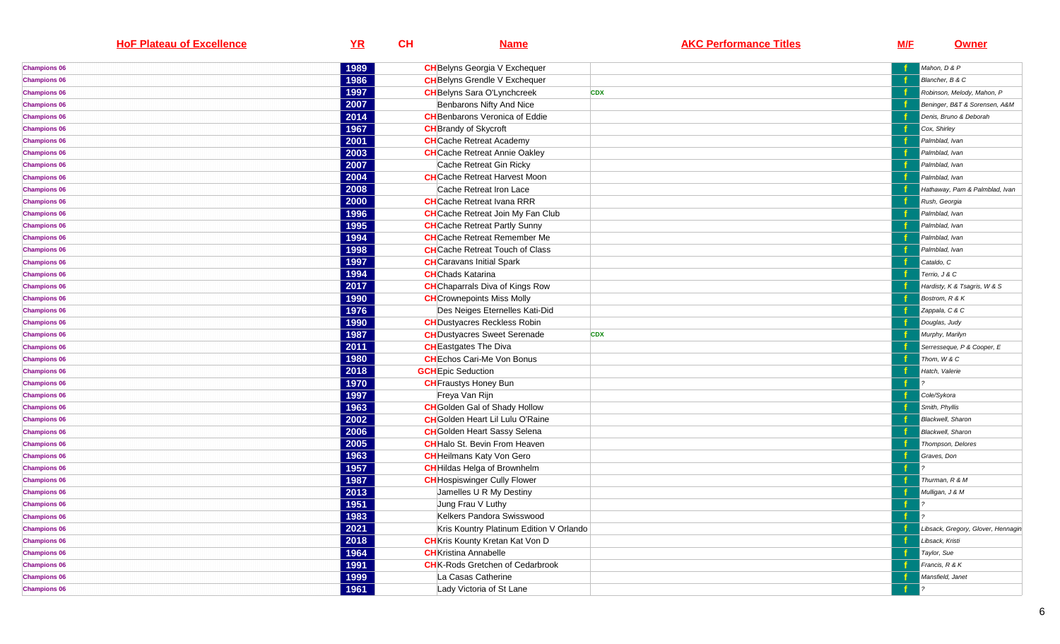| <b>HoF Plateau of Excellence</b> | YR   | CH | <b>Name</b>                              | <b>AKC Performance Titles</b> | <b>M/F</b> | <b>Owner</b>                       |
|----------------------------------|------|----|------------------------------------------|-------------------------------|------------|------------------------------------|
| <b>Champions 06</b>              | 1989 |    | <b>CH</b> Belyns Georgia V Exchequer     |                               |            | Mahon, D & P                       |
| <b>Champions 06</b>              | 1986 |    | <b>CH</b> Belyns Grendle V Exchequer     |                               |            | Blancher, B & C                    |
| <b>Champions 06</b>              | 1997 |    | <b>CH</b> Belyns Sara O'Lynchcreek       | <b>CDX</b>                    |            | Robinson, Melody, Mahon, P         |
| <b>Champions 06</b>              | 2007 |    | Benbarons Nifty And Nice                 |                               |            | Beninger, B&T & Sorensen, A&M      |
| <b>Champions 06</b>              | 2014 |    | <b>CH</b> Benbarons Veronica of Eddie    |                               |            | Denis, Bruno & Deborah             |
| <b>Champions 06</b>              | 1967 |    | <b>CH</b> Brandy of Skycroft             |                               |            | Cox, Shirley                       |
| <b>Champions 06</b>              | 2001 |    | <b>CH</b> Cache Retreat Academy          |                               |            | Palmblad, Ivan                     |
| <b>Champions 06</b>              | 2003 |    | <b>CH</b> Cache Retreat Annie Oakley     |                               |            | Palmblad, Ivan                     |
| <b>Champions 06</b>              | 2007 |    | Cache Retreat Gin Ricky                  |                               |            | Palmblad, Ivan                     |
| <b>Champions 06</b>              | 2004 |    | <b>CH</b> Cache Retreat Harvest Moon     |                               |            | Palmblad, Ivan                     |
| <b>Champions 06</b>              | 2008 |    | Cache Retreat Iron Lace                  |                               |            | Hathaway, Pam & Palmblad, Ivan     |
| <b>Champions 06</b>              | 2000 |    | <b>CH</b> Cache Retreat Ivana RRR        |                               |            | Rush, Georgia                      |
| <b>Champions 06</b>              | 1996 |    | <b>CH</b> Cache Retreat Join My Fan Club |                               |            | Palmblad, Ivan                     |
| <b>Champions 06</b>              | 1995 |    | <b>CH</b> Cache Retreat Partly Sunny     |                               |            | Palmblad, Ivan                     |
| <b>Champions 06</b>              | 1994 |    | <b>CH</b> Cache Retreat Remember Me      |                               |            | Palmblad, Ivan                     |
| <b>Champions 06</b>              | 1998 |    | <b>CH</b> Cache Retreat Touch of Class   |                               |            | Palmblad, Ivan                     |
| <b>Champions 06</b>              | 1997 |    | <b>CH</b> Caravans Initial Spark         |                               |            | Cataldo, C                         |
| <b>Champions 06</b>              | 1994 |    | <b>CH</b> Chads Katarina                 |                               |            | Terrio, J & C                      |
| <b>Champions 06</b>              | 2017 |    | <b>CH</b> Chaparrals Diva of Kings Row   |                               |            | Hardisty, K & Tsagris, W & S       |
| <b>Champions 06</b>              | 1990 |    | <b>CH</b> Crownepoints Miss Molly        |                               |            | Bostrom, R & K                     |
| <b>Champions 06</b>              | 1976 |    | Des Neiges Eternelles Kati-Did           |                               |            | Zappala, C & C                     |
| <b>Champions 06</b>              | 1990 |    | <b>CH</b> Dustyacres Reckless Robin      |                               |            | Douglas, Judy                      |
| <b>Champions 06</b>              | 1987 |    | <b>CH</b> Dustyacres Sweet Serenade      | <b>CDX</b>                    |            | Murphy, Marilyn                    |
| <b>Champions 06</b>              | 2011 |    | <b>CH</b> Eastgates The Diva             |                               |            | Serresseque, P & Cooper, E         |
| <b>Champions 06</b>              | 1980 |    | <b>CH</b> Echos Cari-Me Von Bonus        |                               |            | Thom, W & C                        |
| <b>Champions 06</b>              | 2018 |    | <b>GCH</b> Epic Seduction                |                               |            | Hatch, Valerie                     |
| <b>Champions 06</b>              | 1970 |    | <b>CH</b> Fraustys Honey Bun             |                               |            |                                    |
| <b>Champions 06</b>              | 1997 |    | Freya Van Rijn                           |                               |            | Cole/Sykora                        |
| <b>Champions 06</b>              | 1963 |    | <b>CH</b> Golden Gal of Shady Hollow     |                               |            | Smith, Phyllis                     |
| <b>Champions 06</b>              | 2002 |    | <b>CH</b> Golden Heart Lil Lulu O'Raine  |                               |            | <b>Blackwell</b> , Sharon          |
| <b>Champions 06</b>              | 2006 |    | <b>CH</b> Golden Heart Sassy Selena      |                               |            | <b>Blackwell</b> , Sharon          |
| <b>Champions 06</b>              | 2005 |    | <b>CH</b> Halo St. Bevin From Heaven     |                               |            | Thompson, Delores                  |
| <b>Champions 06</b>              | 1963 |    | <b>CH</b> Heilmans Katy Von Gero         |                               |            | Graves, Don                        |
| <b>Champions 06</b>              | 1957 |    | <b>CH</b> Hildas Helga of Brownhelm      |                               |            |                                    |
| <b>Champions 06</b>              | 1987 |    | <b>CH</b> Hospiswinger Cully Flower      |                               |            | Thurman, R & M                     |
| <b>Champions 06</b>              | 2013 |    | Jamelles U R My Destiny                  |                               |            | Mulligan, J & M                    |
| <b>Champions 06</b>              | 1951 |    | Jung Frau V Luthy                        |                               |            |                                    |
| <b>Champions 06</b>              | 1983 |    | Kelkers Pandora Swisswood                |                               | đ.         |                                    |
| <b>Champions 06</b>              | 2021 |    | Kris Kountry Platinum Edition V Orlando  |                               |            | Libsack, Gregory, Glover, Hennagin |
| <b>Champions 06</b>              | 2018 |    | <b>CH</b> Kris Kounty Kretan Kat Von D   |                               |            | Libsack, Kristi                    |
| <b>Champions 06</b>              | 1964 |    | <b>CH</b> Kristina Annabelle             |                               |            | Taylor, Sue                        |
| <b>Champions 06</b>              | 1991 |    | <b>CH</b> K-Rods Gretchen of Cedarbrook  |                               |            | Francis, R & K                     |
| <b>Champions 06</b>              | 1999 |    | La Casas Catherine                       |                               |            | Mansfield, Janet                   |
| <b>Champions 06</b>              | 1961 |    | Lady Victoria of St Lane                 |                               |            |                                    |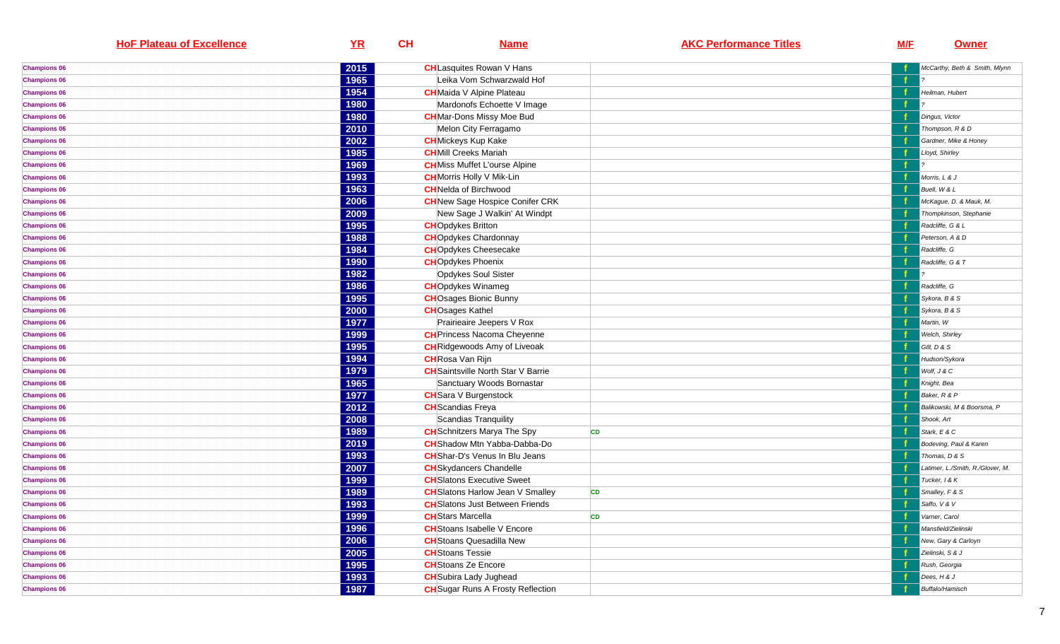| <b>HoF Plateau of Excellence</b> | YR   | CH | <b>Name</b>                               | <b>AKC Performance Titles</b> | <u>M/F</u> | <b>Owner</b>                     |
|----------------------------------|------|----|-------------------------------------------|-------------------------------|------------|----------------------------------|
| <b>Champions 06</b>              | 2015 |    | <b>CH</b> Lasquites Rowan V Hans          |                               |            | McCarthy, Beth & Smith, Mlynn    |
| <b>Champions 06</b>              | 1965 |    | Leika Vom Schwarzwald Hof                 |                               |            |                                  |
| <b>Champions 06</b>              | 1954 |    | <b>CH</b> Maida V Alpine Plateau          |                               |            | Heilman, Hubert                  |
| <b>Champions 06</b>              | 1980 |    | Mardonofs Echoette V Image                |                               |            |                                  |
| <b>Champions 06</b>              | 1980 |    | <b>CH</b> Mar-Dons Missy Moe Bud          |                               |            | Dingus, Victor                   |
| <b>Champions 06</b>              | 2010 |    | Melon City Ferragamo                      |                               |            | Thompson, R & D                  |
| <b>Champions 06</b>              | 2002 |    | <b>CH</b> Mickeys Kup Kake                |                               |            | Gardner, Mike & Honey            |
| <b>Champions 06</b>              | 1985 |    | <b>CH</b> Mill Creeks Mariah              |                               |            | Lloyd, Shirley                   |
| <b>Champions 06</b>              | 1969 |    | <b>CH</b> Miss Muffet L'ourse Alpine      |                               | f          |                                  |
| <b>Champions 06</b>              | 1993 |    | <b>CH</b> Morris Holly V Mik-Lin          |                               |            | Morris, L & J                    |
| <b>Champions 06</b>              | 1963 |    | <b>CH</b> Nelda of Birchwood              |                               |            | Buell, W & L                     |
| <b>Champions 06</b>              | 2006 |    | <b>CH</b> New Sage Hospice Conifer CRK    |                               |            | McKague, D. & Mauk, M.           |
| <b>Champions 06</b>              | 2009 |    | New Sage J Walkin' At Windpt              |                               |            | Thompkinson, Stephanie           |
| <b>Champions 06</b>              | 1995 |    | <b>CHO</b> pdykes Britton                 |                               |            | Radcliffe, G & L                 |
| <b>Champions 06</b>              | 1988 |    | <b>CH</b> Opdykes Chardonnay              |                               |            | Peterson, A & D                  |
| <b>Champions 06</b>              | 1984 |    | <b>CH</b> Opdykes Cheesecake              |                               |            | Radcliffe, G                     |
| <b>Champions 06</b>              | 1990 |    | <b>CHO</b> pdykes Phoenix                 |                               |            | Radcliffe, G & T                 |
| <b>Champions 06</b>              | 1982 |    | Opdykes Soul Sister                       |                               |            |                                  |
| <b>Champions 06</b>              | 1986 |    | <b>CH</b> Opdykes Winameg                 |                               |            | Radcliffe, G                     |
| <b>Champions 06</b>              | 1995 |    | <b>CH</b> Osages Bionic Bunny             |                               |            | Sykora, B & S                    |
| <b>Champions 06</b>              | 2000 |    | <b>CHOsages Kathel</b>                    |                               |            | Sykora, B & S                    |
| <b>Champions 06</b>              | 1977 |    | Prairieaire Jeepers V Rox                 |                               |            | Martin, W                        |
| <b>Champions 06</b>              | 1999 |    | <b>CH</b> Princess Nacoma Cheyenne        |                               |            | Welch, Shirley                   |
| <b>Champions 06</b>              | 1995 |    | <b>CH</b> Ridgewoods Amy of Liveoak       |                               |            | GIII, D & S                      |
| <b>Champions 06</b>              | 1994 |    | <b>CH</b> Rosa Van Rijn                   |                               |            | Hudson/Sykora                    |
| <b>Champions 06</b>              | 1979 |    | <b>CH</b> Saintsville North Star V Barrie |                               |            | Wolf, J & C                      |
| <b>Champions 06</b>              | 1965 |    | Sanctuary Woods Bornastar                 |                               |            | Knight, Bea                      |
| <b>Champions 06</b>              | 1977 |    | <b>CH</b> Sara V Burgenstock              |                               |            | Baker, R & P                     |
| <b>Champions 06</b>              | 2012 |    | <b>CH</b> Scandias Freya                  |                               |            | Balikowski, M & Boorsma, P       |
| <b>Champions 06</b>              | 2008 |    | Scandias Tranquility                      |                               |            | Shook, Art                       |
| <b>Champions 06</b>              | 1989 |    | <b>CH</b> Schnitzers Marya The Spy        | <b>CD</b>                     |            | Stark, E & C                     |
| <b>Champions 06</b>              | 2019 |    | <b>CH</b> Shadow Mtn Yabba-Dabba-Do       |                               |            | Bodeving, Paul & Karen           |
| <b>Champions 06</b>              | 1993 |    | <b>CH</b> Shar-D's Venus In Blu Jeans     |                               |            | Thomas, D & S                    |
| <b>Champions 06</b>              | 2007 |    | <b>CH</b> Skydancers Chandelle            |                               |            | Latimer, L./Smith, R./Glover, M. |
| <b>Champions 06</b>              | 1999 |    | <b>CH</b> Slatons Executive Sweet         |                               |            | Tucker, 1 & K                    |
| <b>Champions 06</b>              | 1989 |    | <b>CH</b> Slatons Harlow Jean V Smalley   | <b>CD</b>                     |            | Smalley, F & S                   |
| <b>Champions 06</b>              | 1993 |    | <b>CH</b> Slatons Just Between Friends    |                               |            | Saffo, V & V                     |
| <b>Champions 06</b>              | 1999 |    | <b>CH</b> Stars Marcella                  | <b>CD</b>                     |            | Varner, Carol                    |
| <b>Champions 06</b>              | 1996 |    | <b>CH</b> Stoans Isabelle V Encore        |                               |            | Mansfield/Zielinski              |
| <b>Champions 06</b>              | 2006 |    | <b>CH</b> Stoans Quesadilla New           |                               |            | New, Gary & Carloyn              |
| <b>Champions 06</b>              | 2005 |    | <b>CH</b> Stoans Tessie                   |                               |            | Zielinski, S & J                 |
| <b>Champions 06</b>              | 1995 |    | <b>CH</b> Stoans Ze Encore                |                               |            | Rush, Georgia                    |
| <b>Champions 06</b>              | 1993 |    | <b>CH</b> Subira Lady Jughead             |                               |            | Dees, H & J                      |
| <b>Champions 06</b>              | 1987 |    | <b>CH</b> Sugar Runs A Frosty Reflection  |                               |            | Buffalo/Hamisch                  |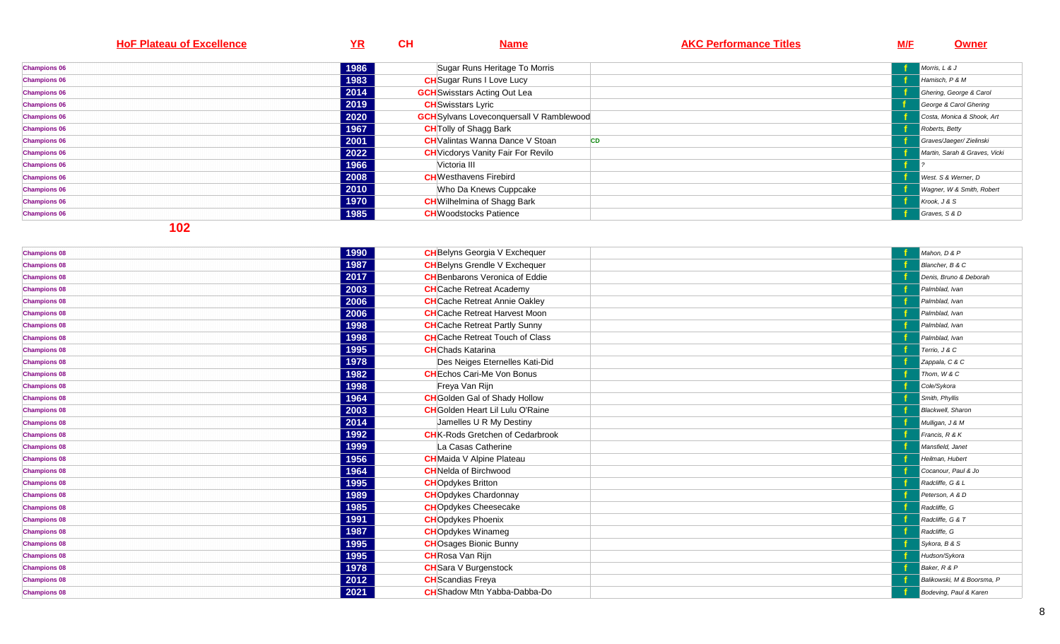| <b>HoF Plateau of Excellence</b> | <u>YR</u> | CH<br><b>Name</b>                               | <b>AKC Performance Titles</b> | M/F | Owner                         |
|----------------------------------|-----------|-------------------------------------------------|-------------------------------|-----|-------------------------------|
|                                  |           |                                                 |                               |     |                               |
| <b>Champions 06</b>              | 1986      | Sugar Runs Heritage To Morris                   |                               |     | Morris, L & J                 |
| <b>Champions 06</b>              | 1983      | <b>CH</b> Sugar Runs I Love Lucy                |                               |     | Hamisch, P & M                |
| <b>Champions 06</b>              | 2014      | <b>GCH</b> Swisstars Acting Out Lea             |                               |     | Ghering, George & Carol       |
| <b>Champions 06</b>              | 2019      | <b>CH</b> Swisstars Lyric                       |                               |     | George & Carol Ghering        |
| <b>Champions 06</b>              | 2020      | <b>GCH</b> Sylvans Loveconquersall V Ramblewood |                               |     | Costa, Monica & Shook, Art    |
| <b>Champions 06</b>              | 1967      | <b>CH</b> Tolly of Shagg Bark                   |                               |     | Roberts, Betty                |
| <b>Champions 06</b>              | 2001      | <b>CH</b> Valintas Wanna Dance V Stoan          | CD                            |     | Graves/Jaeger/ Zielinski      |
| <b>Champions 06</b>              | 2022      | <b>CH</b> Vicdorys Vanity Fair For Revilo       |                               |     | Martin, Sarah & Graves, Vicki |
| <b>Champions 06</b>              | 1966      | Victoria III                                    |                               |     |                               |
| <b>Champions 06</b>              | 2008      | <b>CH</b> Westhavens Firebird                   |                               |     | West. S & Werner, D           |
| <b>Champions 06</b>              | 2010      | Who Da Knews Cuppcake                           |                               |     | Wagner, W & Smith, Robert     |
| <b>Champions 06</b>              | 1970      | <b>CH</b> Wilhelmina of Shagg Bark              |                               |     | Krook, J & S                  |
| <b>Champions 06</b>              | 1985      | <b>CH</b> Woodstocks Patience                   |                               |     | Graves, S & D                 |

| <b>Champions 08</b> | 1990 | <b>CH</b> Belyns Georgia V Exchequer    | Mahon, D & P               |
|---------------------|------|-----------------------------------------|----------------------------|
| <b>Champions 08</b> | 1987 | <b>CH</b> Belyns Grendle V Exchequer    | Blancher, B & C            |
| <b>Champions 08</b> | 2017 | <b>CH</b> Benbarons Veronica of Eddie   | Denis, Bruno & Deborah     |
| <b>Champions 08</b> | 2003 | <b>CH</b> Cache Retreat Academy         | Palmblad, Ivan             |
| <b>Champions 08</b> | 2006 | <b>CH</b> Cache Retreat Annie Oakley    | Palmblad, Ivan             |
| <b>Champions 08</b> | 2006 | <b>CH</b> Cache Retreat Harvest Moon    | Palmblad, Ivan             |
| <b>Champions 08</b> | 1998 | <b>CH</b> Cache Retreat Partly Sunny    | Palmblad, Ivan             |
| <b>Champions 08</b> | 1998 | <b>CH</b> Cache Retreat Touch of Class  | Palmblad, Ivan             |
| <b>Champions 08</b> | 1995 | <b>CH</b> Chads Katarina                | Terrio, J & C              |
| <b>Champions 08</b> | 1978 | Des Neiges Eternelles Kati-Did          | Zappala, C & C             |
| <b>Champions 08</b> | 1982 | <b>CH</b> Echos Cari-Me Von Bonus       | Thom, W & C                |
| <b>Champions 08</b> | 1998 | Freya Van Rijn                          | Cole/Sykora                |
| <b>Champions 08</b> | 1964 | <b>CH</b> Golden Gal of Shady Hollow    | Smith, Phyllis             |
| <b>Champions 08</b> | 2003 | <b>CH</b> Golden Heart Lil Lulu O'Raine | <b>Blackwell</b> , Sharon  |
| <b>Champions 08</b> | 2014 | Jamelles U R My Destiny                 | Mulligan, J & M            |
| <b>Champions 08</b> | 1992 | <b>CH</b> K-Rods Gretchen of Cedarbrook | Francis, R & K             |
| <b>Champions 08</b> | 1999 | La Casas Catherine                      | Mansfield, Janet           |
| <b>Champions 08</b> | 1956 | <b>CH</b> Maida V Alpine Plateau        | Heilman, Hubert            |
| <b>Champions 08</b> | 1964 | <b>CH</b> Nelda of Birchwood            | Cocanour, Paul & Jo        |
| <b>Champions 08</b> | 1995 | <b>CH</b> Opdykes Britton               | Radcliffe, G & L           |
| <b>Champions 08</b> | 1989 | <b>CH</b> Opdykes Chardonnay            | Peterson, A & D            |
| <b>Champions 08</b> | 1985 | <b>CH</b> Opdykes Cheesecake            | Radcliffe, G               |
| <b>Champions 08</b> | 1991 | <b>CH</b> Opdykes Phoenix               | Radcliffe, G & T           |
| <b>Champions 08</b> | 1987 | <b>CH</b> Opdykes Winameg               | Radcliffe, G               |
| <b>Champions 08</b> | 1995 | <b>CH</b> Osages Bionic Bunny           | Sykora, B & S              |
| <b>Champions 08</b> | 1995 | <b>CH</b> Rosa Van Rijn                 | Hudson/Sykora              |
| <b>Champions 08</b> | 1978 | <b>CH</b> Sara V Burgenstock            | Baker, R & P               |
| <b>Champions 08</b> | 2012 | <b>CH</b> Scandias Freya                | Balikowski, M & Boorsma, P |
| <b>Champions 08</b> | 2021 | <b>CH</b> Shadow Mtn Yabba-Dabba-Do     | Bodeving, Paul & Karen     |
|                     |      |                                         |                            |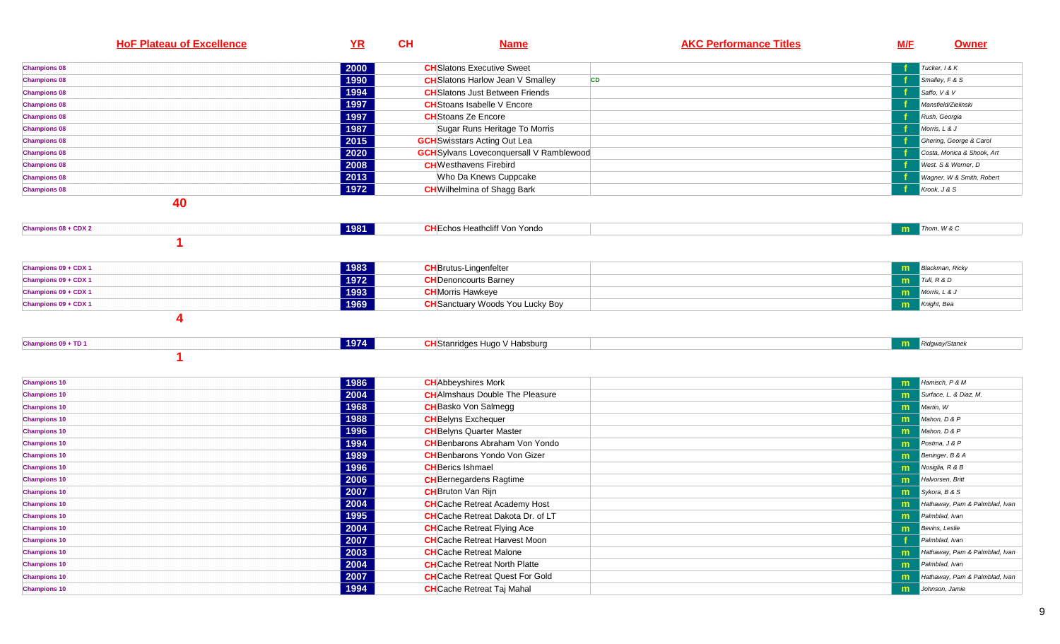| <b>HoF Plateau of Excellence</b> | YR   | CH<br><b>Name</b>                                    | <b>AKC Performance Titles</b> | M/F | <b>Owner</b>                   |
|----------------------------------|------|------------------------------------------------------|-------------------------------|-----|--------------------------------|
| <b>Champions 08</b>              | 2000 | <b>CH</b> Slatons Executive Sweet                    |                               |     | Tucker, I & K                  |
| <b>Champions 08</b>              | 1990 | <b>CH</b> Slatons Harlow Jean V Smalley<br><b>CD</b> |                               |     | Smalley, F & S                 |
| <b>Champions 08</b>              | 1994 | <b>CH</b> Slatons Just Between Friends               |                               |     | Saffo, V & V                   |
| <b>Champions 08</b>              | 1997 | <b>CH</b> Stoans Isabelle V Encore                   |                               |     | Mansfield/Zielinski            |
| <b>Champions 08</b>              | 1997 | <b>CH</b> Stoans Ze Encore                           |                               |     | Rush, Georgia                  |
| <b>Champions 08</b>              | 1987 | Sugar Runs Heritage To Morris                        |                               |     | Morris, L & J                  |
| <b>Champions 08</b>              | 2015 | <b>GCH</b> Swisstars Acting Out Lea                  |                               |     | Ghering, George & Carol        |
| <b>Champions 08</b>              | 2020 | <b>GCH</b> Sylvans Loveconquersall V Ramblewood      |                               |     | Costa, Monica & Shook, Art     |
| <b>Champions 08</b>              | 2008 | <b>CH</b> Westhavens Firebird                        |                               |     | West, S & Werner, D            |
| <b>Champions 08</b>              | 2013 | Who Da Knews Cuppcake                                |                               |     | Wagner, W & Smith, Robert      |
| <b>Champions 08</b>              | 1972 | <b>CH</b> Wilhelmina of Shagg Bark                   |                               |     | Krook, J & S                   |
| 40                               |      |                                                      |                               |     |                                |
| Champions 08 + CDX 2             | 1981 | <b>CH</b> Echos Heathcliff Von Yondo                 |                               | m   | Thom, W & C                    |
|                                  |      |                                                      |                               |     |                                |
| Champions 09 + CDX 1             | 1983 | <b>CH</b> Brutus-Lingenfelter                        |                               | m   | <b>Blackman, Ricky</b>         |
| Champions 09 + CDX 1             | 1972 | <b>CH</b> Denoncourts Barney                         |                               | m.  | Tull, R & D                    |
| Champions 09 + CDX 1             | 1993 | <b>CH</b> Morris Hawkeye                             |                               | m   | Morris, L & J                  |
| Champions 09 + CDX 1             | 1969 | <b>CH</b> Sanctuary Woods You Lucky Boy              |                               | m   | Knight, Bea                    |
|                                  | 1974 | <b>CH</b> Stanridges Hugo V Habsburg                 |                               |     |                                |
| Champions 09 + TD 1              |      |                                                      |                               | m   | Ridgway/Stanek                 |
|                                  |      |                                                      |                               |     |                                |
| <b>Champions 10</b>              | 1986 | <b>CH</b> Abbeyshires Mork                           |                               | m   | Hamisch, P & M                 |
| <b>Champions 10</b>              | 2004 | <b>CH</b> AImshaus Double The Pleasure               |                               | m   | Surface, L. & Diaz, M.         |
| <b>Champions 10</b>              | 1968 | <b>CH</b> Basko Von Salmegg                          |                               | m   | Martin, W                      |
| <b>Champions 10</b>              | 1988 | <b>CH</b> Belyns Exchequer                           |                               | m   | Mahon, D & P                   |
| <b>Champions 10</b>              | 1996 | <b>CH</b> Belyns Quarter Master                      |                               | m   | Mahon, D & P                   |
| <b>Champions 10</b>              | 1994 | <b>CH</b> Benbarons Abraham Von Yondo                |                               | m   | Postma, J & P                  |
| <b>Champions 10</b>              | 1989 | <b>CH</b> Benbarons Yondo Von Gizer                  |                               | m   | Beninger, B & A                |
| <b>Champions 10</b>              | 1996 | <b>CH</b> Berics Ishmael                             |                               | m   | Nosiglia, R & B                |
| <b>Champions 10</b>              | 2006 | <b>CH</b> Bernegardens Ragtime                       |                               | m   | Halvorsen, Britt               |
| <b>Champions 10</b>              | 2007 | <b>CH</b> Bruton Van Rijn                            |                               | m   | Sykora, B & S                  |
| <b>Champions 10</b>              | 2004 | <b>CH</b> Cache Retreat Academy Host                 |                               | m   | Hathaway, Pam & Palmblad, Ivan |
| <b>Champions 10</b>              | 1995 | <b>CH</b> Cache Retreat Dakota Dr. of LT             |                               | m   | Palmblad, Ivan                 |
| <b>Champions 10</b>              | 2004 | <b>CH</b> Cache Retreat Flying Ace                   |                               | m   | Bevins, Leslie                 |
| <b>Champions 10</b>              | 2007 | <b>CH</b> Cache Retreat Harvest Moon                 |                               |     | Palmblad, Ivan                 |
| <b>Champions 10</b>              | 2003 | <b>CH</b> Cache Retreat Malone                       |                               | m   | Hathaway, Pam & Palmblad, Ivan |
| <b>Champions 10</b>              | 2004 | <b>CH</b> Cache Retreat North Platte                 |                               | m   | Palmblad, Ivan                 |
| <b>Champions 10</b>              |      |                                                      |                               |     |                                |
|                                  | 2007 | <b>CH</b> Cache Retreat Quest For Gold               |                               | m   | Hathaway, Pam & Palmblad, Ivan |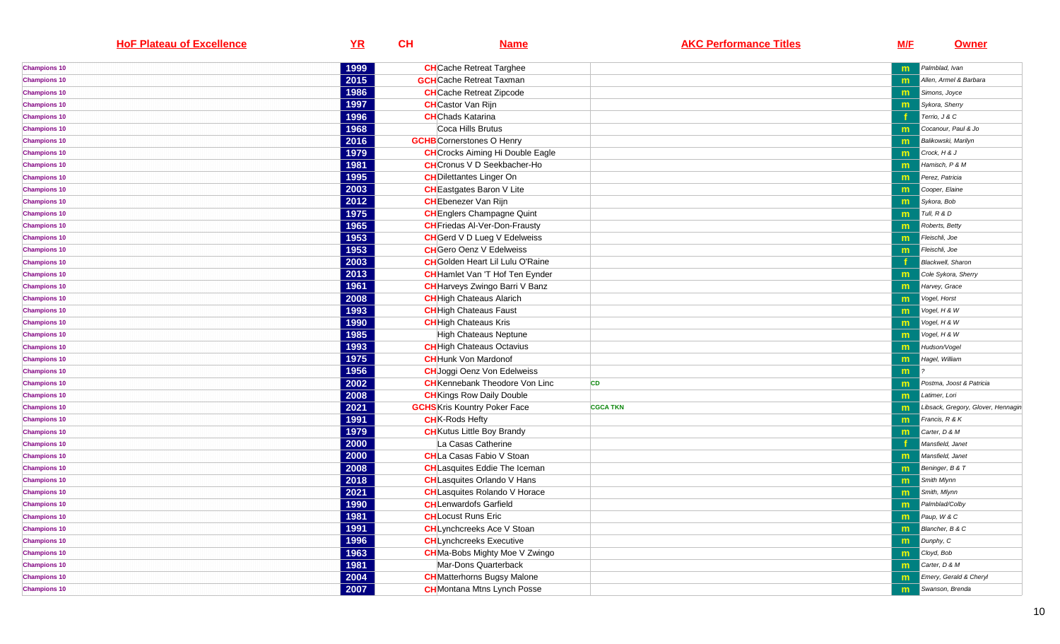| <b>HoF Plateau of Excellence</b> | YR   | CH | <b>Name</b>                             | <b>AKC Performance Titles</b> | <u>M/F</u> | <b>Owner</b>                       |
|----------------------------------|------|----|-----------------------------------------|-------------------------------|------------|------------------------------------|
| <b>Champions 10</b>              | 1999 |    | <b>CH</b> Cache Retreat Targhee         |                               |            | Palmblad, Ivan                     |
| <b>Champions 10</b>              | 2015 |    | <b>GCH</b> Cache Retreat Taxman         |                               | m          | Allen, Armel & Barbara             |
| <b>Champions 10</b>              | 1986 |    | <b>CH</b> Cache Retreat Zipcode         |                               | m          | Simons, Joyce                      |
| <b>Champions 10</b>              | 1997 |    | <b>CH</b> Castor Van Rijn               |                               | m          | Sykora, Sherry                     |
| <b>Champions 10</b>              | 1996 |    | <b>CH</b> Chads Katarina                |                               |            | Terrio, J & C                      |
| <b>Champions 10</b>              | 1968 |    | Coca Hills Brutus                       |                               | m          | Cocanour, Paul & Jo                |
| <b>Champions 10</b>              | 2016 |    | <b>GCHB</b> Cornerstones O Henry        |                               | m          | <b>Balikowski</b> , Marilyn        |
| <b>Champions 10</b>              | 1979 |    | <b>CH</b> Crocks Aiming Hi Double Eagle |                               | m          | Crock, H & J                       |
| <b>Champions 10</b>              | 1981 |    | <b>CH</b> Cronus V D Seekbacher-Ho      |                               | m          | Hamisch, P & M                     |
| <b>Champions 10</b>              | 1995 |    | <b>CH</b> Dilettantes Linger On         |                               | m          | Perez, Patricia                    |
| <b>Champions 10</b>              | 2003 |    | <b>CH</b> Eastgates Baron V Lite        |                               | m          | Cooper, Elaine                     |
| <b>Champions 10</b>              | 2012 |    | <b>CH</b> Ebenezer Van Rijn             |                               | m          | Sykora, Bob                        |
| <b>Champions 10</b>              | 1975 |    | <b>CH</b> Englers Champagne Quint       |                               | m          | Tull, R & D                        |
| <b>Champions 10</b>              | 1965 |    | <b>CH</b> Friedas Al-Ver-Don-Frausty    |                               | m          | Roberts, Betty                     |
| <b>Champions 10</b>              | 1953 |    | <b>CH</b> Gerd V D Lueg V Edelweiss     |                               | m          | Fleischli, Joe                     |
| <b>Champions 10</b>              | 1953 |    | <b>CH</b> Gero Oenz V Edelweiss         |                               | m          | Fleischli, Joe                     |
| <b>Champions 10</b>              | 2003 |    | <b>CH</b> Golden Heart Lil Lulu O'Raine |                               |            | Blackwell, Sharon                  |
| <b>Champions 10</b>              | 2013 |    | <b>CH</b> Hamlet Van 'T Hof Ten Eynder  |                               | m          | Cole Sykora, Sherry                |
| <b>Champions 10</b>              | 1961 |    | <b>CH</b> Harveys Zwingo Barri V Banz   |                               | m          | Harvey, Grace                      |
| <b>Champions 10</b>              | 2008 |    | <b>CH</b> High Chateaus Alarich         |                               | m          | Vogel, Horst                       |
| <b>Champions 10</b>              | 1993 |    | <b>CH</b> High Chateaus Faust           |                               | m          | Vogel, H & W                       |
| <b>Champions 10</b>              | 1990 |    | <b>CH</b> High Chateaus Kris            |                               | m          | Vogel, H & W                       |
| <b>Champions 10</b>              | 1985 |    | High Chateaus Neptune                   |                               | m          | Vogel, H & W                       |
| <b>Champions 10</b>              | 1993 |    | <b>CH</b> High Chateaus Octavius        |                               | m          | Hudson/Vogel                       |
| <b>Champions 10</b>              | 1975 |    | <b>CH</b> Hunk Von Mardonof             |                               | m          | Hagel, William                     |
| <b>Champions 10</b>              | 1956 |    | <b>CH</b> Joggi Oenz Von Edelweiss      |                               | m          |                                    |
| <b>Champions 10</b>              | 2002 |    | <b>CH</b> Kennebank Theodore Von Linc   | <b>CD</b>                     | m          | Postma, Joost & Patricia           |
| <b>Champions 10</b>              | 2008 |    | <b>CH</b> Kings Row Daily Double        |                               | m          | Latimer, Lori                      |
| <b>Champions 10</b>              | 2021 |    | <b>GCHS</b> Kris Kountry Poker Face     | <b>CGCA TKN</b>               | m          | Libsack, Gregory, Glover, Hennagin |
| <b>Champions 10</b>              | 1991 |    | <b>CH</b> K-Rods Hefty                  |                               | m          | Francis, R & K                     |
| <b>Champions 10</b>              | 1979 |    | <b>CH</b> Kutus Little Boy Brandy       |                               | m          | Carter, D & M                      |
| <b>Champions 10</b>              | 2000 |    | La Casas Catherine                      |                               |            | Mansfield, Janet                   |
| <b>Champions 10</b>              | 2000 |    | <b>CH</b> La Casas Fabio V Stoan        |                               | m          | Mansfield, Janet                   |
| <b>Champions 10</b>              | 2008 |    | <b>CH</b> Lasquites Eddie The Iceman    |                               | m          | Beninger, B & T                    |
| <b>Champions 10</b>              | 2018 |    | <b>CH</b> Lasquites Orlando V Hans      |                               | m          | Smith Mlynn                        |
| <b>Champions 10</b>              | 2021 |    | <b>CH</b> Lasquites Rolando V Horace    |                               | m          | Smith, Mlynn                       |
| <b>Champions 10</b>              | 1990 |    | <b>CH</b> Lenwardofs Garfield           |                               | m          | Palmblad/Colby                     |
| <b>Champions 10</b>              | 1981 |    | <b>CH</b> Locust Runs Eric              |                               | m          | Paup, W & C                        |
| <b>Champions 10</b>              | 1991 |    | <b>CH</b> Lynchcreeks Ace V Stoan       |                               | m          | Blancher, B & C                    |
| <b>Champions 10</b>              | 1996 |    | <b>CH</b> Lynchcreeks Executive         |                               | m          | Dunphy, C                          |
| <b>Champions 10</b>              | 1963 |    | <b>CH</b> Ma-Bobs Mighty Moe V Zwingo   |                               | m          | Cloyd, Bob                         |
| <b>Champions 10</b>              | 1981 |    | Mar-Dons Quarterback                    |                               | m          | Carter, D & M                      |
| <b>Champions 10</b>              | 2004 |    | <b>CH</b> Matterhorns Bugsy Malone      |                               | m          | Emery, Gerald & Cheryl             |
| <b>Champions 10</b>              | 2007 |    | <b>CH</b> Montana Mtns Lynch Posse      |                               | m.         | Swanson, Brenda                    |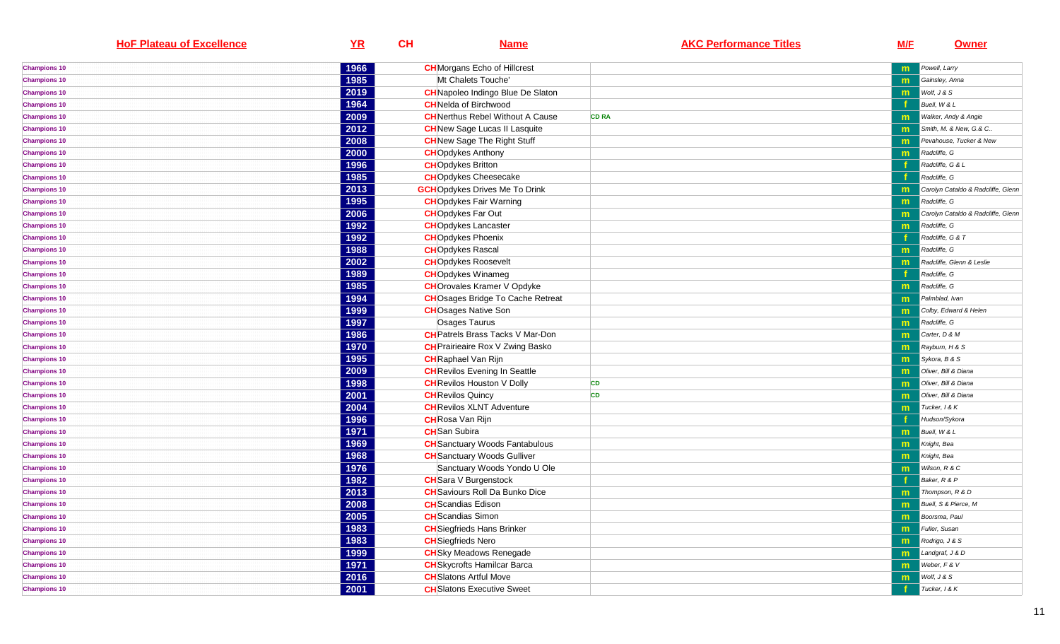| <b>HoF Plateau of Excellence</b> | YR   | CH | <b>Name</b>                                                         | <b>AKC Performance Titles</b> | <u>M/F</u> | <b>Owner</b>                       |
|----------------------------------|------|----|---------------------------------------------------------------------|-------------------------------|------------|------------------------------------|
| <b>Champions 10</b>              | 1966 |    | <b>CH</b> Morgans Echo of Hillcrest                                 |                               | m          | Powell, Larry                      |
| <b>Champions 10</b>              | 1985 |    | Mt Chalets Touche'                                                  |                               | m          | Gainsley, Anna                     |
| <b>Champions 10</b>              | 2019 |    | <b>CH</b> Napoleo Indingo Blue De Slaton                            |                               | m          | Wolf, J & S                        |
| <b>Champions 10</b>              | 1964 |    | <b>CH</b> Nelda of Birchwood                                        |                               |            | Buell, W & L                       |
| <b>Champions 10</b>              | 2009 |    | <b>CH</b> Nerthus Rebel Without A Cause                             | <b>CD RA</b>                  | m          | Walker, Andy & Angie               |
| <b>Champions 10</b>              | 2012 |    | <b>CH</b> New Sage Lucas II Lasquite                                |                               | m          | Smith, M. & New, G.& C             |
| <b>Champions 10</b>              | 2008 |    | <b>CH</b> New Sage The Right Stuff                                  |                               | m          | Pevahouse, Tucker & New            |
| <b>Champions 10</b>              | 2000 |    | <b>CH</b> Opdykes Anthony                                           |                               | m          | Radcliffe, G                       |
| <b>Champions 10</b>              | 1996 |    | <b>CHO</b> pdykes Britton                                           |                               |            | Radcliffe, G & L                   |
| <b>Champions 10</b>              | 1985 |    | <b>CH</b> Opdykes Cheesecake                                        |                               |            | Radcliffe, G                       |
| <b>Champions 10</b>              | 2013 |    | <b>GCH</b> Opdykes Drives Me To Drink                               |                               | m          | Carolyn Cataldo & Radcliffe, Glenn |
| <b>Champions 10</b>              | 1995 |    | <b>CH</b> Opdykes Fair Warning                                      |                               | m          | Radcliffe, G                       |
| <b>Champions 10</b>              | 2006 |    | <b>CHO</b> pdykes Far Out                                           |                               | m          | Carolyn Cataldo & Radcliffe, Glenn |
| <b>Champions 10</b>              | 1992 |    | <b>CHO</b> pdykes Lancaster                                         |                               | m          | Radcliffe, G                       |
| <b>Champions 10</b>              | 1992 |    | <b>CH</b> Opdykes Phoenix                                           |                               |            | Radcliffe, G & T                   |
| <b>Champions 10</b>              | 1988 |    | <b>CHO</b> pdykes Rascal                                            |                               | m          | Radcliffe, G                       |
| <b>Champions 10</b>              | 2002 |    | <b>CH</b> Opdykes Roosevelt                                         |                               | m          | Radcliffe, Glenn & Leslie          |
| <b>Champions 10</b>              | 1989 |    | <b>CH</b> Opdykes Winameg                                           |                               |            | Radcliffe, G                       |
| <b>Champions 10</b>              | 1985 |    | <b>CH</b> Orovales Kramer V Opdyke                                  |                               | m          | Radcliffe, G                       |
| <b>Champions 10</b>              | 1994 |    | <b>CH</b> Osages Bridge To Cache Retreat                            |                               | m          | Palmblad, Ivan                     |
| <b>Champions 10</b>              | 1999 |    | <b>CH</b> Osages Native Son                                         |                               | m          | Colby, Edward & Helen              |
| <b>Champions 10</b>              | 1997 |    | Osages Taurus                                                       |                               | m          | Radcliffe, G                       |
| <b>Champions 10</b>              | 1986 |    | <b>CH</b> Patrels Brass Tacks V Mar-Don                             |                               | m          | Carter, D & M                      |
| <b>Champions 10</b>              | 1970 |    | <b>CH</b> Prairieaire Rox V Zwing Basko                             |                               | m          | Rayburn, H & S                     |
| <b>Champions 10</b>              | 1995 |    | <b>CH</b> Raphael Van Rijn                                          |                               | m          | Sykora, B & S                      |
| <b>Champions 10</b>              | 2009 |    | <b>CH</b> Revilos Evening In Seattle                                |                               | m          | Oliver, Bill & Diana               |
| <b>Champions 10</b>              | 1998 |    | <b>CH</b> Revilos Houston V Dolly                                   | CD                            | m          | Oliver, Bill & Diana               |
| <b>Champions 10</b>              | 2001 |    | <b>CH</b> Revilos Quincy                                            | <b>CD</b>                     | m          | Oliver, Bill & Diana               |
| <b>Champions 10</b>              | 2004 |    | <b>CH</b> Revilos XLNT Adventure                                    |                               | m          | Tucker, 1 & K                      |
| <b>Champions 10</b>              | 1996 |    | <b>CH</b> Rosa Van Rijn                                             |                               |            | Hudson/Sykora                      |
| <b>Champions 10</b>              | 1971 |    | <b>CH</b> San Subira                                                |                               | m          | Buell, W & L                       |
| <b>Champions 10</b>              | 1969 |    | <b>CH</b> Sanctuary Woods Fantabulous                               |                               | m          | Knight, Bea                        |
| <b>Champions 10</b>              | 1968 |    | <b>CH</b> Sanctuary Woods Gulliver                                  |                               | m          | Knight, Bea                        |
| <b>Champions 10</b>              | 1976 |    | Sanctuary Woods Yondo U Ole                                         |                               | m          | Wilson, R & C                      |
| <b>Champions 10</b>              | 1982 |    | <b>CH</b> Sara V Burgenstock                                        |                               |            | Baker, R & P                       |
| <b>Champions 10</b>              | 2013 |    | <b>CH</b> Saviours Roll Da Bunko Dice                               |                               | m          | Thompson, R & D                    |
| <b>Champions 10</b>              | 2008 |    | <b>CH</b> Scandias Edison                                           |                               | m          | Buell, S & Pierce, M               |
| <b>Champions 10</b>              | 2005 |    | <b>CH</b> Scandias Simon                                            |                               | m          | Boorsma, Paul                      |
| <b>Champions 10</b>              | 1983 |    | <b>CH</b> Siegfrieds Hans Brinker                                   |                               | m          | Fuller, Susan                      |
| <b>Champions 10</b>              | 1983 |    | <b>CH</b> Siegfrieds Nero                                           |                               |            | Rodrigo, J & S                     |
| <b>Champions 10</b>              | 1999 |    | <b>CH</b> Sky Meadows Renegade                                      |                               | m          | Landgraf, J & D                    |
|                                  | 1971 |    |                                                                     |                               | m          | Weber, F & V                       |
| <b>Champions 10</b>              |      |    | <b>CH</b> Skycrofts Hamilcar Barca<br><b>CH</b> Slatons Artful Move |                               | m          |                                    |
| <b>Champions 10</b>              | 2016 |    |                                                                     |                               | m          | Wolf, J & S                        |
| <b>Champions 10</b>              | 2001 |    | <b>CH</b> Slatons Executive Sweet                                   |                               |            | Tucker, 1 & K                      |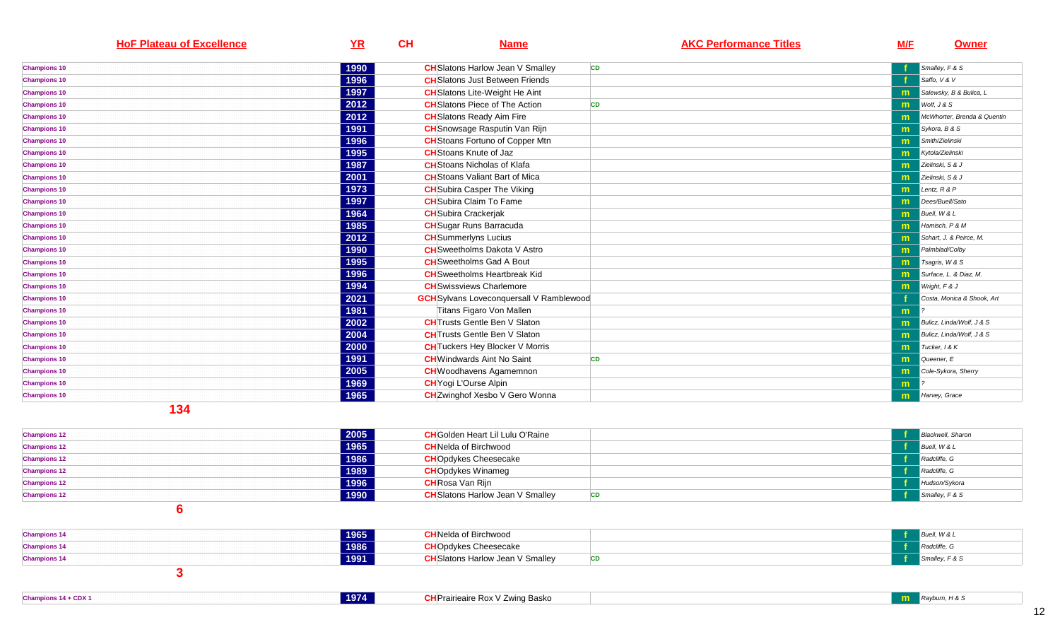| <b>HoF Plateau of Excellence</b>             | YR   | CH | <b>Name</b>                                     | <b>AKC Performance Titles</b> | <b>M/F</b> | <b>Owner</b>                |
|----------------------------------------------|------|----|-------------------------------------------------|-------------------------------|------------|-----------------------------|
| <b>Champions 10</b>                          | 1990 |    | <b>CH</b> Slatons Harlow Jean V Smalley         | <b>CD</b>                     |            | Smalley, F & S              |
| <b>Champions 10</b>                          | 1996 |    | <b>CH</b> Slatons Just Between Friends          |                               |            | Saffo, V & V                |
| <b>Champions 10</b>                          | 1997 |    | <b>CH</b> Slatons Lite-Weight He Aint           |                               | m.         | Salewsky, B & Bulica, L     |
| <b>Champions 10</b>                          | 2012 |    | <b>CH</b> Slatons Piece of The Action           | <b>CD</b>                     | m          | Wolf, J & S                 |
| <b>Champions 10</b>                          | 2012 |    | <b>CH</b> Slatons Ready Aim Fire                |                               | m          | McWhorter, Brenda & Quentin |
| <b>Champions 10</b>                          | 1991 |    | <b>CH</b> Snowsage Rasputin Van Rijn            |                               | m          | Sykora, B & S               |
| <b>Champions 10</b>                          | 1996 |    | <b>CH</b> Stoans Fortuno of Copper Mtn          |                               | m          | Smith/Zielinski             |
| <b>Champions 10</b>                          | 1995 |    | <b>CH</b> Stoans Knute of Jaz                   |                               | m          | Kytola/Zielinski            |
| <b>Champions 10</b>                          | 1987 |    | <b>CH</b> Stoans Nicholas of Klafa              |                               | m          | Zielinski, S & J            |
| <b>Champions 10</b>                          | 2001 |    | <b>CH</b> Stoans Valiant Bart of Mica           |                               | m          | Zielinski, S & J            |
| <b>Champions 10</b>                          | 1973 |    | <b>CH</b> Subira Casper The Viking              |                               | m.         | Lentz, $R$ & $P$            |
| <b>Champions 10</b>                          | 1997 |    | <b>CH</b> Subira Claim To Fame                  |                               | m          | Dees/Buell/Sato             |
| <b>Champions 10</b>                          | 1964 |    | <b>CH</b> Subira Crackerjak                     |                               | m.         | Buell, W & L                |
| <b>Champions 10</b>                          | 1985 |    | <b>CH</b> Sugar Runs Barracuda                  |                               | m          | Hamisch, P & M              |
| <b>Champions 10</b>                          | 2012 |    | <b>CH</b> Summerlyns Lucius                     |                               | m          | Schart, J. & Peirce, M.     |
| <b>Champions 10</b>                          | 1990 |    | <b>CH</b> Sweetholms Dakota V Astro             |                               | m          | Palmblad/Colby              |
| <b>Champions 10</b>                          | 1995 |    | <b>CH</b> Sweetholms Gad A Bout                 |                               | m          | Tsagris, W & S              |
| <b>Champions 10</b>                          | 1996 |    | <b>CH</b> Sweetholms Heartbreak Kid             |                               | m          | Surface, L. & Diaz, M.      |
| <b>Champions 10</b>                          | 1994 |    | <b>CH</b> Swissviews Charlemore                 |                               | m.         | Wright, F & J               |
| <b>Champions 10</b>                          | 2021 |    | <b>GCH</b> Sylvans Loveconquersall V Ramblewood |                               |            | Costa, Monica & Shook, Art  |
| <b>Champions 10</b>                          | 1981 |    | Titans Figaro Von Mallen                        |                               | m          |                             |
| <b>Champions 10</b>                          | 2002 |    | <b>CH</b> Trusts Gentle Ben V Slaton            |                               | m          | Bulicz, Linda/Wolf, J & S   |
| <b>Champions 10</b>                          | 2004 |    | <b>CH</b> Trusts Gentle Ben V Slaton            |                               | m          | Bulicz, Linda/Wolf, J & S   |
| <b>Champions 10</b>                          | 2000 |    | <b>CH</b> Tuckers Hey Blocker V Morris          |                               | m          | Tucker, I & K               |
| <b>Champions 10</b>                          | 1991 |    | <b>CH</b> Windwards Aint No Saint               | <b>CD</b>                     | m          | Queener, E                  |
| <b>Champions 10</b>                          | 2005 |    | <b>CH</b> Woodhavens Agamemnon                  |                               | m          | Cole-Sykora, Sherry         |
| <b>Champions 10</b>                          | 1969 |    | <b>CH</b> Yogi L'Ourse Alpin                    |                               | m.         |                             |
| <b>Champions 10</b>                          | 1965 |    | <b>CH</b> Zwinghof Xesbo V Gero Wonna           |                               | m          | Harvey, Grace               |
| $\overline{A}$ $\overline{A}$ $\overline{A}$ |      |    |                                                 |                               |            |                             |

| <b>Champions 12</b> | 2005 | <b>CH</b> Golden Heart Lil Lulu O'Raine |           | <b>Blackwell</b> , Sharon |
|---------------------|------|-----------------------------------------|-----------|---------------------------|
| <b>Champions 12</b> | 1965 | <b>CH</b> Nelda of Birchwood            |           | Buell, W & L              |
| <b>Champions 12</b> | 1986 | <b>CHO</b> pdykes Cheesecake            |           | Radcliffe, G              |
| <b>Champions 12</b> | 1989 | <b>CH</b> Opdykes Winameg               |           | Radcliffe, G              |
| <b>Champions 12</b> | 1996 | <b>CH</b> Rosa Van Rijn                 |           | Hudson/Sykora             |
| <b>Champions 12</b> | 1990 | <b>CH</b> Slatons Harlow Jean V Smalley | <b>CD</b> | Smally, F & S             |
|                     |      |                                         |           |                           |

| <b>Champions 14</b> | 1965 | <b>CH</b> Nelda of Birchwood            |  | Buell, W & L  |
|---------------------|------|-----------------------------------------|--|---------------|
| <b>Champions 14</b> | 1986 | <b>CH</b> Opdykes Cheesecake            |  | Radcliffe, G  |
| <b>Champions 14</b> | 1991 | <b>CH</b> Slatons Harlow Jean V Smalley |  | Smally, F & S |
|                     |      |                                         |  |               |

| Champions 14 + CDX | 1974 | <b>CH</b> Prairieaire Rox V Zwing Basko | . H & |
|--------------------|------|-----------------------------------------|-------|
|                    |      |                                         |       |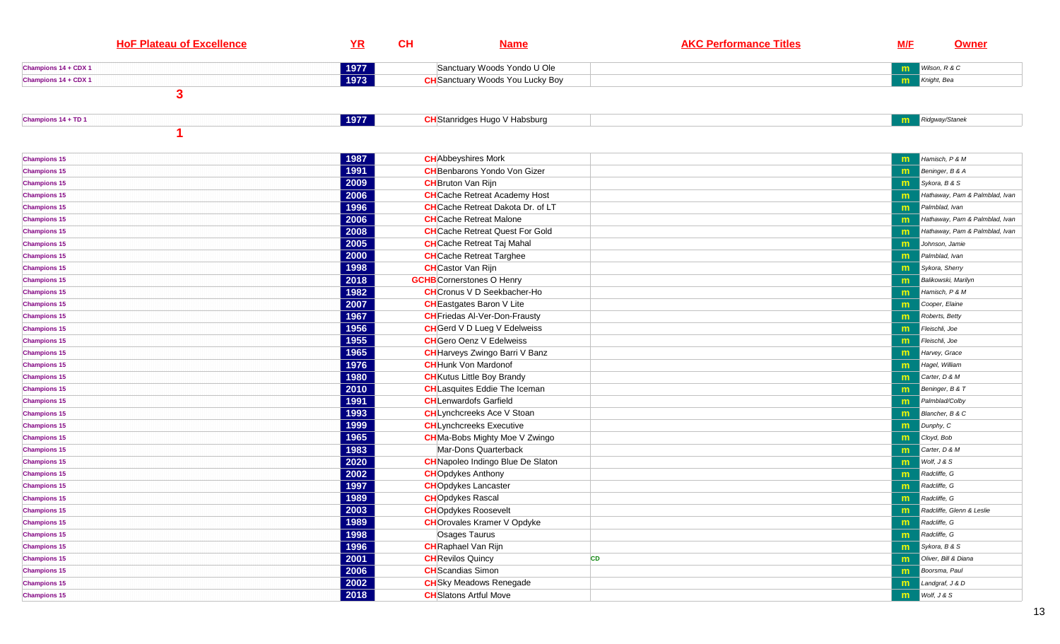| <b>HoF Plateau of Excellence</b> | YR   | CH | <b>Name</b>                              | <b>AKC Performance Titles</b> | <b>M/F</b>   | <b>Owner</b>                   |
|----------------------------------|------|----|------------------------------------------|-------------------------------|--------------|--------------------------------|
| Champions 14 + CDX 1             | 1977 |    | Sanctuary Woods Yondo U Ole              |                               | m            | Wilson, R & C                  |
| Champions 14 + CDX 1             | 1973 |    | <b>CH</b> Sanctuary Woods You Lucky Boy  |                               | m            | Knight, Bea                    |
| $\mathbf{3}$                     |      |    |                                          |                               |              |                                |
| Champions 14 + TD 1              | 1977 |    | <b>CH</b> Stanridges Hugo V Habsburg     |                               | m.           | Ridgway/Stanek                 |
|                                  |      |    |                                          |                               |              |                                |
| <b>Champions 15</b>              | 1987 |    | <b>CH</b> Abbeyshires Mork               |                               | m            | Hamisch, P & M                 |
| <b>Champions 15</b>              | 1991 |    | <b>CH</b> Benbarons Yondo Von Gizer      |                               | m            | Beninger, B & A                |
| <b>Champions 15</b>              | 2009 |    | <b>CH</b> Bruton Van Rijn                |                               | m            | Sykora, B & S                  |
| <b>Champions 15</b>              | 2006 |    | <b>CH</b> Cache Retreat Academy Host     |                               | m            | Hathaway, Pam & Palmblad, Ivan |
| <b>Champions 15</b>              | 1996 |    | <b>CH</b> Cache Retreat Dakota Dr. of LT |                               | m            | Palmblad, Ivan                 |
| <b>Champions 15</b>              | 2006 |    | <b>CH</b> Cache Retreat Malone           |                               | m            | Hathaway, Pam & Palmblad, Ivan |
| <b>Champions 15</b>              | 2008 |    | <b>CH</b> Cache Retreat Quest For Gold   |                               | m            | Hathaway, Pam & Palmblad, Ivan |
| <b>Champions 15</b>              | 2005 |    | <b>CH</b> Cache Retreat Taj Mahal        |                               | m            | Johnson, Jamie                 |
| <b>Champions 15</b>              | 2000 |    | <b>CH</b> Cache Retreat Targhee          |                               | m            | Palmblad, Ivan                 |
| <b>Champions 15</b>              | 1998 |    | <b>CH</b> Castor Van Rijn                |                               | m            | Sykora, Sherry                 |
| <b>Champions 15</b>              | 2018 |    | <b>GCHB</b> Cornerstones O Henry         |                               | m            | Balikowski, Marilyn            |
| <b>Champions 15</b>              | 1982 |    | <b>CH</b> Cronus V D Seekbacher-Ho       |                               | m            | Hamisch, P & M                 |
| <b>Champions 15</b>              | 2007 |    | <b>CH</b> Eastgates Baron V Lite         |                               | m            | Cooper, Elaine                 |
| <b>Champions 15</b>              | 1967 |    | <b>CH</b> Friedas Al-Ver-Don-Frausty     |                               | m            | Roberts, Betty                 |
| <b>Champions 15</b>              | 1956 |    | <b>CH</b> Gerd V D Lueg V Edelweiss      |                               | m            | Fleischli, Joe                 |
| <b>Champions 15</b>              | 1955 |    | <b>CH</b> Gero Oenz V Edelweiss          |                               | m            | Fleischli, Joe                 |
| <b>Champions 15</b>              | 1965 |    | <b>CH</b> Harveys Zwingo Barri V Banz    |                               | m            | Harvey, Grace                  |
| <b>Champions 15</b>              | 1976 |    | <b>CH</b> Hunk Von Mardonof              |                               | m            | Hagel, William                 |
| <b>Champions 15</b>              | 1980 |    | <b>CH</b> Kutus Little Boy Brandy        |                               | m            | Carter, D & M                  |
| <b>Champions 15</b>              | 2010 |    | <b>CH</b> Lasquites Eddie The Iceman     |                               | m            | Beninger, B & T                |
| <b>Champions 15</b>              | 1991 |    | <b>CH</b> Lenwardofs Garfield            |                               | m            | Palmblad/Colby                 |
| <b>Champions 15</b>              | 1993 |    | <b>CH</b> Lynchcreeks Ace V Stoan        |                               | m            | Blancher, B & C                |
| <b>Champions 15</b>              | 1999 |    | <b>CH</b> Lynchcreeks Executive          |                               | m            | Dunphy, C                      |
| <b>Champions 15</b>              | 1965 |    | <b>CH</b> Ma-Bobs Mighty Moe V Zwingo    |                               | m            | Cloyd, Bob                     |
| <b>Champions 15</b>              | 1983 |    | Mar-Dons Quarterback                     |                               | m            | Carter, D & M                  |
| <b>Champions 15</b>              | 2020 |    | <b>CH</b> Napoleo Indingo Blue De Slaton |                               | m            | Wolf, J & S                    |
| <b>Champions 15</b>              | 2002 |    | <b>CH</b> Opdykes Anthony                |                               | m            | Radcliffe, G                   |
| <b>Champions 15</b>              | 1997 |    | <b>CH</b> Opdykes Lancaster              |                               | m            | Radcliffe, G                   |
| <b>Champions 15</b>              | 1989 |    | <b>CH</b> Opdykes Rascal                 |                               | m            | Radcliffe, G                   |
| <b>Champions 15</b>              | 2003 |    | <b>CH</b> Opdykes Roosevelt              |                               | $\mathbf{m}$ | Radcliffe, Glenn & Leslie      |
| <b>Champions 15</b>              | 1989 |    | <b>CH</b> Orovales Kramer V Opdyke       |                               | m            | Radcliffe, G                   |
| <b>Champions 15</b>              | 1998 |    | Osages Taurus                            |                               | m            | Radcliffe, G                   |
| <b>Champions 15</b>              | 1996 |    | <b>CH</b> Raphael Van Rijn               |                               | m            | Sykora, B & S                  |
| <b>Champions 15</b>              | 2001 |    | <b>CH</b> Revilos Quincy                 | CD                            | m            | Oliver, Bill & Diana           |
| <b>Champions 15</b>              | 2006 |    | <b>CH</b> Scandias Simon                 |                               | m            | Boorsma, Paul                  |
| <b>Champions 15</b>              | 2002 |    | <b>CH</b> Sky Meadows Renegade           |                               | m            | Landgraf, J & D                |
| <b>Champions 15</b>              | 2018 |    | <b>CH</b> Slatons Artful Move            |                               | m            | Wolf, J & S                    |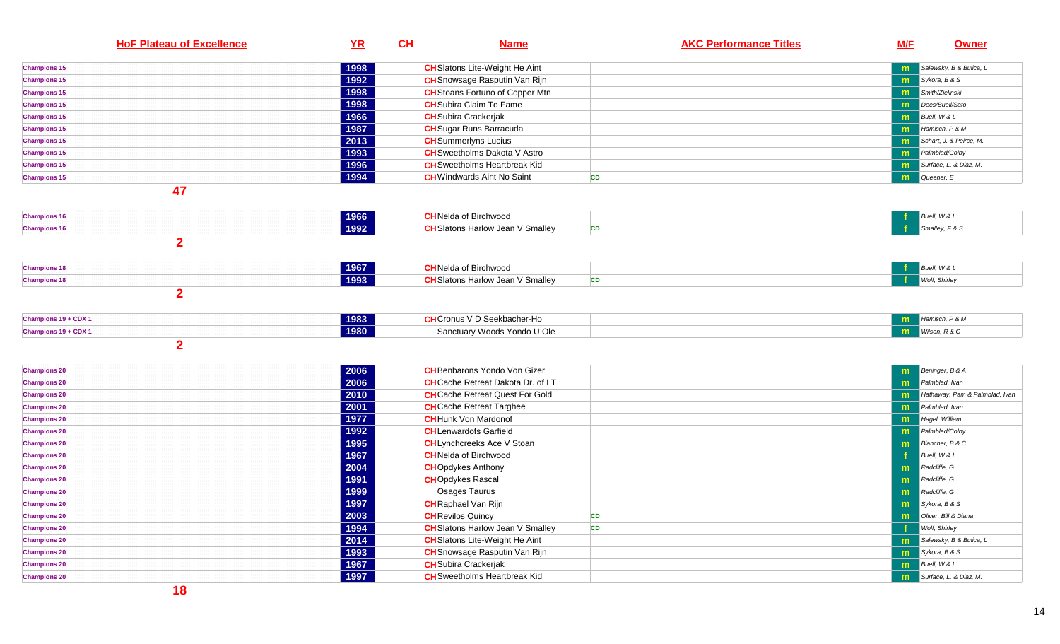| <b>HoF Plateau of Excellence</b>           | <u>YR</u>    | <b>CH</b> | <u>Name</u>                              | <b>AKC Performance Titles</b> | <b>M/E</b> | <u>Owner</u>                    |
|--------------------------------------------|--------------|-----------|------------------------------------------|-------------------------------|------------|---------------------------------|
| <b>Champions 15</b>                        | 1998         |           | <b>CH</b> Slatons Lite-Weight He Aint    |                               | m          | Salewsky, B & Bulica, L         |
| <b>Champions 15</b>                        | 1992         |           | <b>CH</b> Snowsage Rasputin Van Rijn     |                               | m          | Sykora, B & S                   |
| <b>Champions 15</b>                        | 1998         |           | <b>CH</b> Stoans Fortuno of Copper Mtn   |                               | m          | Smith/Zielinski                 |
| <b>Champions 15</b>                        | 1998         |           | <b>CH</b> Subira Claim To Fame           |                               | m          | Dees/Buell/Sato                 |
| <b>Champions 15</b>                        | 1966         |           | <b>CH</b> Subira Crackerjak              |                               | m          | Buell, W & L                    |
| <b>Champions 15</b>                        | 1987         |           | <b>CH</b> Sugar Runs Barracuda           |                               | m          | Hamisch, P & M                  |
| <b>Champions 15</b>                        | 2013         |           | <b>CH</b> Summerlyns Lucius              |                               | m          | Schart, J. & Peirce, M.         |
| <b>Champions 15</b>                        | 1993         |           | <b>CH</b> Sweetholms Dakota V Astro      |                               | m          | Palmblad/Colby                  |
| <b>Champions 15</b>                        | 1996         |           | <b>CH</b> Sweetholms Heartbreak Kid      |                               | m          | Surface, L. & Diaz, M.          |
| <b>Champions 15</b>                        | 1994         |           | <b>CH</b> Windwards Aint No Saint        | <b>CD</b>                     | m          | Queener, E                      |
| 47                                         |              |           |                                          |                               |            |                                 |
| <b>Champions 16</b>                        | 1966         |           | <b>CH</b> Nelda of Birchwood             |                               |            | Buell, W & L                    |
| <b>Champions 16</b>                        | 1992         |           | <b>CH</b> Slatons Harlow Jean V Smalley  | <b>CD</b>                     |            | Smalley, F & S                  |
| $\overline{2}$                             |              |           |                                          |                               |            |                                 |
| <b>Champions 18</b>                        | 1967         |           | <b>CH</b> Nelda of Birchwood             |                               |            | Buell, W & L                    |
| <b>Champions 18</b>                        | 1993         |           | <b>CH</b> Slatons Harlow Jean V Smalley  | <b>CD</b>                     |            | Wolf, Shirley                   |
| $\overline{2}$<br>Champions 19 + CDX 1     | 1983         |           | <b>CH</b> Cronus V D Seekbacher-Ho       |                               |            | Hamisch, P & M                  |
| Champions 19 + CDX 1                       | 1980         |           | Sanctuary Woods Yondo U Ole              |                               | m<br>m     | Wilson, R & C                   |
| $\overline{2}$                             |              |           |                                          |                               |            |                                 |
|                                            |              |           |                                          |                               |            |                                 |
| <b>Champions 20</b>                        | 2006         |           | <b>CH</b> Benbarons Yondo Von Gizer      |                               | m          | Beninger, B & A                 |
| <b>Champions 20</b>                        | 2006         |           | <b>CH</b> Cache Retreat Dakota Dr. of LT |                               | m          | Palmblad, Ivan                  |
| <b>Champions 20</b>                        | 2010         |           | <b>CH</b> Cache Retreat Quest For Gold   |                               | m          | Hathaway, Pam & Palmblad, Ivan  |
| <b>Champions 20</b>                        | 2001         |           | <b>CH</b> Cache Retreat Targhee          |                               | m          | Palmblad, Ivan                  |
| <b>Champions 20</b>                        | 1977         |           | <b>CH</b> Hunk Von Mardonof              |                               | m          | Hagel, William                  |
| <b>Champions 20</b>                        | 1992         |           | <b>CH</b> Lenwardofs Garfield            |                               | m          | Palmblad/Colby                  |
| <b>Champions 20</b>                        | 1995         |           | <b>CH</b> Lynchcreeks Ace V Stoan        |                               | m          | Blancher, B & C<br>Buell, W & L |
| <b>Champions 20</b>                        | 1967<br>2004 |           | <b>CH</b> Nelda of Birchwood             |                               |            | Radcliffe, G                    |
| <b>Champions 20</b>                        | 1991         |           | <b>CH</b> Opdykes Anthony                |                               | m          | Radcliffe, G                    |
| <b>Champions 20</b><br><b>Champions 20</b> | 1999         |           | <b>CHOpdykes Rascal</b><br>Osages Taurus |                               | m          | Radcliffe, G                    |
| <b>Champions 20</b>                        | 1997         |           | <b>CH</b> Raphael Van Rijn               |                               | m<br>m     | Sykora, B & S                   |
| <b>Champions 20</b>                        | 2003         |           | <b>CH</b> Revilos Quincy                 | <b>CD</b>                     | m          | Oliver, Bill & Diana            |
| <b>Champions 20</b>                        | 1994         |           | <b>CH</b> Slatons Harlow Jean V Smalley  | <b>CD</b>                     |            | Wolf, Shirley                   |
| <b>Champions 20</b>                        | 2014         |           | <b>CH</b> Slatons Lite-Weight He Aint    |                               | m          | Salewsky, B & Bulica, L         |
| <b>Champions 20</b>                        | 1993         |           | <b>CH</b> Snowsage Rasputin Van Rijn     |                               | m          | Sykora, B & S                   |
| <b>Champions 20</b>                        | 1967         |           | <b>CH</b> Subira Crackerjak              |                               | m          | Buell, W & L                    |
| <b>Champions 20</b>                        | 1997         |           | <b>CH</b> Sweetholms Heartbreak Kid      |                               | m          | Surface, L. & Diaz, M.          |
| $\overline{1}$                             |              |           |                                          |                               |            |                                 |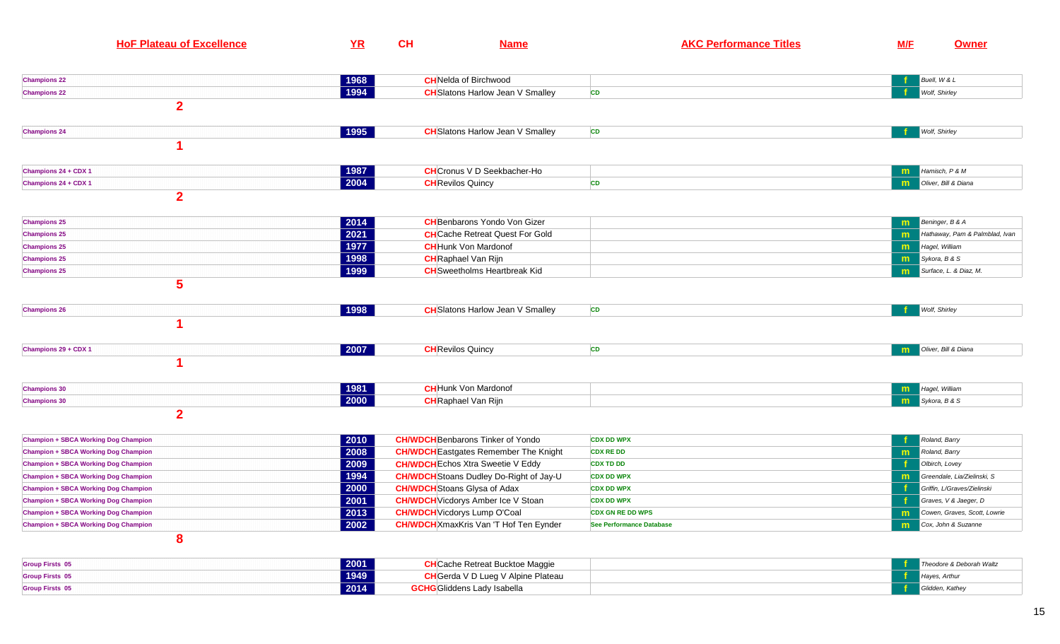| <b>HoF Plateau of Excellence</b>            | YR             | CH | <b>Name</b>                                    | <b>AKC Performance Titles</b>   | <b>M/F</b> | <b>Owner</b>                   |
|---------------------------------------------|----------------|----|------------------------------------------------|---------------------------------|------------|--------------------------------|
| <b>Champions 22</b>                         | 1968           |    | <b>CH</b> Nelda of Birchwood                   |                                 |            | Buell, W & L                   |
| <b>Champions 22</b>                         | 1994           |    | <b>CH</b> Slatons Harlow Jean V Smalley        | CD                              |            | Wolf, Shirley                  |
| $\overline{2}$                              |                |    |                                                |                                 |            |                                |
| <b>Champions 24</b>                         | 1995           |    | <b>CH</b> Slatons Harlow Jean V Smalley        | CD                              |            | Wolf, Shirley                  |
|                                             |                |    |                                                |                                 |            |                                |
| Champions 24 + CDX 1                        | 1987           |    | <b>CH</b> Cronus V D Seekbacher-Ho             |                                 | m          | Hamisch, P & M                 |
| Champions 24 + CDX 1                        | 2004           |    | <b>CH</b> Revilos Quincy                       | <b>CD</b>                       | m          | Oliver, Bill & Diana           |
| $\overline{2}$                              |                |    |                                                |                                 |            |                                |
| <b>Champions 25</b>                         | 2014           |    | <b>CH</b> Benbarons Yondo Von Gizer            |                                 | m          | Beninger, B & A                |
| <b>Champions 25</b>                         | $\boxed{2021}$ |    | <b>CH</b> Cache Retreat Quest For Gold         |                                 | m          | Hathaway, Pam & Palmblad, Ivan |
| <b>Champions 25</b>                         | 1977           |    | <b>CH</b> Hunk Von Mardonof                    |                                 | m          | Hagel, William                 |
| <b>Champions 25</b>                         | 1998           |    | <b>CH</b> Raphael Van Rijn                     |                                 | m          | Sykora, B & S                  |
| <b>Champions 25</b>                         | 1999           |    | <b>CH</b> Sweetholms Heartbreak Kid            |                                 | m          | Surface, L. & Diaz, M.         |
| 5                                           |                |    |                                                |                                 |            |                                |
| <b>Champions 26</b>                         | 1998           |    | <b>CH</b> Slatons Harlow Jean V Smalley        | <b>CD</b>                       |            | Wolf, Shirley                  |
|                                             |                |    |                                                |                                 |            |                                |
| Champions 29 + CDX 1                        | $ 2007\rangle$ |    | <b>CH</b> Revilos Quincy                       | <b>CD</b>                       | m          | Oliver, Bill & Diana           |
|                                             |                |    |                                                |                                 |            |                                |
| <b>Champions 30</b>                         | 1981           |    | <b>CH</b> Hunk Von Mardonof                    |                                 | m          | Hagel, William                 |
| <b>Champions 30</b>                         | 2000           |    | <b>CH</b> Raphael Van Rijn                     |                                 | m          | Sykora, B & S                  |
| $\mathbf{2}$                                |                |    |                                                |                                 |            |                                |
| <b>Champion + SBCA Working Dog Champion</b> | 2010           |    | <b>CH/WDCH</b> Benbarons Tinker of Yondo       | <b>CDX DD WPX</b>               |            | Roland, Barry                  |
| <b>Champion + SBCA Working Dog Champion</b> | 2008           |    | <b>CH/WDCH</b> Eastgates Remember The Knight   | <b>CDX RE DD</b>                | m          | Roland, Barry                  |
| <b>Champion + SBCA Working Dog Champion</b> | 2009           |    | <b>CH/WDCH</b> Echos Xtra Sweetie V Eddy       | <b>CDX TD DD</b>                |            | Olbirch, Lovey                 |
| <b>Champion + SBCA Working Dog Champion</b> | 1994           |    | <b>CH/WDCH</b> Stoans Dudley Do-Right of Jay-U | <b>CDX DD WPX</b>               | m          | Greendale, Lia/Zielinski, S    |
| <b>Champion + SBCA Working Dog Champion</b> | 2000           |    | <b>CH/WDCH</b> Stoans Glysa of Adax            | <b>CDX DD WPX</b>               |            | Griffin, L/Graves/Zielinski    |
| <b>Champion + SBCA Working Dog Champion</b> | 2001           |    | <b>CH/WDCH</b> Vicdorys Amber Ice V Stoan      | <b>CDX DD WPX</b>               |            | Graves, V & Jaeger, D          |
| <b>Champion + SBCA Working Dog Champion</b> | 2013           |    | <b>CH/WDCH</b> Vicdorys Lump O'Coal            | <b>CDX GN RE DD WPS</b>         | m          | Cowen, Graves, Scott, Lowrie   |
| <b>Champion + SBCA Working Dog Champion</b> | 2002           |    | <b>CH/WDCH</b> XmaxKris Van 'T Hof Ten Eynder  | <b>See Performance Database</b> | m          | Cox, John & Suzanne            |
| 8                                           |                |    |                                                |                                 |            |                                |

| <b>Group Firsts 05</b> | 2001 | <b>CH</b> Cache Retreat Bucktoe Maggie    | andore & Deborah Waltz |
|------------------------|------|-------------------------------------------|------------------------|
| <b>Group Firsts 05</b> | 1949 | <b>CH</b> Gerda V D Lueg V Alpine Plateau | Haves, Arung           |
| <b>Group Firsts 05</b> | 2014 | <b>GCHG</b> Gliddens Lady Isabella        | Glidden, Kathey        |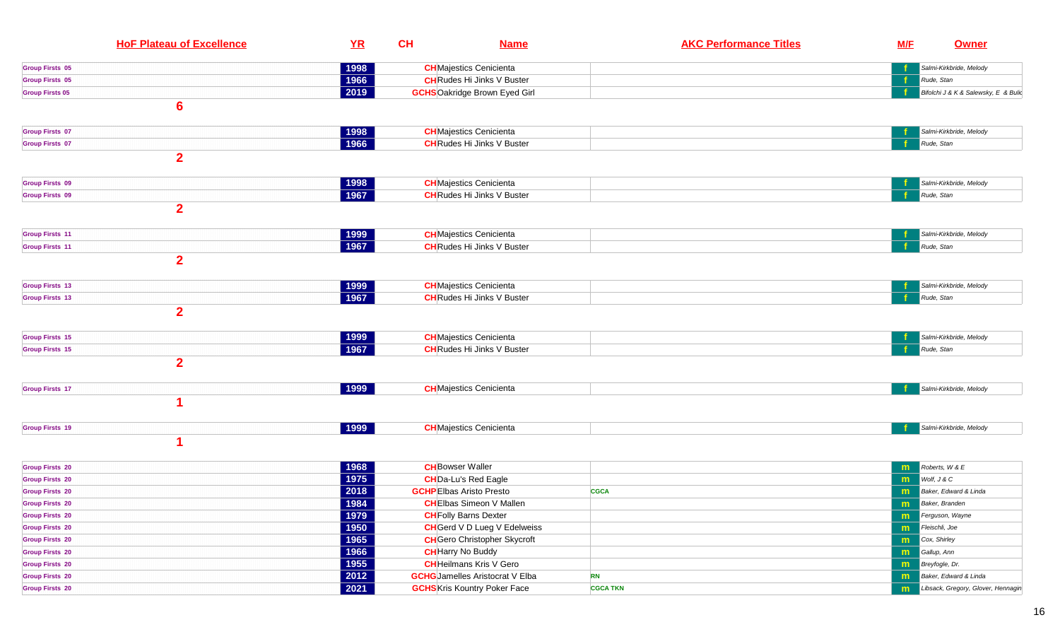| <b>HoF Plateau of Excellence</b> | YR               | CH<br><b>Name</b>                      | <b>AKC Performance Titles</b> | <b>M/F</b> | <b>Owner</b>                         |
|----------------------------------|------------------|----------------------------------------|-------------------------------|------------|--------------------------------------|
| <b>Group Firsts 05</b>           | 1998             | <b>CH</b> Majestics Cenicienta         |                               |            | Salmi-Kirkbride, Melody              |
| <b>Group Firsts 05</b>           | 1966             | <b>CH</b> Rudes Hi Jinks V Buster      |                               |            | Rude, Stan                           |
| <b>Group Firsts 05</b>           | 2019             | <b>GCHS</b> Oakridge Brown Eyed Girl   |                               |            | Bifolchi J & K & Salewsky, E & Bulio |
| $6\phantom{1}$                   |                  |                                        |                               |            |                                      |
| <b>Group Firsts 07</b>           | 1998             | <b>CH</b> Majestics Cenicienta         |                               |            | Salmi-Kirkbride, Melody              |
| <b>Group Firsts 07</b>           | 1966             | <b>CH</b> Rudes Hi Jinks V Buster      |                               |            | Rude, Stan                           |
| $\overline{2}$                   |                  |                                        |                               |            |                                      |
| <b>Group Firsts 09</b>           | 1998             | <b>CH</b> Majestics Cenicienta         |                               |            | Salmi-Kirkbride, Melody              |
| <b>Group Firsts 09</b>           | 1967             | <b>CH</b> Rudes Hi Jinks V Buster      |                               |            | Rude, Stan                           |
| $\overline{2}$                   |                  |                                        |                               |            |                                      |
| <b>Group Firsts 11</b>           | 1999             | <b>CH</b> Majestics Cenicienta         |                               |            | Salmi-Kirkbride, Melody              |
| <b>Group Firsts 11</b>           | 1967             | <b>CH</b> Rudes Hi Jinks V Buster      |                               |            | Rude, Stan                           |
| $\overline{2}$                   |                  |                                        |                               |            |                                      |
| <b>Group Firsts 13</b>           | 1999             | <b>CH</b> Majestics Cenicienta         |                               |            | Salmi-Kirkbride, Melody              |
| <b>Group Firsts 13</b>           | 1967             | <b>CH</b> Rudes Hi Jinks V Buster      |                               |            | Rude, Stan                           |
| $\overline{2}$                   |                  |                                        |                               |            |                                      |
| <b>Group Firsts 15</b>           | 1999             | <b>CH</b> Majestics Cenicienta         |                               |            | Salmi-Kirkbride, Melody              |
| <b>Group Firsts 15</b>           | 1967             | <b>CH</b> Rudes Hi Jinks V Buster      |                               |            | Rude, Stan                           |
| $\overline{2}$                   |                  |                                        |                               |            |                                      |
| <b>Group Firsts 17</b>           | 1999             | <b>CH</b> Majestics Cenicienta         |                               |            | Salmi-Kirkbride, Melody              |
| 1                                |                  |                                        |                               |            |                                      |
| <b>Group Firsts 19</b>           | $ 1999\rangle$   | <b>CH</b> Majestics Cenicienta         |                               |            | Salmi-Kirkbride, Melody              |
| 1                                |                  |                                        |                               |            |                                      |
| <b>Group Firsts 20</b>           | 1968             | <b>CH</b> Bowser Waller                |                               | m          | Roberts, W & E                       |
| <b>Group Firsts 20</b>           | 1975             | <b>CH</b> Da-Lu's Red Eagle            |                               | m          | Wolf, J & C                          |
| <b>Group Firsts 20</b>           | 2018             | <b>GCHP</b> Elbas Aristo Presto        | <b>CGCA</b>                   | m          | Baker, Edward & Linda                |
| <b>Group Firsts 20</b>           | 1984             | <b>CH</b> Elbas Simeon V Mallen        |                               | m          | Baker, Branden                       |
| <b>Group Firsts 20</b>           | 1979             | <b>CH</b> Folly Barns Dexter           |                               | m          | Ferguson, Wayne                      |
| <b>Group Firsts 20</b>           | $\frac{1}{1950}$ | <b>CH</b> Gerd V D Lueg V Edelweiss    |                               | m          | Fleischli, Joe                       |
| <b>Group Firsts 20</b>           | 1965             | <b>CH</b> Gero Christopher Skycroft    |                               | m          | Cox, Shirley                         |
| <b>Group Firsts 20</b>           | 1966             | <b>CH</b> Harry No Buddy               |                               | m          | Gallup, Ann                          |
| <b>Group Firsts 20</b>           | 1955             | <b>CH</b> Heilmans Kris V Gero         |                               | m          | Breyfogle, Dr.                       |
| <b>Group Firsts 20</b>           | $\boxed{2012}$   | <b>GCHG</b> Jamelles Aristocrat V Elba | <b>RN</b>                     | m          | Baker, Edward & Linda                |
| <b>Group Firsts 20</b>           | 2021             | <b>GCHS</b> Kris Kountry Poker Face    | <b>CGCA TKN</b>               | m          | Libsack, Gregory, Glover, Hennagin   |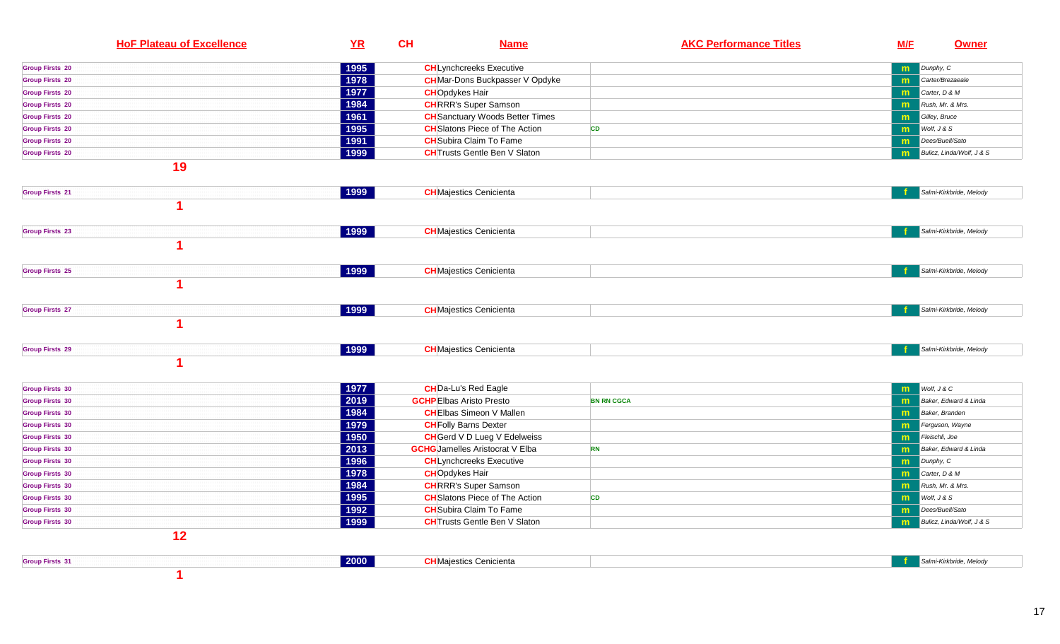| <b>HoF Plateau of Excellence</b> | YR            | CH | <b>Name</b>                            | <b>AKC Performance Titles</b> | <b>M/F</b> | <b>Owner</b>              |
|----------------------------------|---------------|----|----------------------------------------|-------------------------------|------------|---------------------------|
| <b>Group Firsts 20</b>           | 1995          |    | <b>CH</b> Lynchcreeks Executive        |                               | m          | Dunphy, C                 |
| <b>Group Firsts 20</b>           | 1978          |    | <b>CH</b> Mar-Dons Buckpasser V Opdyke |                               | m          | Carter/Brezaeale          |
| <b>Group Firsts 20</b>           | 1977          |    | <b>CHO</b> pdykes Hair                 |                               | m          | Carter, D & M             |
| <b>Group Firsts 20</b>           | 1984          |    | <b>CH</b> RRR's Super Samson           |                               | m          | Rush, Mr. & Mrs.          |
| <b>Group Firsts 20</b>           | 1961          |    | <b>CH</b> Sanctuary Woods Better Times |                               | m          | Gilley, Bruce             |
| <b>Group Firsts 20</b>           | 1995          |    | <b>CH</b> Slatons Piece of The Action  | <b>CD</b>                     | m          | Wolf, J & S               |
| <b>Group Firsts 20</b>           | 1991          |    | <b>CH</b> Subira Claim To Fame         |                               | m          | Dees/Buell/Sato           |
| <b>Group Firsts 20</b>           | 1999          |    | <b>CH</b> Trusts Gentle Ben V Slaton   |                               | m          | Bulicz, Linda/Wolf, J & S |
| 19                               |               |    |                                        |                               |            |                           |
| <b>Group Firsts 21</b>           | $\sqrt{1999}$ |    | <b>CH</b> Majestics Cenicienta         |                               |            | Salmi-Kirkbride, Melody   |
| и                                |               |    |                                        |                               |            |                           |
| <b>Group Firsts 23</b>           | 1999          |    | <b>CH</b> Majestics Cenicienta         |                               |            | Salmi-Kirkbride, Melody   |
| и                                |               |    |                                        |                               |            |                           |
| <b>Group Firsts 25</b>           | 1999          |    | <b>CH</b> Majestics Cenicienta         |                               |            | Salmi-Kirkbride, Melody   |
| и                                |               |    |                                        |                               |            |                           |
| <b>Group Firsts 27</b>           | $\sqrt{1999}$ |    | <b>CH</b> Majestics Cenicienta         |                               |            | Salmi-Kirkbride, Melody   |
| и                                |               |    |                                        |                               |            |                           |
| <b>Group Firsts 29</b>           | 1999          |    | <b>CH</b> Majestics Cenicienta         |                               |            | Salmi-Kirkbride, Melody   |
| 1                                |               |    |                                        |                               |            |                           |
| <b>Group Firsts 30</b>           | 1977          |    | <b>CH</b> Da-Lu's Red Eagle            |                               | m          | Wolf, J & C               |
| <b>Group Firsts 30</b>           | 2019          |    | <b>GCHP</b> Elbas Aristo Presto        | <b>BN RN CGCA</b>             | m          | Baker, Edward & Linda     |
| <b>Group Firsts 30</b>           | 1984          |    | <b>CH</b> Elbas Simeon V Mallen        |                               | m          | Baker, Branden            |
| <b>Group Firsts 30</b>           | 1979          |    | <b>CH</b> Folly Barns Dexter           |                               | m          | Ferguson, Wayne           |
| <b>Group Firsts 30</b>           | 1950          |    | <b>CH</b> Gerd V D Lueg V Edelweiss    |                               | m          | Fleischli, Joe            |
| <b>Group Firsts 30</b>           | 2013          |    | <b>GCHG</b> Jamelles Aristocrat V Elba | <b>RN</b>                     | m          | Baker, Edward & Linda     |
| <b>Group Firsts 30</b>           | 1996          |    | <b>CH</b> Lynchcreeks Executive        |                               | m          | Dunphy, C                 |
| <b>Group Firsts 30</b>           | 1978          |    | <b>CH</b> Opdykes Hair                 |                               | m          | Carter, D & M             |
| <b>Group Firsts 30</b>           | 1984          |    | <b>CH</b> RRR's Super Samson           |                               | m          | Rush, Mr. & Mrs.          |
| <b>Group Firsts 30</b>           | 1995          |    | <b>CH</b> Slatons Piece of The Action  | CD                            | m          | Wolf, J & S               |
| <b>Group Firsts 30</b>           | 1992          |    | <b>CH</b> Subira Claim To Fame         |                               | m          | Dees/Buell/Sato           |
| <b>Group Firsts 30</b>           | 1999          |    | <b>CH</b> Trusts Gentle Ben V Slaton   |                               | m          | Bulicz, Linda/Wolf, J & S |
| 12                               |               |    |                                        |                               |            |                           |
| <b>Group Firsts 31</b>           | 2000          |    | <b>CH</b> Majestics Cenicienta         |                               |            | Salmi-Kirkbride, Melody   |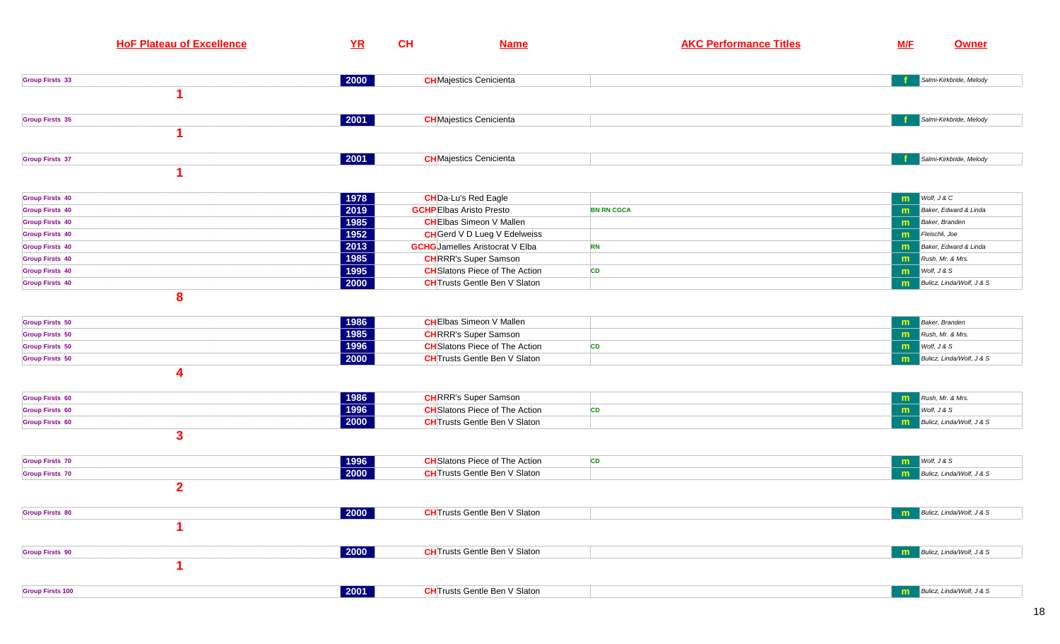| <b>HoF Plateau of Excellence</b> | YR                   | CH | <b>Name</b>                            | <b>AKC Performance Titles</b> | <b>M/F</b> | <b>Owner</b>                          |
|----------------------------------|----------------------|----|----------------------------------------|-------------------------------|------------|---------------------------------------|
|                                  |                      |    |                                        |                               |            |                                       |
| <b>Group Firsts 33</b>           | $ 2000\rangle$       |    | <b>CH</b> Majestics Cenicienta         |                               |            | Salmi-Kirkbride, Melody               |
|                                  |                      |    |                                        |                               |            |                                       |
| <b>Group Firsts 35</b>           | 2001                 |    | <b>CH</b> Majestics Cenicienta         |                               |            | Salmi-Kirkbride, Melody               |
|                                  |                      |    |                                        |                               |            |                                       |
| <b>Group Firsts 37</b>           | 2001                 |    | <b>CH</b> Majestics Cenicienta         |                               |            | Salmi-Kirkbride, Melody               |
|                                  |                      |    |                                        |                               |            |                                       |
| <b>Group Firsts 40</b>           | 1978                 |    | <b>CH</b> Da-Lu's Red Eagle            |                               | m          | Wolf, J & C                           |
| <b>Group Firsts 40</b>           | 2019                 |    | <b>GCHP</b> Elbas Aristo Presto        | <b>BN RN CGCA</b>             | m          | Baker, Edward & Linda                 |
| <b>Group Firsts 40</b>           | 1985                 |    | <b>CH</b> Elbas Simeon V Mallen        |                               | m          | Baker, Branden                        |
| <b>Group Firsts 40</b>           | 1952                 |    | <b>CH</b> Gerd V D Lueg V Edelweiss    |                               | m          | Fleischli, Joe                        |
| <b>Group Firsts 40</b>           | 2013                 |    | <b>GCHG</b> Jamelles Aristocrat V Elba | <b>RN</b>                     | m          | Baker, Edward & Linda                 |
| <b>Group Firsts 40</b>           | 1985                 |    | <b>CH</b> RRR's Super Samson           |                               | m          | Rush, Mr. & Mrs.                      |
| <b>Group Firsts 40</b>           | 1995                 |    | <b>CH</b> Slatons Piece of The Action  | CD                            | m          | Wolf, J & S                           |
| <b>Group Firsts 40</b>           | 2000                 |    | <b>CH</b> Trusts Gentle Ben V Slaton   |                               | m          | Bulicz, Linda/Wolf, J & S             |
| 8                                |                      |    |                                        |                               |            |                                       |
| <b>Group Firsts 50</b>           | 1986                 |    | <b>CH</b> Elbas Simeon V Mallen        |                               | m          | <b>Baker</b> , Branden                |
| <b>Group Firsts 50</b>           | 1985                 |    | <b>CH</b> RRR's Super Samson           |                               | m          | Rush, Mr. & Mrs.                      |
| <b>Group Firsts 50</b>           | 1996                 |    | <b>CH</b> Slatons Piece of The Action  | CD                            | m          | Wolf, J & S                           |
| <b>Group Firsts 50</b>           | 2000                 |    | <b>CH</b> Trusts Gentle Ben V Slaton   |                               | m          | Bulicz, Linda/Wolf, J & S             |
| 4                                |                      |    |                                        |                               |            |                                       |
| <b>Group Firsts 60</b>           | 1986                 |    | <b>CH</b> RRR's Super Samson           |                               | m          | Rush, Mr. & Mrs.                      |
| <b>Group Firsts 60</b>           | 1996                 |    | <b>CH</b> Slatons Piece of The Action  | <b>CD</b>                     | m          | Wolf, J & S                           |
| <b>Group Firsts 60</b>           | 2000                 |    | <b>CH</b> Trusts Gentle Ben V Slaton   |                               | m          | Bulicz, Linda/Wolf, J & S             |
| $\mathbf{3}$                     |                      |    |                                        |                               |            |                                       |
| <b>Group Firsts 70</b>           | 1996                 |    | <b>CH</b> Slatons Piece of The Action  | <b>CD</b>                     | m          | Wolf, J & S                           |
| <b>Group Firsts 70</b>           | 2000                 |    | <b>CH</b> Trusts Gentle Ben V Slaton   |                               | m          | Bulicz, Linda/Wolf, J & S             |
| $\overline{2}$                   |                      |    |                                        |                               |            |                                       |
| <b>Group Firsts 80</b>           | 2000                 |    | <b>CH</b> Trusts Gentle Ben V Slaton   |                               |            | <b>n</b> Bulicz, Linda/Wolf, $J & S$  |
|                                  |                      |    |                                        |                               |            |                                       |
| <b>Group Firsts 90</b>           | 2000                 |    | <b>CH</b> Trusts Gentle Ben V Slaton   |                               | m          | Bulicz, Linda/Wolf, J & S             |
|                                  |                      |    |                                        |                               |            |                                       |
| <b>Group Firsts 100</b>          | $\vert$ 2001 $\vert$ |    | <b>CH</b> Trusts Gentle Ben V Slaton   |                               |            | <b>n</b> Bulicz, Linda/Wolf, $J \& S$ |
|                                  |                      |    |                                        |                               |            |                                       |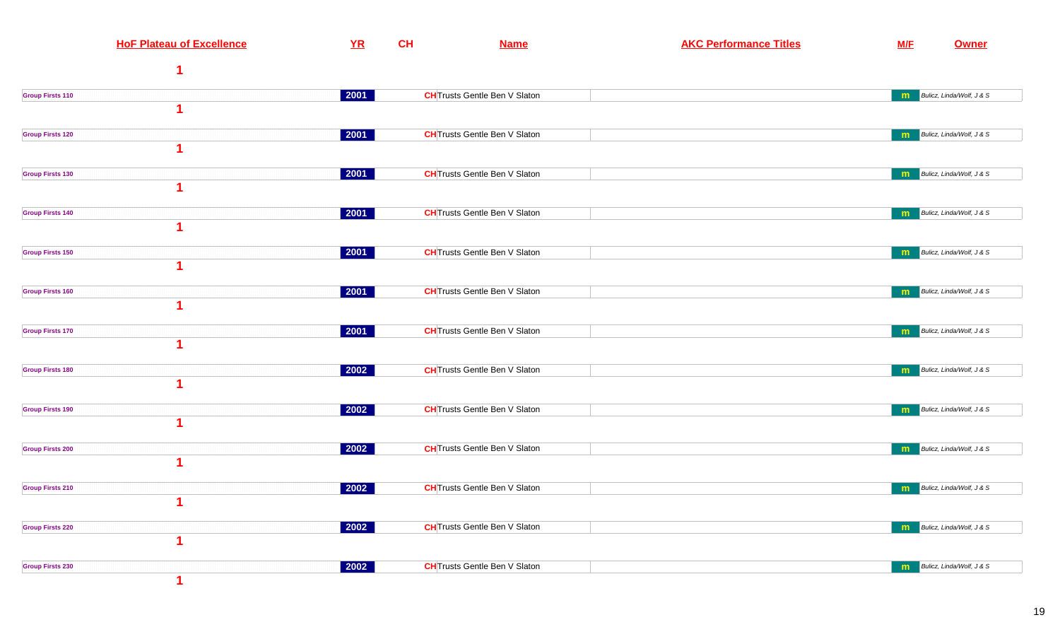| <b>HoF Plateau of Excellence</b>       | YR                   | CH | <b>Name</b>                          | <b>AKC Performance Titles</b> | <b>M/F</b> | <b>Owner</b>                       |
|----------------------------------------|----------------------|----|--------------------------------------|-------------------------------|------------|------------------------------------|
|                                        |                      |    |                                      |                               |            |                                    |
| <b>Group Firsts 110</b>                | 2001                 |    | <b>CH</b> Trusts Gentle Ben V Slaton |                               | m          | Bulicz, Linda/Wolf, J & S          |
|                                        |                      |    |                                      |                               |            |                                    |
| <b>Group Firsts 120</b>                | 2001                 |    | <b>CH</b> Trusts Gentle Ben V Slaton |                               |            | <b>m</b> Bulicz, Linda/Wolf, J & S |
|                                        |                      |    |                                      |                               |            |                                    |
| <b>Group Firsts 130</b>                | $ 2001\rangle$       |    | <b>CH</b> Trusts Gentle Ben V Slaton |                               | m          | Bulicz, Linda/Wolf, J & S          |
| <b>Group Firsts 140</b>                | 2001                 |    | <b>CH</b> Trusts Gentle Ben V Slaton |                               | m          | Bulicz, Linda/Wolf, J & S          |
|                                        |                      |    |                                      |                               |            |                                    |
| <b>Group Firsts 150</b>                | $ 2001\rangle$       |    | <b>CH</b> Trusts Gentle Ben V Slaton |                               | m          | Bulicz, Linda/Wolf, J & S          |
|                                        |                      |    |                                      |                               |            |                                    |
| <b>Group Firsts 160</b>                | 2001                 |    | <b>CH</b> Trusts Gentle Ben V Slaton |                               |            | <b>m</b> Bulicz, Linda/Wolf, J & S |
| 1                                      |                      |    |                                      |                               |            |                                    |
| <b>Group Firsts 170</b><br>1           | $ 2001\rangle$       |    | <b>CH</b> Trusts Gentle Ben V Slaton |                               | m          | Bulicz, Linda/Wolf, J & S          |
| <b>Group Firsts 180</b>                | $ 2002\rangle$       |    | <b>CH</b> Trusts Gentle Ben V Slaton |                               |            | Bulicz, Linda/Wolf, J & S          |
| 1                                      |                      |    |                                      |                               | m          |                                    |
| <b>Group Firsts 190</b>                | $ 2002\rangle$       |    | <b>CH</b> Trusts Gentle Ben V Slaton |                               | m          | Bulicz, Linda/Wolf, J & S          |
|                                        |                      |    |                                      |                               |            |                                    |
| <b>Group Firsts 200</b>                | 2002                 |    | <b>CH</b> Trusts Gentle Ben V Slaton |                               | m          | Bulicz, Linda/Wolf, J & S          |
|                                        |                      |    |                                      |                               |            |                                    |
| <b>Group Firsts 210</b><br>$\mathbf 1$ | $ 2002\rangle$       |    | <b>CH</b> Trusts Gentle Ben V Slaton |                               |            | Bulicz, Linda/Wolf, J & S          |
| <b>Group Firsts 220</b>                | $\sqrt{2002}$        |    | <b>CH</b> Trusts Gentle Ben V Slaton |                               |            | <b>n</b> Bulicz, Linda/Wolf, J & S |
| 1                                      |                      |    |                                      |                               |            |                                    |
| <b>Group Firsts 230</b>                | $\vert$ 2002 $\vert$ |    | <b>CH</b> Trusts Gentle Ben V Slaton |                               |            | <b>m</b> Bulicz, Linda/Wolf, J & S |
|                                        |                      |    |                                      |                               |            |                                    |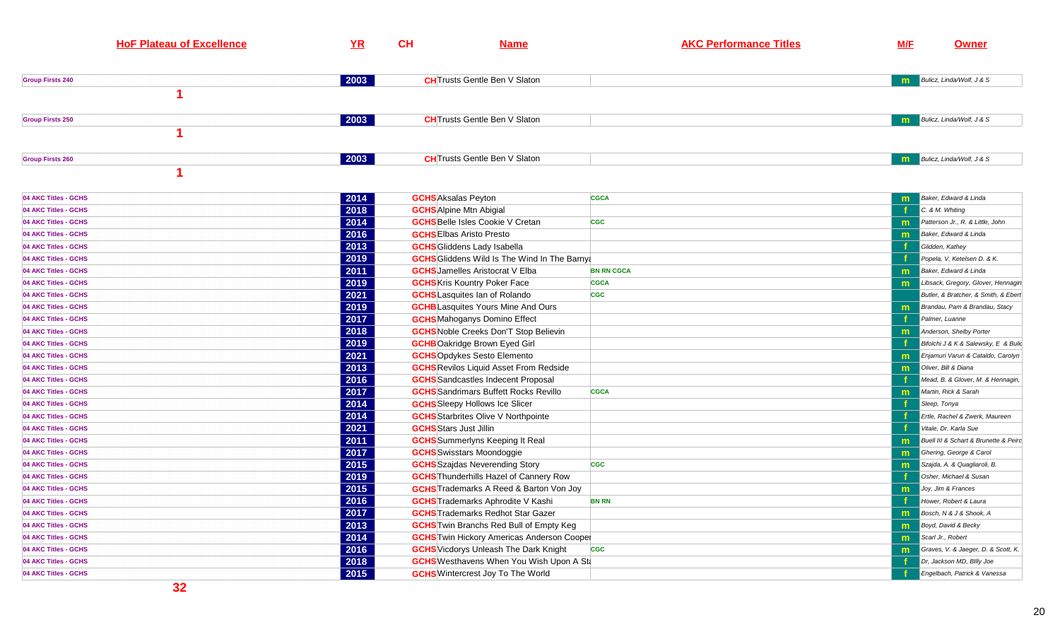| <b>HoF Plateau of Excellence</b> | YR   | <b>CH</b> | <b>Name</b>                          | <b>AKC Performance Titles</b> | <u>M/F</u> | <b>Owner</b>                       |
|----------------------------------|------|-----------|--------------------------------------|-------------------------------|------------|------------------------------------|
|                                  |      |           |                                      |                               |            |                                    |
| <b>Group Firsts 240</b>          | 2003 |           | <b>CH</b> Trusts Gentle Ben V Slaton |                               |            | <b>n</b> Bulicz, Linda/Wolf, J & S |
| <b>Group Firsts 250</b>          | 2003 |           | <b>CH</b> Trusts Gentle Ben V Slaton |                               |            | <b>Bulicz</b> , Linda/Wolf, J & S  |
| <b>Group Firsts 260</b>          | 2003 |           | <b>CH</b> Trusts Gentle Ben V Slaton |                               |            | <b>m</b> Bulicz, Linda/Wolf, J & S |
|                                  |      |           |                                      |                               |            |                                    |

| 04 AKC Titles - GCHS | 2014 | <b>GCHS</b> Aksalas Peyton                          | <b>CGCA</b>       | m  | Baker, Edward & Linda                 |
|----------------------|------|-----------------------------------------------------|-------------------|----|---------------------------------------|
| 04 AKC Titles - GCHS | 2018 | <b>GCHS</b> Alpine Mtn Abigial                      |                   |    | C. & M. Whiting                       |
| 04 AKC Titles - GCHS | 2014 | <b>GCHS</b> Belle Isles Cookie V Cretan             | <b>CGC</b>        |    | Patterson Jr., R. & Little, John      |
| 04 AKC Titles - GCHS | 2016 | <b>GCHS</b> Elbas Aristo Presto                     |                   | m  | Baker, Edward & Linda                 |
| 04 AKC Titles - GCHS | 2013 | <b>GCHS</b> Gliddens Lady Isabella                  |                   |    | Glidden, Kathey                       |
| 04 AKC Titles - GCHS | 2019 | <b>GCHS</b> Gliddens Wild Is The Wind In The Barnya |                   |    | Popela. V. Ketelsen D. & K.           |
| 04 AKC Titles - GCHS | 2011 | <b>GCHS</b> Jamelles Aristocrat V Elba              | <b>BN RN CGCA</b> | m  | Baker, Edward & Linda                 |
| 04 AKC Titles - GCHS | 2019 | <b>GCHS</b> Kris Kountry Poker Face                 | <b>CGCA</b>       |    | Libsack, Gregory, Glover, Hennagin    |
| 04 AKC Titles - GCHS | 2021 | <b>GCHS</b> Lasquites Ian of Rolando                | <b>CGC</b>        |    | Butler, & Bratcher, & Smith, & Ebert  |
| 04 AKC Titles - GCHS | 2019 | <b>GCHB</b> Lasquites Yours Mine And Ours           |                   | m  | Brandau, Pam & Brandau, Stacy         |
| 04 AKC Titles - GCHS | 2017 | <b>GCHS</b> Mahoganys Domino Effect                 |                   |    | Palmer, Luanne                        |
| 04 AKC Titles - GCHS | 2018 | <b>GCHS</b> Noble Creeks Don'T Stop Believin        |                   |    | Anderson, Shelby Porter               |
| 04 AKC Titles - GCHS | 2019 | <b>GCHB</b> Oakridge Brown Eyed Girl                |                   |    | Bifolchi J & K & Salewsky, E & Bulic  |
| 04 AKC Titles - GCHS | 2021 | <b>GCHS</b> Opdykes Sesto Elemento                  |                   |    | Enjamuri Varun & Cataldo, Carolyn     |
| 04 AKC Titles - GCHS | 2013 | <b>GCHS</b> Revilos Liquid Asset From Redside       |                   | m  | Oliver, Bill & Diana                  |
| 04 AKC Titles - GCHS | 2016 | <b>GCHS</b> Sandcastles Indecent Proposal           |                   |    | Mead, B. & Glover, M. & Hennagin,     |
| 04 AKC Titles - GCHS | 2017 | <b>GCHS</b> Sandrimars Buffett Rocks Revillo        | <b>CGCA</b>       | m  | Martin. Rick & Sarah                  |
| 04 AKC Titles - GCHS | 2014 | <b>GCHS</b> Sleepy Hollows Ice Slicer               |                   |    | Sleep, Tonya                          |
| 04 AKC Titles - GCHS | 2014 | <b>GCHS</b> Starbrites Olive V Northpointe          |                   |    | Ertle, Rachel & Zwerk, Maureen        |
| 04 AKC Titles - GCHS | 2021 | <b>GCHS</b> Stars Just Jillin                       |                   |    | Vitale, Dr. Karla Sue                 |
| 04 AKC Titles - GCHS | 2011 | <b>GCHS</b> Summerlyns Keeping It Real              |                   | m  | Buell III & Schart & Brunette & Peirc |
| 04 AKC Titles - GCHS | 2017 | <b>GCHS</b> Swisstars Moondoggie                    |                   | m  | Ghering, George & Carol               |
| 04 AKC Titles - GCHS | 2015 | <b>GCHS</b> Szajdas Neverending Story               | <b>CGC</b>        |    | Szajda, A. & Quagliaroli, B.          |
| 04 AKC Titles - GCHS | 2019 | <b>GCHS</b> Thunderhills Hazel of Cannery Row       |                   |    | Osher, Michael & Susan                |
| 04 AKC Titles - GCHS | 2015 | <b>GCHS</b> Trademarks A Reed & Barton Von Jov      |                   | m. | Joy, Jim & Frances                    |
| 04 AKC Titles - GCHS | 2016 | <b>GCHS</b> Trademarks Aphrodite V Kashi            | <b>BN RN</b>      |    | Hower, Robert & Laura                 |
| 04 AKC Titles - GCHS | 2017 | <b>GCHS</b> Trademarks Redhot Star Gazer            |                   | m  | Bosch, N & J & Shook, A               |
| 04 AKC Titles - GCHS | 2013 | <b>GCHS</b> Twin Branchs Red Bull of Empty Keq      |                   | m  | Boyd, David & Becky                   |
| 04 AKC Titles - GCHS | 2014 | <b>GCHS</b> Twin Hickory Americas Anderson Coopel   |                   | m  | Scarl Jr., Robert                     |
| 04 AKC Titles - GCHS | 2016 | <b>GCHS</b> Vicdorys Unleash The Dark Knight        | <b>CGC</b>        |    | Graves, V. & Jaeger, D. & Scott, K.   |
| 04 AKC Titles - GCHS | 2018 | <b>GCHS</b> Westhavens When You Wish Upon A St      |                   |    | Dr. Jackson MD, Billy Joe             |
| 04 AKC Titles - GCHS | 2015 | <b>GCHS</b> Wintercrest Joy To The World            |                   |    | Engelbach, Patrick & Vanessa          |
|                      |      |                                                     |                   |    |                                       |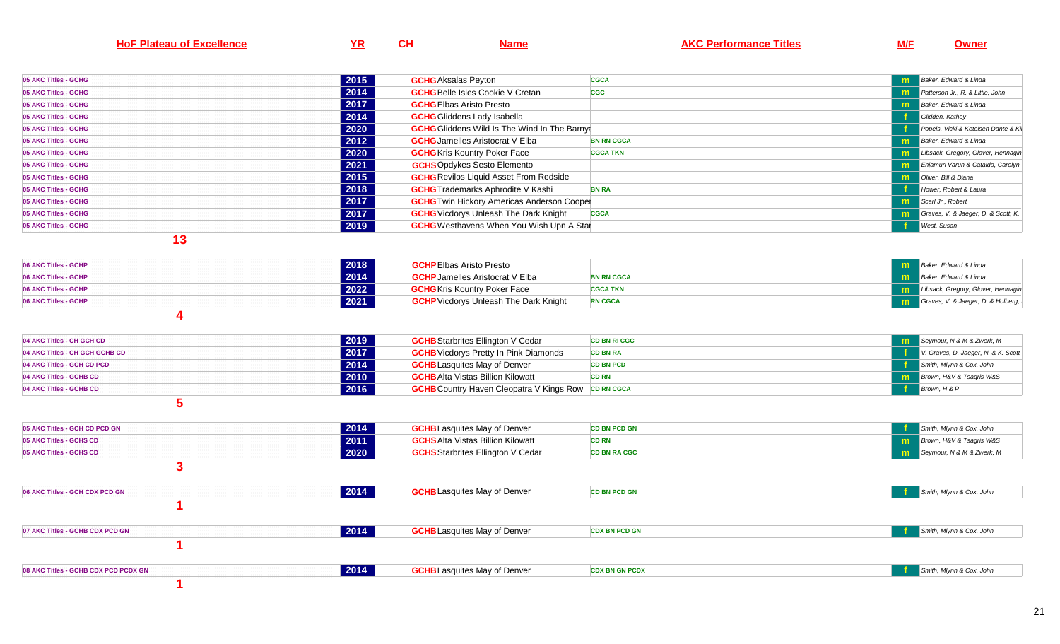| <b>HoF Plateau of Excellence</b> | YR             | CH                              | <b>Name</b>                                                | <b>AKC Performance Titles</b> | M/E | <b>Owner</b>                        |
|----------------------------------|----------------|---------------------------------|------------------------------------------------------------|-------------------------------|-----|-------------------------------------|
|                                  |                |                                 |                                                            |                               |     |                                     |
| 05 AKC Titles - GCHG             | 2015           | <b>GCHG</b> Aksalas Peyton      |                                                            | <b>CGCA</b>                   | m   | Baker, Edward & Linda               |
| 05 AKC Titles - GCHG             | $\boxed{2014}$ |                                 | <b>GCHG</b> Belle Isles Cookie V Cretan                    | <b>CGC</b>                    | m   | Patterson Jr., R. & Little, John    |
| 05 AKC Titles - GCHG             | 2017           | <b>GCHG</b> Elbas Aristo Presto |                                                            |                               | m   | Baker, Edward & Linda               |
| 05 AKC Titles - GCHG             | 2014           |                                 | <b>GCHG</b> Gliddens Lady Isabella                         |                               |     | Glidden, Kathey                     |
| 05 AKC Titles - GCHG             | 2020           |                                 | <b>GCHG</b> Gliddens Wild Is The Wind In The Barnya        |                               |     | Popels, Vicki & Ketelsen Dante & Ki |
| 05 AKC Titles - GCHG             | 2012           |                                 | <b>GCHG</b> Jamelles Aristocrat V Elba                     | <b>BN RN CGCA</b>             | m   | Baker, Edward & Linda               |
| 05 AKC Titles - GCHG             | 2020           |                                 | <b>GCHG</b> Kris Kountry Poker Face                        | <b>CGCA TKN</b>               | m   | Libsack, Gregory, Glover, Hennagin  |
| 05 AKC Titles - GCHG             | 2021           |                                 | <b>GCHS</b> Opdykes Sesto Elemento                         |                               | m   | Enjamuri Varun & Cataldo, Carolyn   |
| 05 AKC Titles - GCHG             | 2015           |                                 | <b>GCHG</b> Revilos Liquid Asset From Redside              |                               | m   | Oliver, Bill & Diana                |
| 05 AKC Titles - GCHG             | 2018           |                                 | <b>GCHG</b> Trademarks Aphrodite V Kashi                   | <b>BN RA</b>                  |     | Hower, Robert & Laura               |
| 05 AKC Titles - GCHG             | 2017           |                                 | <b>GCHG</b> Twin Hickory Americas Anderson Coopel          |                               | m   | Scarl Jr., Robert                   |
| 05 AKC Titles - GCHG             | 2017           |                                 | <b>GCHG</b> Vicdorys Unleash The Dark Knight               | <b>CGCA</b>                   | m   | Graves, V. & Jaeger, D. & Scott, K. |
| 05 AKC Titles - GCHG             | 2019           |                                 | <b>GCHG</b> Westhavens When You Wish Upn A Stal            |                               |     | West, Susan                         |
| 13                               |                |                                 |                                                            |                               |     |                                     |
| 06 AKC Titles - GCHP             | 2018           | <b>GCHP</b> Elbas Aristo Presto |                                                            |                               | m   | Baker, Edward & Linda               |
| 06 AKC Titles - GCHP             | 2014           |                                 | <b>GCHP</b> Jamelles Aristocrat V Elba                     | <b>BN RN CGCA</b>             | m   | Baker, Edward & Linda               |
| 06 AKC Titles - GCHP             | 2022           |                                 | <b>GCHG</b> Kris Kountry Poker Face                        | <b>CGCA TKN</b>               | m   | Libsack, Gregory, Glover, Hennagin  |
| 06 AKC Titles - GCHP             | 2021           |                                 | <b>GCHP</b> Vicdorys Unleash The Dark Knight               | <b>RN CGCA</b>                | m   | Graves, V. & Jaeger, D. & Holberg,  |
|                                  |                |                                 |                                                            |                               |     |                                     |
| 4                                |                |                                 |                                                            |                               |     |                                     |
| 04 AKC Titles - CH GCH CD        | 2019           |                                 | <b>GCHB</b> Starbrites Ellington V Cedar                   | <b>CD BN RI CGC</b>           | m   | Seymour, N & M & Zwerk, M           |
| 04 AKC Titles - CH GCH GCHB CD   | 2017           |                                 | <b>GCHB</b> Vicdorys Pretty In Pink Diamonds               | <b>CD BN RA</b>               |     | V. Graves, D. Jaeger, N. & K. Scott |
| 04 AKC Titles - GCH CD PCD       | 2014           |                                 | <b>GCHB</b> Lasquites May of Denver                        | <b>CD BN PCD</b>              |     | Smith, Mlynn & Cox, John            |
| 04 AKC Titles - GCHB CD          | 2010           |                                 | <b>GCHB</b> Alta Vistas Billion Kilowatt                   | <b>CD RN</b>                  | m   | Brown, H&V & Tsagris W&S            |
| 04 AKC Titles - GCHB CD          | 2016           |                                 | <b>GCHB</b> Country Haven Cleopatra V Kings Row CD RN CGCA |                               |     | Brown, H & P                        |
| 5                                |                |                                 |                                                            |                               |     |                                     |
| 05 AKC Titles - GCH CD PCD GN    | 2014           |                                 | <b>GCHB</b> Lasquites May of Denver                        | <b>CD BN PCD GN</b>           |     | Smith, Mlynn & Cox, John            |
| 05 AKC Titles - GCHS CD          | $\boxed{2011}$ |                                 | <b>GCHS</b> Alta Vistas Billion Kilowatt                   | <b>CD RN</b>                  | m   | Brown, H&V & Tsagris W&S            |
| 05 AKC Titles - GCHS CD          | 2020           |                                 | <b>GCHS</b> Starbrites Ellington V Cedar                   | <b>CD BN RA CGC</b>           | m   | Seymour, N & M & Zwerk, M           |
| 3                                |                |                                 |                                                            |                               |     |                                     |

| 2014<br>06 AKC Titles - GCH CDX PCD GN       | <b>GCHB</b> Lasquites May of Denver | <b>CD BN PCD GN</b>   | Smith, Mlynn & Cox, John |
|----------------------------------------------|-------------------------------------|-----------------------|--------------------------|
|                                              |                                     |                       |                          |
| 2014<br>07 AKC Titles - GCHB CDX PCD GN      | <b>GCHB</b> Lasquites May of Denver | <b>CDX BN PCD GN</b>  | Smith, Mlynn & Cox, John |
|                                              |                                     |                       |                          |
| 2014<br>08 AKC Titles - GCHB CDX PCD PCDX GN | <b>GCHB</b> Lasquites May of Denver | <b>CDX BN GN PCDX</b> | Smith, Mlynn & Cox, John |
|                                              |                                     |                       |                          |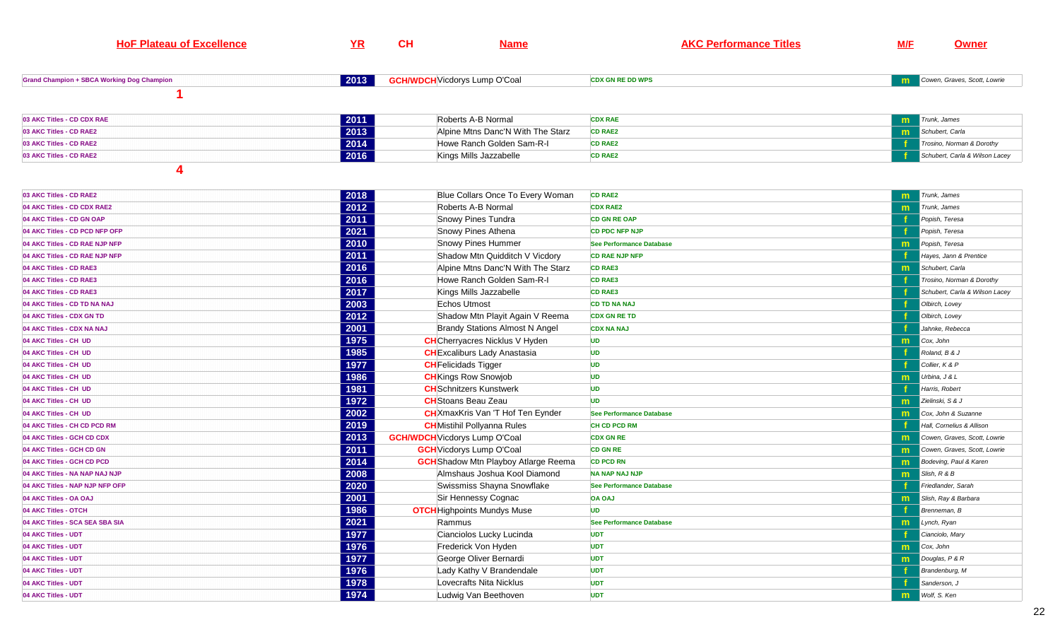| <b>HoF Plateau of Excellence</b>                  | YR   | CH                                   | <b>Name</b>                                 | <b>AKC Performance Titles</b>   | <b>M/F</b>   | Owner                          |
|---------------------------------------------------|------|--------------------------------------|---------------------------------------------|---------------------------------|--------------|--------------------------------|
|                                                   |      |                                      |                                             |                                 |              |                                |
| <b>Grand Champion + SBCA Working Dog Champion</b> | 2013 | <b>GCH/WDCH</b> Vicdorys Lump O'Coal |                                             | <b>CDX GN RE DD WPS</b>         | m            | Cowen, Graves, Scott, Lowrie   |
|                                                   |      |                                      |                                             |                                 |              |                                |
| 03 AKC Titles - CD CDX RAE                        | 2011 |                                      | Roberts A-B Normal                          | <b>CDX RAE</b>                  | m            | Trunk, James                   |
| 03 AKC Titles - CD RAE2                           | 2013 |                                      | Alpine Mtns Danc'N With The Starz           | <b>CD RAE2</b>                  | m            | Schubert, Carla                |
| 03 AKC Titles - CD RAE2                           | 2014 |                                      | Howe Ranch Golden Sam-R-I                   | <b>CD RAE2</b>                  |              | Trosino, Norman & Dorothy      |
| 03 AKC Titles - CD RAE2                           | 2016 |                                      | Kings Mills Jazzabelle                      | <b>CD RAE2</b>                  |              | Schubert, Carla & Wilson Lacey |
| 4                                                 |      |                                      |                                             |                                 |              |                                |
| 03 AKC Titles - CD RAE2                           | 2018 |                                      | Blue Collars Once To Every Woman            | <b>CD RAE2</b>                  | m            | Trunk, James                   |
| 04 AKC Titles - CD CDX RAE2                       | 2012 |                                      | Roberts A-B Normal                          | <b>CDX RAE2</b>                 | $\mathbf{m}$ | Trunk, James                   |
| 04 AKC Titles - CD GN OAP                         | 2011 |                                      | Snowy Pines Tundra                          | <b>CD GN RE OAP</b>             |              | Popish, Teresa                 |
| 04 AKC Titles - CD PCD NFP OFP                    | 2021 |                                      | Snowy Pines Athena                          | <b>CD PDC NFP NJP</b>           |              | Popish, Teresa                 |
| 04 AKC Titles - CD RAE NJP NFP                    | 2010 |                                      | Snowy Pines Hummer                          | <b>See Performance Database</b> | m            | Popish, Teresa                 |
| 04 AKC Titles - CD RAE NJP NFP                    | 2011 |                                      | Shadow Mtn Quidditch V Vicdory              | <b>CD RAE NJP NFP</b>           |              | Hayes, Jann & Prentice         |
| 04 AKC Titles - CD RAE3                           | 2016 |                                      | Alpine Mtns Danc'N With The Starz           | <b>CD RAE3</b>                  | m            | Schubert, Carla                |
| 04 AKC Titles - CD RAE3                           | 2016 |                                      | Howe Ranch Golden Sam-R-I                   | <b>CD RAE3</b>                  |              | Trosino, Norman & Dorothy      |
| 04 AKC Titles - CD RAE3                           | 2017 |                                      | Kings Mills Jazzabelle                      | <b>CD RAE3</b>                  |              | Schubert, Carla & Wilson Lacey |
| 04 AKC Titles - CD TD NA NAJ                      | 2003 |                                      | Echos Utmost                                | <b>CD TD NA NAJ</b>             |              | Olbirch, Lovey                 |
| 04 AKC Titles - CDX GN TD                         | 2012 |                                      | Shadow Mtn Playit Again V Reema             | <b>CDX GN RE TD</b>             |              | Olbirch, Lovey                 |
| 04 AKC Titles - CDX NA NAJ                        | 2001 |                                      | <b>Brandy Stations Almost N Angel</b>       | <b>CDX NA NAJ</b>               |              | Jahnke, Rebecca                |
| 04 AKC Titles - CH UD                             | 1975 |                                      | <b>CH</b> Cherryacres Nicklus V Hyden       | <b>UD</b>                       | m            | Cox, John                      |
| 04 AKC Titles - CH UD                             | 1985 |                                      | <b>CH</b> Excaliburs Lady Anastasia         | <b>UD</b>                       |              | Roland, B & J                  |
| 04 AKC Titles - CH UD                             | 1977 | <b>CH</b> Felicidads Tigger          |                                             | UD                              |              | Collier, K & P                 |
| 04 AKC Titles - CH UD                             | 1986 |                                      | <b>CH</b> Kings Row Snowjob                 | <b>UD</b>                       | m            | Urbina, J & L                  |
| 04 AKC Titles - CH UD                             | 1981 |                                      | <b>CH</b> Schnitzers Kunstwerk              | <b>UD</b>                       |              | Harris, Robert                 |
| 04 AKC Titles - CH UD                             | 1972 |                                      | <b>CH</b> Stoans Beau Zeau                  | <b>UD</b>                       | m            | Zielinski, S & J               |
| 04 AKC Titles - CH UD                             | 2002 |                                      | <b>CH</b> XmaxKris Van 'T Hof Ten Eynder    | <b>See Performance Database</b> | $\mathsf{m}$ | Cox, John & Suzanne            |
| 04 AKC Titles - CH CD PCD RM                      | 2019 |                                      | <b>CH</b> Mistihil Pollyanna Rules          | <b>CH CD PCD RM</b>             |              | Hall, Cornelius & Allison      |
| 04 AKC Titles - GCH CD CDX                        | 2013 | <b>GCH/WDCH</b> Vicdorys Lump O'Coal |                                             | <b>CDX GN RE</b>                | $\mathsf{m}$ | Cowen, Graves, Scott, Lowrie   |
| 04 AKC Titles - GCH CD GN                         | 2011 |                                      | <b>GCH</b> Vicdorys Lump O'Coal             | <b>CD GN RE</b>                 | m            | Cowen, Graves, Scott, Lowrie   |
| 04 AKC Titles - GCH CD PCD                        | 2014 |                                      | <b>GCH</b> Shadow Mtn Playboy Atlarge Reema | <b>CD PCD RN</b>                | m            | Bodeving, Paul & Karen         |
| 04 AKC Titles - NA NAP NAJ NJP                    | 2008 |                                      | Almshaus Joshua Kool Diamond                | <b>NA NAP NAJ NJP</b>           | m            | Slish, R & B                   |
| 04 AKC Titles - NAP NJP NFP OFP                   | 2020 |                                      | Swissmiss Shayna Snowflake                  | <b>See Performance Database</b> |              | Friedlander, Sarah             |
| 04 AKC Titles - OA OAJ                            | 2001 |                                      | Sir Hennessy Cognac                         | <b>OA OAJ</b>                   | m            | Slish, Ray & Barbara           |
| 04 AKC Titles - OTCH                              | 1986 |                                      | <b>OTCH</b> Highpoints Mundys Muse          | <b>UD</b>                       |              | Brenneman, B                   |
| 04 AKC Titles - SCA SEA SBA SIA                   | 2021 | Rammus                               |                                             | <b>See Performance Database</b> | m            | Lynch, Ryan                    |
| 04 AKC Titles - UDT                               | 1977 |                                      | Cianciolos Lucky Lucinda                    | <b>UDT</b>                      |              | Cianciolo, Mary                |
| 04 AKC Titles - UDT                               | 1976 |                                      | Frederick Von Hyden                         | <b>UDT</b>                      | m            | Cox, John                      |
| 04 AKC Titles - UDT                               | 1977 |                                      | George Oliver Bernardi                      | <b>UDT</b>                      | m            | Douglas, P & R                 |
| 04 AKC Titles - UDT                               | 1976 |                                      | Lady Kathy V Brandendale                    | <b>UDT</b>                      |              | Brandenburg, M                 |
| 04 AKC Titles - UDT                               | 1978 |                                      | Lovecrafts Nita Nicklus                     | <b>UDT</b>                      |              | Sanderson, J                   |
| 04 AKC Titles - UDT                               | 1974 |                                      | Ludwig Van Beethoven                        | <b>UDT</b>                      | m            | Wolf, S. Ken                   |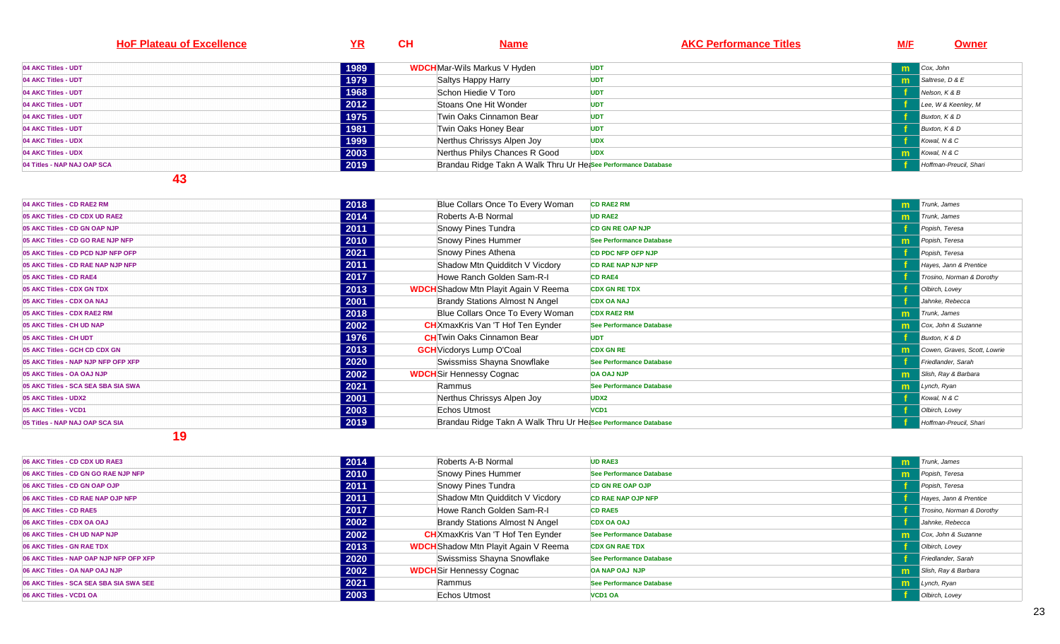| <b>HoF Plateau of Excellence</b> | <u>YR</u> | CH | <b>Name</b>                                                   |            | <b>AKC Performance Titles</b> | <b>M/F</b> | <b>Owner</b>           |
|----------------------------------|-----------|----|---------------------------------------------------------------|------------|-------------------------------|------------|------------------------|
| 04 AKC Titles - UDT              | 1989      |    | <b>WDCH</b> Mar-Wils Markus V Hyden                           | <b>UDT</b> |                               | m          | Cox, John              |
| 04 AKC Titles - UDT              | 1979      |    | Saltys Happy Harry                                            | <b>UDT</b> |                               | m          | Saltrese, D & E        |
| 04 AKC Titles - UDT              | 1968      |    | Schon Hiedie V Toro                                           | UDT        |                               |            | Nelson, K & B          |
| 04 AKC Titles - UDT              | 2012      |    | Stoans One Hit Wonder                                         | <b>UDT</b> |                               |            | Lee, W & Keenley, M    |
| 04 AKC Titles - UDT              | 1975      |    | Twin Oaks Cinnamon Bear                                       | <b>UDT</b> |                               |            | Buxton, K & D          |
| 04 AKC Titles - UDT              | 1981      |    | Twin Oaks Honey Bear                                          | <b>UDT</b> |                               |            | Buxton, K & D          |
| 04 AKC Titles - UDX              | 1999      |    | Nerthus Chrissys Alpen Joy                                    | <b>UDX</b> |                               |            | Kowal, N & C           |
| 04 AKC Titles - UDX              | 2003      |    | Nerthus Philys Chances R Good                                 | <b>UDX</b> |                               | m.         | Kowal, N & C           |
| 04 Titles - NAP NAJ OAP SCA      | 2019      |    | Brandau Ridge Takn A Walk Thru Ur He&See Performance Database |            |                               |            | Hoffman-Preucil, Shari |

| 04 AKC Titles - CD RAE2 RM          | 2018 | Blue Collars Once To Every Woman                              | <b>CD RAE2 RM</b>               |    | Trunk, James                 |
|-------------------------------------|------|---------------------------------------------------------------|---------------------------------|----|------------------------------|
| 05 AKC Titles - CD CDX UD RAE2      | 2014 | Roberts A-B Normal                                            | <b>UD RAE2</b>                  |    | Trunk. James                 |
| 05 AKC Titles - CD GN OAP NJP       | 2011 | Snowy Pines Tundra                                            | <b>CD GN RE OAP NJP</b>         |    | Popish, Teresa               |
| 05 AKC Titles - CD GO RAE NJP NFP   | 2010 | Snowy Pines Hummer                                            | <b>See Performance Database</b> | m. | Popish, Teresa               |
| 05 AKC Titles - CD PCD NJP NFP OFP  | 2021 | Snowy Pines Athena                                            | <b>CD PDC NFP OFP NJP</b>       |    | Popish, Teresa               |
| 05 AKC Titles - CD RAE NAP NJP NFP  | 2011 | Shadow Mtn Quidditch V Vicdory                                | <b>CD RAE NAP NJP NFP</b>       |    | Hayes, Jann & Prentice       |
| 05 AKC Titles - CD RAE4             | 2017 | Howe Ranch Golden Sam-R-I                                     | <b>CD RAE4</b>                  |    | Trosino, Norman & Dorothy    |
| 05 AKC Titles - CDX GN TDX          | 2013 | <b>WDCH</b> Shadow Mtn Playit Again V Reema                   | <b>CDX GN RE TDX</b>            |    | Olbirch, Lovey               |
| 05 AKC Titles - CDX OA NAJ          | 2001 | <b>Brandy Stations Almost N Angel</b>                         | <b>CDX OA NAJ</b>               |    | Jahnke, Rebecca              |
| 05 AKC Titles - CDX RAE2 RM         | 2018 | Blue Collars Once To Every Woman                              | <b>CDX RAE2 RM</b>              |    | Trunk. James                 |
| 05 AKC Titles - CH UD NAP           | 2002 | <b>CH</b> XmaxKris Van 'T Hof Ten Eynder                      | <b>See Performance Database</b> |    | Cox, John & Suzanne          |
| 05 AKC Titles - CH UDT              | 1976 | <b>CH</b> Twin Oaks Cinnamon Bear                             | <b>UDT</b>                      |    | Buxton, K & D                |
| 05 AKC Titles - GCH CD CDX GN       | 2013 | <b>GCH</b> Vicdorys Lump O'Coal                               | <b>CDX GN RE</b>                |    | Cowen, Graves, Scott, Lowrie |
| 05 AKC Titles - NAP NJP NFP OFP XFP | 2020 | Swissmiss Shayna Snowflake                                    | <b>See Performance Database</b> |    | Friedlander, Sarah           |
| 05 AKC Titles - OA OAJ NJP          | 2002 | <b>WDCH</b> Sir Hennessy Cognac                               | <b>OA OAJ NJP</b>               |    | Slish, Ray & Barbara         |
| 05 AKC Titles - SCA SEA SBA SIA SWA | 2021 | Rammus                                                        | <b>See Performance Database</b> | m. | Lynch, Ryan                  |
| 05 AKC Titles - UDX2                | 2001 | Nerthus Chrissys Alpen Joy                                    | UDX <sub>2</sub>                |    | Kowal, N & C                 |
| 05 AKC Titles - VCD1                | 2003 | Echos Utmost                                                  | VCD <sub>1</sub>                |    | Olbirch, Lovey               |
| 05 Titles - NAP NAJ OAP SCA SIA     | 2019 | Brandau Ridge Takn A Walk Thru Ur Hetsee Performance Database |                                 |    | Hoffman-Preucil, Shari       |

| 06 AKC Titles - CD CDX UD RAE3          | 2014 | Roberts A-B Normal                          | <b>UD RAE3</b>            | m  | Trunk, James              |
|-----------------------------------------|------|---------------------------------------------|---------------------------|----|---------------------------|
| 06 AKC Titles - CD GN GO RAE NJP NFP    | 2010 | Snowy Pines Hummer                          | See Performance Database  | m. | Popish, Teresa            |
| 06 AKC Titles - CD GN OAP OJP           | 2011 | Snowy Pines Tundra                          | <b>CD GN RE OAP OJP</b>   |    | Popish, Teresa            |
| 06 AKC Titles - CD RAE NAP OJP NFP      | 2011 | Shadow Mtn Quidditch V Vicdory              | <b>CD RAE NAP OJP NFP</b> |    | Hayes, Jann & Prentice    |
| 06 AKC Titles - CD RAE5                 | 2017 | Howe Ranch Golden Sam-R-I                   | <b>CD RAE5</b>            |    | Trosino, Norman & Dorothy |
| 06 AKC Titles - CDX OA OAJ              | 2002 | <b>Brandy Stations Almost N Angel</b>       | <b>CDX OA OAJ</b>         |    | Jahnke, Rebecca           |
| 06 AKC Titles - CH UD NAP NJP           | 2002 | <b>CH</b> XmaxKris Van 'T Hof Ten Eynder    | See Performance Database  | m  | Cox, John & Suzanne       |
| 06 AKC Titles - GN RAE TDX              | 2013 | <b>WDCH</b> Shadow Mtn Playit Again V Reema | <b>CDX GN RAE TDX</b>     |    | Olbirch, Lovey            |
| 06 AKC Titles - NAP OAP NJP NFP OFP XFP | 2020 | Swissmiss Shayna Snowflake                  | See Performance Database  |    | Friedlander, Sarah        |
| 06 AKC Titles - OA NAP OAJ NJP          | 2002 | <b>WDCH</b> Sir Hennessy Cognac             | <b>OA NAP OAJ NJP</b>     | m. | Slish, Ray & Barbara      |
| 06 AKC Titles - SCA SEA SBA SIA SWA SEE | 2021 | Rammus                                      | See Performance Database  | m  | Lynch, Ryan               |
| 06 AKC Titles - VCD1 OA                 | 2003 | Echos Utmost                                | VCD1 OA                   |    | Olbirch, Lovey            |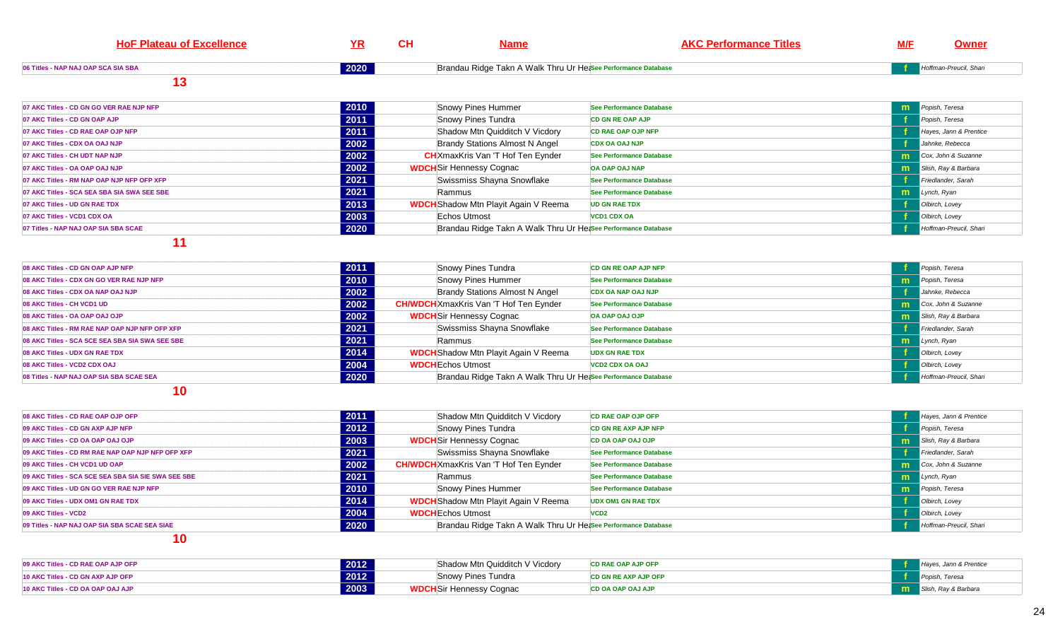| <b>HoF Plateau of Excellence</b>            | ΥR   | <b>CH</b> | <b>Name</b>                                                   | <b>AKC Performance Titles</b>   | M/F          | Owner                  |
|---------------------------------------------|------|-----------|---------------------------------------------------------------|---------------------------------|--------------|------------------------|
| 06 Titles - NAP NAJ OAP SCA SIA SBA         | 2020 |           | Brandau Ridge Takn A Walk Thru Ur Hetsee Performance Database |                                 |              | Hoffman-Preucil, Shari |
| 13                                          |      |           |                                                               |                                 |              |                        |
| 07 AKC Titles - CD GN GO VER RAE NJP NFP    | 2010 |           | Snowy Pines Hummer                                            | See Performance Database        | m            | Popish, Teresa         |
| 07 AKC Titles - CD GN OAP AJP               | 2011 |           | Snowy Pines Tundra                                            | <b>CD GN RE OAP AJP</b>         |              | Popish, Teresa         |
| 07 AKC Titles - CD RAE OAP OJP NFP          | 2011 |           | Shadow Mtn Quidditch V Vicdory                                | <b>CD RAE OAP OJP NFP</b>       |              | Hayes, Jann & Prentice |
| 07 AKC Titles - CDX OA OAJ NJP              | 2002 |           | <b>Brandy Stations Almost N Angel</b>                         | <b>CDX OA OAJ NJP</b>           |              | Jahnke, Rebecca        |
| 07 AKC Titles - CH UDT NAP NJP              | 2002 |           | <b>CH</b> XmaxKris Van 'T Hof Ten Eynder                      | <b>See Performance Database</b> | $\mathsf{m}$ | Cox, John & Suzanne    |
| 07 AKC Titles - OA OAP OAJ NJP              | 2002 |           | <b>WDCH</b> Sir Hennessy Cognac                               | OA OAP OAJ NAP                  | m            | Slish, Ray & Barbara   |
| 07 AKC Titles - RM NAP OAP NJP NFP OFP XFP  | 2021 |           | Swissmiss Shayna Snowflake                                    | See Performance Database        |              | Friedlander, Sarah     |
| 07 AKC Titles - SCA SEA SBA SIA SWA SEE SBE | 2021 |           | Rammus                                                        | See Performance Database        | m            | Lynch, Ryan            |
| 07 AKC Titles - UD GN RAE TDX               | 2013 |           | <b>WDCH</b> Shadow Mtn Playit Again V Reema                   | <b>UD GN RAE TDX</b>            |              | Olbirch, Lovey         |
| 07 AKC Titles - VCD1 CDX OA                 | 2003 |           | Echos Utmost                                                  | <b>VCD1 CDX OA</b>              |              | Olbirch, Lovey         |
| 07 Titles - NAP NAJ OAP SIA SBA SCAE        | 2020 |           | Brandau Ridge Takn A Walk Thru Ur Hetsee Performance Database |                                 |              | Hoffman-Preucil, Shari |

| 08 AKC Titles - CD GN OAP AJP NFP               | 2011 | <b>Snowy Pines Tundra</b>                                     | <b>CD GN RE OAP AJP NFP</b> | Popish, Teresa         |
|-------------------------------------------------|------|---------------------------------------------------------------|-----------------------------|------------------------|
| 08 AKC Titles - CDX GN GO VER RAE NJP NFP       | 2010 | Snowy Pines Hummer                                            | See Performance Database    | Popish, Teresa         |
| 08 AKC Titles - CDX OA NAP OAJ NJP              | 2002 | Brandy Stations Almost N Angel                                | <b>CDX OA NAP OAJ NJP</b>   | Jahnke, Rebecca        |
| 08 AKC Titles - CH VCD1 UD                      | 2002 | <b>CH/WDCH</b> XmaxKris Van 'T Hof Ten Eynder                 | See Performance Database    | Cox, John & Suzanne    |
| 08 AKC Titles - OA OAP OAJ OJP                  | 2002 | <b>WDCH</b> Sir Hennessy Cognac                               | <b>OA OAP OAJ OJP</b>       | Slish, Ray & Barbara   |
| 08 AKC Titles - RM RAE NAP OAP NJP NFP OFP XFP  | 2021 | Swissmiss Shayna Snowflake                                    | See Performance Database    | Friedlander, Sarah     |
| 08 AKC Titles - SCA SCE SEA SBA SIA SWA SEE SBE | 2021 | Rammus                                                        | See Performance Database    | $L$ ynch, Ryan         |
| 08 AKC Titles - UDX GN RAE TDX                  | 2014 | <b>WDCH</b> Shadow Mtn Playit Again V Reema                   | <b>UDX GN RAE TDX</b>       | Olbirch, Lovey         |
| 08 AKC Titles - VCD2 CDX OAJ                    | 2004 | <b>WDCH</b> Echos Utmost                                      | <b>VCD2 CDX OA OAJ</b>      | Olbirch, Lovey         |
| 08 Titles - NAP NAJ OAP SIA SBA SCAE SEA        | 2020 | Brandau Ridge Takn A Walk Thru Ur He&See Performance Database |                             | Hoffman-Preucil, Shari |

### **10**

| 08 AKC Titles - CD RAE OAP OJP OFP                  | 2011 | Shadow Mtn Quidditch V Vicdory                               | <b>CD RAE OAP OJP OFP</b>   | Hayes, Jann & Prentice |
|-----------------------------------------------------|------|--------------------------------------------------------------|-----------------------------|------------------------|
| 09 AKC Titles - CD GN AXP AJP NFP                   | 2012 | Snowy Pines Tundra                                           | <b>CD GN RE AXP AJP NFP</b> | Popish, Teresa         |
| 09 AKC Titles - CD OA OAP OAJ OJP                   | 2003 | <b>WDCH</b> Sir Hennessy Cognac                              | <b>CD OA OAP OAJ OJP</b>    | Slish, Ray & Barbara   |
| 09 AKC Titles - CD RM RAE NAP OAP NJP NFP OFP XFP   | 2021 | Swissmiss Shayna Snowflake                                   | See Performance Database    | Friedlander, Sarah     |
| 09 AKC Titles - CH VCD1 UD OAP                      | 2002 | <b>CH/WDCH</b> XmaxKris Van 'T Hof Ten Eynder                | See Performance Database    | Cox, John & Suzanne    |
| 09 AKC Titles - SCA SCE SEA SBA SIA SIE SWA SEE SBE | 2021 | Rammus                                                       | See Performance Database    | Lynch, Ryan            |
| 09 AKC Titles - UD GN GO VER RAE NJP NFP            | 2010 | Snowy Pines Hummer                                           | See Performance Database    | Popish, Teresa         |
| 09 AKC Titles - UDX OM1 GN RAE TDX                  | 2014 | <b>WDCH</b> Shadow Mtn Playit Again V Reema                  | <b>UDX OM1 GN RAE TDX</b>   | Olbirch, Lovey         |
| 09 AKC Titles - VCD2                                | 2004 | <b>WDCH</b> Echos Utmost                                     | VCD <sub>2</sub>            | Olbirch, Lovey         |
| 09 Titles - NAP NAJ OAP SIA SBA SCAE SEA SIAE       | 2020 | Brandau Ridge Takn A Walk Thru Ur Hease Performance Database |                             | Hoffman-Preucil, Shari |

| 09 AKC Titles - CD RAE OAP AJP OFP | 2012 | Shadow Mtn Quidditch V Vicdory  | <b>CD RAE OAP AJP OFP</b> | Hayes, Jann & Prentice        |
|------------------------------------|------|---------------------------------|---------------------------|-------------------------------|
| 10 AKC Titles - CD GN AXP AJP OFP  | 2012 | Snowy Pines Tundra              | CD GN RE AXP AJP OFP      | Popish, Teresa                |
| 10 AKC Titles - CD OA OAP OAJ AJP  | 2003 | <b>WDCH</b> Sir Hennessy Cognac | <b>CD OA OAP OAJ AJP</b>  | <b>m</b> Slish, Ray & Barbara |
|                                    |      |                                 |                           |                               |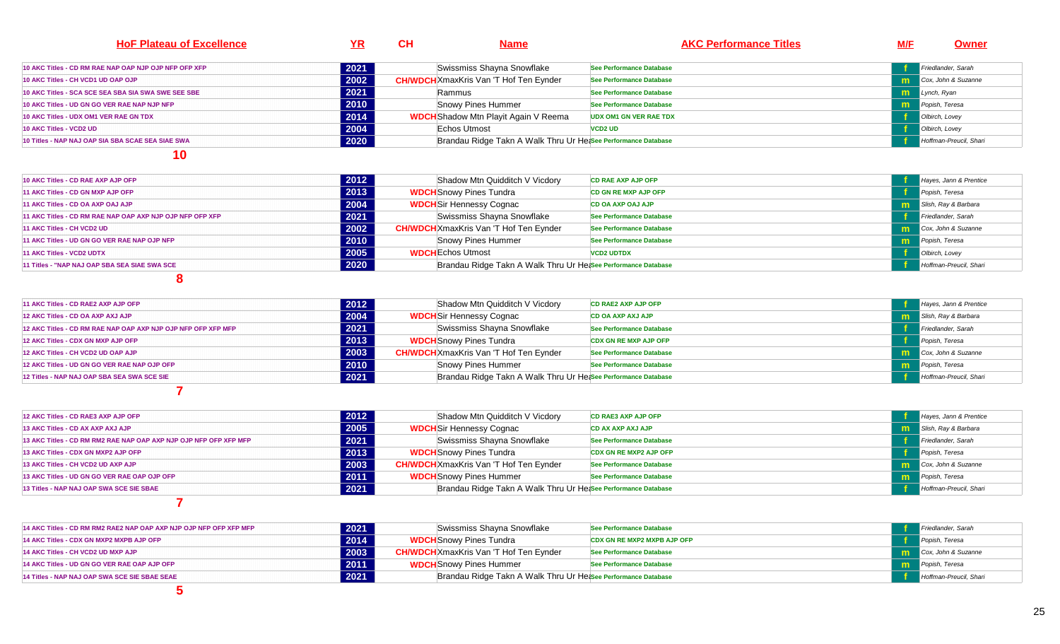| <b>HoF Plateau of Excellence</b>                      |      | <b>CH</b> | <b>Name</b>                                                   | <b>AKC Performance Titles</b> | <u>M/F</u> | <b>Owner</b>           |
|-------------------------------------------------------|------|-----------|---------------------------------------------------------------|-------------------------------|------------|------------------------|
| 10 AKC Titles - CD RM RAE NAP OAP NJP OJP NFP OFP XFP | 2021 |           | Swissmiss Shayna Snowflake                                    | See Performance Database      |            | Friedlander, Sarah     |
| 10 AKC Titles - CH VCD1 UD OAP OJP                    | 2002 |           | <b>CH/WDCH</b> XmaxKris Van 'T Hof Ten Eynder                 | See Performance Database      |            | Cox, John & Suzanne    |
| 10 AKC Titles - SCA SCE SEA SBA SIA SWA SWE SEE SBE   | 2021 |           | Rammus                                                        | See Performance Database      |            | <b>m</b> Lynch, Ryan   |
| 10 AKC Titles - UD GN GO VER RAE NAP NJP NFP          | 2010 |           | Snowy Pines Hummer                                            | See Performance Database      |            | Popish, Teresa         |
| 10 AKC Titles - UDX OM1 VER RAE GN TDX                | 2014 |           | <b>WDCH</b> Shadow Mtn Playit Again V Reema                   | <b>UDX OM1 GN VER RAE TDX</b> |            | Olbirch, Lovey         |
| 10 AKC Titles - VCD2 UD                               | 2004 |           | Echos Utmost                                                  | <b>VCD2 UD</b>                |            | Olbirch, Lovey         |
| 10 Titles - NAP NAJ OAP SIA SBA SCAE SEA SIAE SWA     | 2020 |           | Brandau Ridge Takn A Walk Thru Ur He;See Performance Database |                               |            | Hoffman-Preucil, Shari |

| 10 AKC Titles - CD RAE AXP AJP OFP                        | 2012 | Shadow Mtn Quidditch V Vicdory                                | <b>CD RAE AXP AJP OFP</b>   | Hayes, Jann & Prentice             |
|-----------------------------------------------------------|------|---------------------------------------------------------------|-----------------------------|------------------------------------|
| 11 AKC Titles - CD GN MXP AJP OFP                         | 2013 | <b>WDCH</b> Snowy Pines Tundra                                | <b>CD GN RE MXP AJP OFP</b> | Popish, Teresa                     |
| 11 AKC Titles - CD OA AXP OAJ AJP                         | 2004 | <b>WDCH</b> Sir Hennessy Cognac                               | <b>CD OA AXP OAJ AJP</b>    | Slish, Ray & Barbara               |
| 11 AKC Titles - CD RM RAE NAP OAP AXP NJP OJP NFP OFP XFP | 2021 | Swissmiss Shayna Snowflake                                    | See Performance Database    | Friedlander, Sarah                 |
| 11 AKC Titles - CH VCD2 UD                                | 2002 | <b>CH/WDCH</b> XmaxKris Van 'T Hof Ten Eynder                 | See Performance Database    | <b>natural</b> Cox, John & Suzanne |
| 11 AKC Titles - UD GN GO VER RAE NAP OJP NFP              | 2010 | Snowy Pines Hummer                                            | See Performance Database    | <b>m</b> Popish, Teresa            |
| 11 AKC Titles - VCD2 UDTX                                 | 2005 | <b>WDCH</b> Echos Utmost                                      | <b>VCD2 UDTDX</b>           | Olbirch, Lovey                     |
| 11 Titles - "NAP NAJ OAP SBA SEA SIAE SWA SCE             | 2020 | Brandau Ridge Takn A Walk Thru Ur Hetsee Performance Database |                             | Hoffman-Preucil, Shari             |
|                                                           |      |                                                               |                             |                                    |

**8** 

| 11 AKC Titles - CD RAE2 AXP AJP OFP                           | 2012 | Shadow Mtn Quidditch V Vicdory                                | <b>CD RAE2 AXP AJP OFP</b>   | Hayes, Jann & Prentice |
|---------------------------------------------------------------|------|---------------------------------------------------------------|------------------------------|------------------------|
| 12 AKC Titles - CD OA AXP AXJ AJP                             | 2004 | <b>WDCH</b> Sir Hennessy Cognac                               | <b>CD OA AXP AXJ AJP</b>     | Slish, Ray & Barbara   |
| 12 AKC Titles - CD RM RAE NAP OAP AXP NJP OJP NFP OFP XFP MFP | 2021 | Swissmiss Shayna Snowflake                                    | See Performance Database     | Friedlander, Sarah     |
| 12 AKC Titles - CDX GN MXP AJP OFP                            | 2013 | <b>WDCH</b> Snowy Pines Tundra                                | <b>CDX GN RE MXP AJP OFP</b> | Popish, Teresa         |
| 12 AKC Titles - CH VCD2 UD OAP AJP                            | 2003 | <b>CH/WDCH</b> XmaxKris Van 'T Hof Ten Eynder                 | See Performance Database     | Cox, John & Suzanne    |
| 12 AKC Titles - UD GN GO VER RAE NAP OJP OFP                  | 2010 | Snowy Pines Hummer                                            | See Performance Database     | Popish, Teresa         |
| 12 Titles - NAP NAJ OAP SBA SEA SWA SCE SIE                   | 2021 | Brandau Ridge Takn A Walk Thru Ur Heasee Performance Database |                              | Hoffman-Preucil, Shari |
|                                                               |      |                                                               |                              |                        |

**12 AKC Titles - CD RAE3 AXP AJP OFP2012 Shadow Mtn Quidditch V Vicdory**<br>**2005 WDCH** Sir Hennessy Cognac **CD RAE3 AXP AJP OFP** *CD RAE3 AXP AJP OFP f f Hayes, Jann & Prentice* **13 AKC Titles - CD AX AXP AXJ AJP 2005 WDCH**Sir Hennessy Cognac **CD AX AXP AXJ AJP <sup>m</sup>M** Slish, Ray & Barbara<br>**f** Friedlander, Sarah **13 AKC Titles - CD RM RM2 RAE NAP OAP AXP NJP OJP NFP OFP XFP MFP2021 Example Swissmiss Shayna Snowflake**<br>**2013 WDCH** Snowy Pines Tundra **See Performance Database f** Friedlander, Sarah **Friedlander, Sarah CDX GN RE MXP2 AJP OFP f Friedlander**, Sarah **CDX GN RE MXP2 AJP OFP f P**opish, Teresa **13 AKC Titles - CDX GN MXP2 AJP OFPWDCH**Snowy Pines Tundra **CDX GN RE MXP2 AJP OFP <sup>f</sup>** Popish, Teresa **13 AKC Titles - CH VCD2 UD AXP AJP2003 CH/WDCH**XmaxKris Van 'T Hof Ten Eynder **m** Cox, John & Suzanne<br>**m** Popish, Teresa **13 AKC Titles - UD GN GO VER RAE OAP OJP OFP 2011 WDCH**Snowy Pines Hummer **See Performance Database <sup>m</sup>** Popish, Teresa **13 Titles - NAP NAJ OAP SWA SCE SIE SBAE2021** Brandau Ridge Takn A Walk Thru Ur Hease Performance Database Hoffman-Preucil, Shari **7** 

**14 AKC Titles - CD RM RM2 RAE2 NAP OAP AXP NJP OJP NFP OFP XFP MFP2021 COLLANSING SWISSMISS Shayna Snowflake**<br>**2014 WDCH** Snowy Pines Tundra **See Performance Database f** Friedlander, Sarah **f** Friedlander, Sarah **f** Friedlander, Sarah **f** Popish, Teresa **14 AKC Titles - CDX GN MXP2 MXPB AJP OFP 2014 WDCH**Snowy Pines Tundra**CDX GN RE MXP2 MXPB AJP OFP**<br>See Performance Database **14 AKC Titles - CH VCD2 UD MXP AJP 2003 CH/WDCH**XmaxKris Van 'T Hof Ten Eynder **See Performance Database <sup>m</sup>m** Cox, John & Suzanne<br>**m** Popish, Teresa **14 AKC Titles - UD GN GO VER RAE OAP AJP OFP 2011 WDCH**Snowy Pines Hummer **See Performance Database <sup>m</sup>** Popish, Teresa **14 Titles - NAP NAJ OAP SWA SCE SIE SBAE SEAE2021** Brandau Ridge Takn A Walk Thru Ur Hease Performance Database Hoffman-Preucil, Shari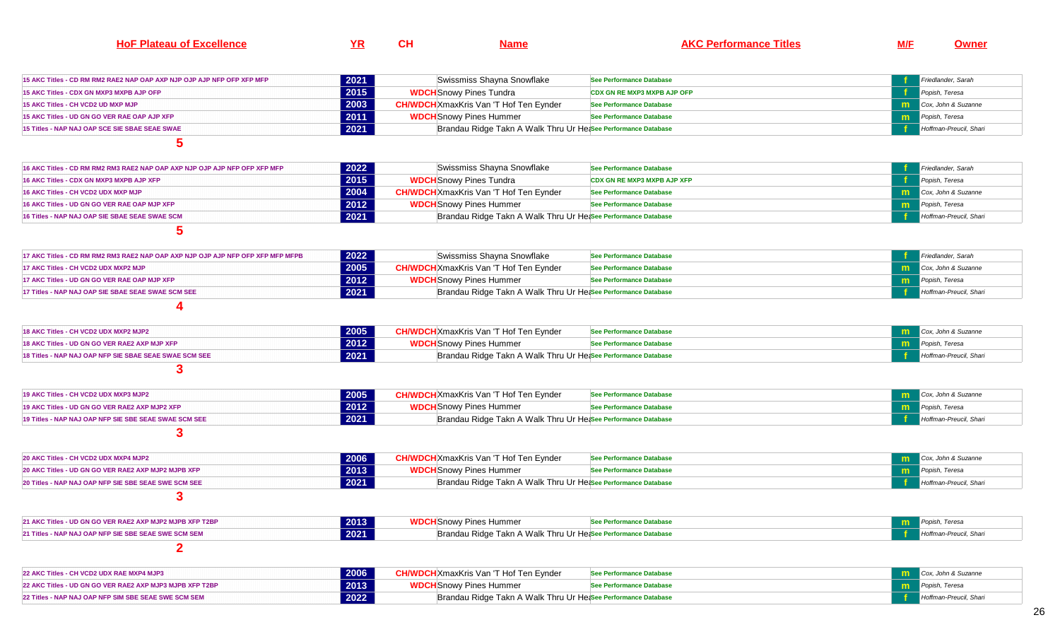| ною<br>-----<br>-11. | vı. | $\sim$<br>. . |  | . | M/F |  |
|----------------------|-----|---------------|--|---|-----|--|
|----------------------|-----|---------------|--|---|-----|--|

| 15 AKC Titles - CD RM RM2 RAE2 NAP OAP AXP NJP OJP AJP NFP OFP XFP MFP | 2021 | Swissmiss Shayna Snowflake                                     | See Performance Database           | Friedlander, Sarah           |
|------------------------------------------------------------------------|------|----------------------------------------------------------------|------------------------------------|------------------------------|
| 15 AKC Titles - CDX GN MXP3 MXPB AJP OFP                               | 2015 | <b>WDCH</b> Snowy Pines Tundra                                 | <b>CDX GN RE MXP3 MXPB AJP OFP</b> | Popish, Teresa               |
| 15 AKC Titles - CH VCD2 UD MXP MJP                                     | 2003 | <b>CH/WDCH</b> XmaxKris Van 'T Hof Ten Eynder                  | See Performance Database           | <b>m</b> Cox, John & Suzanne |
| 15 AKC Titles - UD GN GO VER RAE OAP AJP XFP                           | 2011 | <b>WDCH</b> Snowy Pines Hummer                                 | See Performance Database           | Popish, Teresa               |
| 15 Titles - NAP NAJ OAP SCE SIE SBAE SEAE SWAE                         | 2021 | Brandau Ridge Takn A Walk Thru Ur Het See Performance Database |                                    | Hoffman-Preucil, Shari       |
|                                                                        |      |                                                                |                                    |                              |

| 16 AKC Titles - CD RM RM2 RM3 RAE2 NAP OAP AXP NJP OJP AJP NFP OFP XFP MFP | 2022 | Swissmiss Shayna Snowflake                                    | <b>See Performance Database</b> | <b>Friedlander</b> , Sarah     |
|----------------------------------------------------------------------------|------|---------------------------------------------------------------|---------------------------------|--------------------------------|
| <b>16 AKC Titles - CDX GN MXP3 MXPB AJP XFP</b>                            | 2015 | <b>WDCH</b> Snowy Pines Tundra                                | CDX GN RE MXP3 MXPB AJP XFP     | Popish, Teresa                 |
| <b>16 AKC Titles - CH VCD2 UDX MXP MJP</b>                                 | 2004 | <b>CH/WDCH</b> XmaxKris Van 'T Hof Ten Evnder                 | See Performance Database        | <b>Cox, John &amp; Suzanne</b> |
| 16 AKC Titles - UD GN GO VER RAE OAP MJP XFP_                              | 2012 | <b>WDCH</b> Snowy Pines Hummer                                | See Performance Database        | <b>m</b> Popish, Teresa        |
| 16 Titles - NAP NAJ OAP SIE SBAE SEAE SWAE SCM                             | 2021 | Brandau Ridge Takn A Walk Thru Ur Hetsee Performance Database |                                 | <b>Hoffman-Preucil, Shari</b>  |

$$
\boxed{5}
$$

| 17 AKC Titles - CD RM RM2 RM3 RAE2 NAP OAP AXP NJP OJP AJP NFP OFP XFP MFP MFPB | 2022 | Swissmiss Shayna Snowflake                                    | See Performance Database | Friedlander, Sarah                    |
|---------------------------------------------------------------------------------|------|---------------------------------------------------------------|--------------------------|---------------------------------------|
| 17 AKC Titles - CH VCD2 UDX MXP2 MJP                                            | 2005 | <b>CH/WDCH</b> XmaxKris Van 'T Hof Ten Eynder                 | See Performance Database | <b>Theory Cox, John &amp; Suzanne</b> |
| 17 AKC Titles - UD GN GO VER RAE OAP MJP XFP                                    | 2012 | <b>WDCH</b> Snowy Pines Hummer                                | See Performance Database | <b>m</b> Popish, Teresa               |
| 17 Titles - NAP NAJ OAP SIE SBAE SEAE SWAE SCM SEE                              | 2021 | Brandau Ridge Takn A Walk Thru Ur Hetsee Performance Database |                          | Hoffman-Preucil, Shari                |
|                                                                                 |      |                                                               |                          |                                       |

| 18 AKC Titles - CH VCD2 UDX MXP2 MJP2                  | 2005 | <b>WDCH</b>  XmaxKris Van 'T Hof Ten Eynder                   | See Performance Database | Cox. John & Suzanne           |
|--------------------------------------------------------|------|---------------------------------------------------------------|--------------------------|-------------------------------|
| 18 AKC Titles - UD GN GO VER RAE2 AXP MJP XFP          | 2012 | <b>WDCH</b> Snowy Pines Hummer                                | ee Performance Databaseذ | Popish, Teresa                |
| 18 Titles - NAP NAJ OAP NFP SIE SBAE SEAE SWAE SCM SEE | 2021 | Brandau Ridge Takn A Walk Thru Ur Hetsee Performance Database |                          | <b>Hoffman-Preucil, Shari</b> |

| 19 AKC Titles - CH VCD2 UDX MXP3 MJP2                   | 2005 | <b>CH/WDCH</b> XmaxKris Van 'T Hof Ten Eynder                 | See Performance Database | Cox, John & Suzanne                     |
|---------------------------------------------------------|------|---------------------------------------------------------------|--------------------------|-----------------------------------------|
| 19 AKC Titles - UD GN GO VER RAE2 AXP MJP2 XFP .        | 2012 | <b>WDCH</b> Snowy Pines Hummer                                | e Performance Database∠  | Popish, Teresa                          |
| 19 Titles - NAP NAJ OAP NFP SIE SBE SEAE SWAE SCM SEE . | 2021 | Brandau Ridge Takn A Walk Thru Ur Heasee Performance Database |                          | <b>Example 3</b> Hoffman-Preucil, Shari |

**3** 

| 20 AKC Titles - CH VCD2 UDX MXP4 MJP2                | 2006 | <b>DCH</b> XmaxKris Van 'T Hof Ten Eynder                     | Performance Database          | Cox, John & Suzanne |
|------------------------------------------------------|------|---------------------------------------------------------------|-------------------------------|---------------------|
| 20 AKC Titles - UD GN GO VER RAE2 AXP MJP2 MJPB XFP  | 2013 | <b>WDCH</b> Snowy Pines Hummer                                | . Performance Database        | ish. Teresa         |
| 20 Titles - NAP NAJ OAP NFP SIE SBE SEAE SWE SCM SEE | 2021 | Brandau Ridge Takn A Walk Thru Ur Hetsee Performance Database | <b>Hoffman-Preucil, Shari</b> |                     |
|                                                      |      |                                                               |                               |                     |

| 2013<br>21 AKC Titles - UD GN GO VER RAE2 AXP MJP2 MJPB XFP T2BP | <b>WDCH</b> Snowy Pines Hummer                                | ↑ Performance Database | Popish, Teresa                |
|------------------------------------------------------------------|---------------------------------------------------------------|------------------------|-------------------------------|
| 2021<br>21 Titles - NAP NAJ OAP NFP SIE SBE SEAE SWE SCM SEM     | Brandau Ridge Takn A Walk Thru Ur Hetsee Performance Database |                        | <b>Hoffman-Preucil, Shari</b> |
|                                                                  |                                                               |                        |                               |

| 22 AKC Titles - CH VCD2 UDX RAE MXP4 MJP3                | 2006 | <b>CH/WDCH</b> XmaxKris Van 'T Hof Ten Eynder                 | 'See Performance Database | Cox, John & Suzanne    |
|----------------------------------------------------------|------|---------------------------------------------------------------|---------------------------|------------------------|
| 22 AKC Titles - UD GN GO VER RAE2 AXP MJP3 MJPB XFP T2BP | 2013 | <b>WDCH</b> Snowy Pines Hummer                                | See Performance Database  | Popish, Teresa         |
| 22 Titles - NAP NAJ OAP NFP SIM SBE SEAE SWE SCM SEM .   | 2022 | Brandau Ridge Takn A Walk Thru Ur Heasee Performance Database |                           | Hoffman-Preucil, Shari |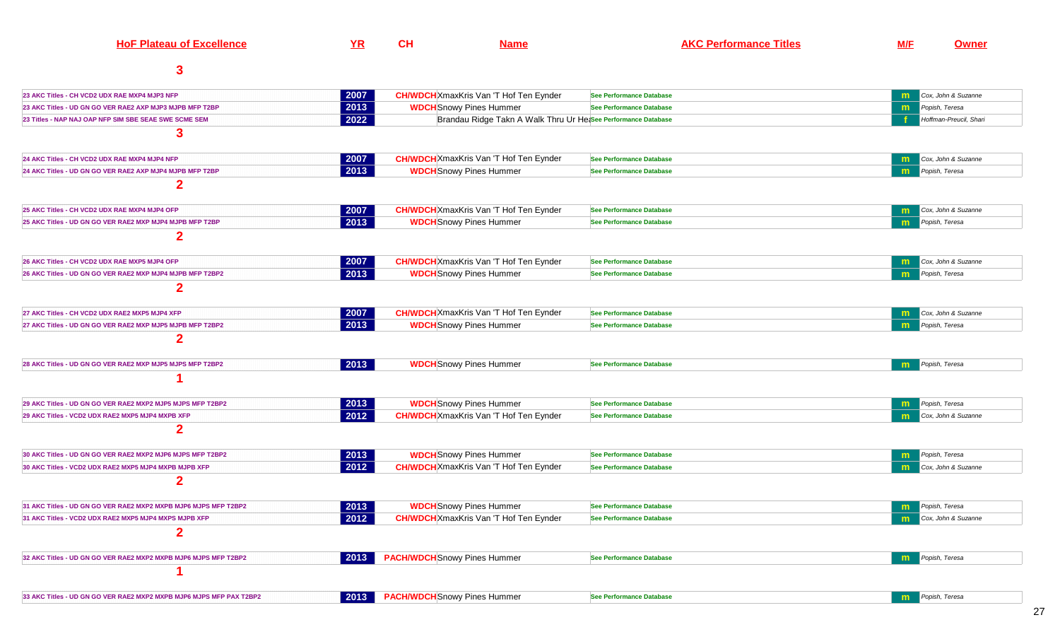| <b>HoF Plateau of Excellence</b>                                    | YR                                                             | <b>CH</b> | <b>Name</b>                                                   |                                 | <b>AKC Performance Titles</b> | M/F          | <b>Owner</b>           |
|---------------------------------------------------------------------|----------------------------------------------------------------|-----------|---------------------------------------------------------------|---------------------------------|-------------------------------|--------------|------------------------|
| 3                                                                   |                                                                |           |                                                               |                                 |                               |              |                        |
| 23 AKC Titles - CH VCD2 UDX RAE MXP4 MJP3 NFP                       | 2007                                                           |           | <b>CH/WDCH</b> XmaxKris Van 'T Hof Ten Eynder                 | <b>See Performance Database</b> |                               |              | Cox, John & Suzanne    |
| 23 AKC Titles - UD GN GO VER RAE2 AXP MJP3 MJPB MFP T2BP            | 2013                                                           |           | <b>WDCH</b> Snowy Pines Hummer                                | <b>See Performance Database</b> |                               | m            | Popish, Teresa         |
| 23 Titles - NAP NAJ OAP NFP SIM SBE SEAE SWE SCME SEM               | 2022                                                           |           | Brandau Ridge Takn A Walk Thru Ur HetSee Performance Database |                                 |                               |              | Hoffman-Preucil, Shari |
| 3                                                                   |                                                                |           |                                                               |                                 |                               |              |                        |
| 24 AKC Titles - CH VCD2 UDX RAE MXP4 MJP4 NFP                       | 2007                                                           |           | <b>CH/WDCH</b> XmaxKris Van 'T Hof Ten Eynder                 | See Performance Database        |                               | m            | Cox, John & Suzanne    |
| 24 AKC Titles - UD GN GO VER RAE2 AXP MJP4 MJPB MFP T2BP            | $\boxed{2013}$                                                 |           | <b>WDCH</b> Snowy Pines Hummer                                | See Performance Database        |                               | m            | Popish, Teresa         |
| $\mathbf 2$                                                         |                                                                |           |                                                               |                                 |                               |              |                        |
| 25 AKC Titles - CH VCD2 UDX RAE MXP4 MJP4 OFP                       | 2007                                                           |           | <b>CH/WDCH</b> XmaxKris Van 'T Hof Ten Eynder                 | See Performance Database        |                               | m            | Cox, John & Suzanne    |
| 25 AKC Titles - UD GN GO VER RAE2 MXP MJP4 MJPB MFP T2BP            | 2013                                                           |           | <b>WDCH</b> Snowy Pines Hummer                                | <b>See Performance Database</b> |                               | m            | Popish, Teresa         |
| $\mathbf 2$                                                         |                                                                |           |                                                               |                                 |                               |              |                        |
| 26 AKC Titles - CH VCD2 UDX RAE MXP5 MJP4 OFP                       | 2007                                                           |           | <b>CH/WDCH</b> XmaxKris Van 'T Hof Ten Eynder                 | <b>See Performance Database</b> |                               | m            | Cox, John & Suzanne    |
| 26 AKC Titles - UD GN GO VER RAE2 MXP MJP4 MJPB MFP T2BP2           | 2013                                                           |           | <b>WDCH</b> Snowy Pines Hummer                                | <b>See Performance Database</b> |                               |              | Popish, Teresa         |
| $\mathbf 2$                                                         |                                                                |           |                                                               |                                 |                               |              |                        |
| 27 AKC Titles - CH VCD2 UDX RAE2 MXP5 MJP4 XFP                      | 2007                                                           |           | <b>CH/WDCH</b> XmaxKris Van 'T Hof Ten Eynder                 | <b>See Performance Database</b> |                               | $\mathbf{m}$ | Cox, John & Suzanne    |
| 27 AKC Titles - UD GN GO VER RAE2 MXP MJP5 MJPB MFP T2BP2           | 2013                                                           |           | <b>WDCH</b> Snowy Pines Hummer                                | <b>See Performance Database</b> |                               | m            | Popish, Teresa         |
| $\overline{2}$                                                      |                                                                |           |                                                               |                                 |                               |              |                        |
| 28 AKC Titles - UD GN GO VER RAE2 MXP MJP5 MJPS MFP T2BP2           | 2013                                                           |           | <b>WDCH</b> Snowy Pines Hummer                                | <b>See Performance Database</b> |                               | m            | Popish, Teresa         |
|                                                                     |                                                                |           |                                                               |                                 |                               |              |                        |
| 29 AKC Titles - UD GN GO VER RAE2 MXP2 MJP5 MJPS MFP T2BP2          | $ 2013\rangle$                                                 |           | <b>WDCH</b> Snowy Pines Hummer                                | <b>See Performance Database</b> |                               | m            | Popish, Teresa         |
| 29 AKC Titles - VCD2 UDX RAE2 MXP5 MJP4 MXPB XFP                    | 2012                                                           |           | <b>CH/WDCH</b> XmaxKris Van 'T Hof Ten Eynder                 | <b>See Performance Database</b> |                               |              | Cox, John & Suzanne    |
| $\mathbf 2$                                                         |                                                                |           |                                                               |                                 |                               |              |                        |
| 30 AKC Titles - UD GN GO VER RAE2 MXP2 MJP6 MJPS MFP T2BP2          | $ 2013\rangle$                                                 |           | <b>WDCH</b> Snowy Pines Hummer                                | <b>See Performance Database</b> |                               | m            | Popish, Teresa         |
| 30 AKC Titles - VCD2 UDX RAE2 MXP5 MJP4 MXPB MJPB XFP               | 2012                                                           |           | <b>CH/WDCH</b> XmaxKris Van 'T Hof Ten Eynder                 | <b>See Performance Database</b> |                               | m            | Cox, John & Suzanne    |
| $\mathbf{2}$                                                        |                                                                |           |                                                               |                                 |                               |              |                        |
| 31 AKC Titles - UD GN GO VER RAE2 MXP2 MXPB MJP6 MJPS MFP T2BP2     | $\begin{array}{ c c c }\n\hline\n2013 & \\\hline\n\end{array}$ |           | <b>WDCH</b> Snowy Pines Hummer                                | <b>See Performance Database</b> |                               | m            | Popish, Teresa         |
| 31 AKC Titles - VCD2 UDX RAE2 MXP5 MJP4 MXPS MJPB XFP               | $2012$                                                         |           | <b>CH/WDCH</b> XmaxKris Van 'T Hof Ten Eynder                 | <b>See Performance Database</b> |                               | m            | Cox, John & Suzanne    |
| $\mathbf{2}$                                                        |                                                                |           |                                                               |                                 |                               |              |                        |
| 32 AKC Titles - UD GN GO VER RAE2 MXP2 MXPB MJP6 MJPS MFP T2BP2     | $\vert$ 2013 $\vert$                                           |           | <b>PACH/WDCH</b> Snowy Pines Hummer                           | <b>See Performance Database</b> |                               | m            | Popish, Teresa         |
|                                                                     |                                                                |           |                                                               |                                 |                               |              |                        |
| 33 AKC Titles - UD GN GO VER RAE2 MXP2 MXPB MJP6 MJPS MFP PAX T2BP2 | 2013                                                           |           | <b>PACH/WDCH</b> Snowy Pines Hummer                           | <b>See Performance Database</b> |                               | m            | Popish, Teresa         |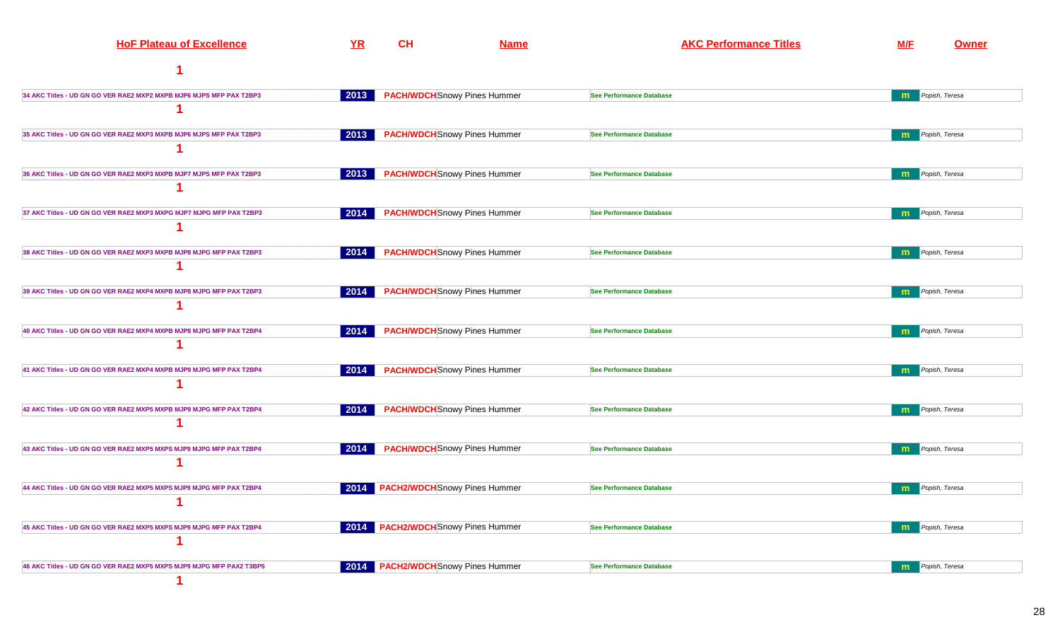| <b>HoF Plateau of Excellence</b>                                     | YR                   | <b>CH</b>                                 | <b>Name</b> | <b>AKC Performance Titles</b>   | <b>M/F</b>   | Owner          |
|----------------------------------------------------------------------|----------------------|-------------------------------------------|-------------|---------------------------------|--------------|----------------|
|                                                                      |                      |                                           |             |                                 |              |                |
| 34 AKC Titles - UD GN GO VER RAE2 MXP2 MXPB MJP6 MJPS MFP PAX T2BP3  | $\vert$ 2013 $\vert$ | <b>PACH/WDCH</b> Snowy Pines Hummer       |             | <b>See Performance Database</b> | m            | Popish, Teresa |
|                                                                      |                      |                                           |             |                                 |              |                |
| 35 AKC Titles - UD GN GO VER RAE2 MXP3 MXPB MJP6 MJPS MFP PAX T2BP3  | 2013                 | <b>PACH/WDCH</b> Snowy Pines Hummer       |             | See Performance Database        | $\mathbf{m}$ | Popish, Teresa |
|                                                                      |                      |                                           |             |                                 |              |                |
| 36 AKC Titles - UD GN GO VER RAE2 MXP3 MXPB MJP7 MJPS MFP PAX T2BP3  | 2013                 | <b>PACH/WDCH</b> Snowy Pines Hummer       |             | See Performance Database        | $\mathbf{m}$ | Popish, Teresa |
|                                                                      |                      |                                           |             |                                 |              |                |
| 37 AKC Titles - UD GN GO VER RAE2 MXP3 MXPG MJP7 MJPG MFP PAX T2BP3  | 2014                 | <b>PACH/WDCH</b> Snowy Pines Hummer       |             | <b>See Performance Database</b> | m            | Popish, Teresa |
|                                                                      |                      |                                           |             |                                 |              |                |
| 38 AKC Titles - UD GN GO VER RAE2 MXP3 MXPB MJP8 MJPG MFP PAX T2BP3  | 2014                 | <b>PACH/WDCH</b> Snowy Pines Hummer       |             | See Performance Database        | $\mathbf{m}$ | Popish, Teresa |
|                                                                      |                      |                                           |             |                                 |              |                |
| 39 AKC Titles - UD GN GO VER RAE2 MXP4 MXPB MJP8 MJPG MFP PAX T2BP3  | 2014                 | <b>PACH/WDCH</b> Snowy Pines Hummer       |             | <b>See Performance Database</b> | m            | Popish, Teresa |
|                                                                      |                      |                                           |             |                                 |              |                |
| 40 AKC Titles - UD GN GO VER RAE2 MXP4 MXPB MJP8 MJPG MFP PAX T2BP4  | 2014                 | <b>PACH/WDCH</b> Snowy Pines Hummer       |             | <b>See Performance Database</b> | $\mathbf{m}$ | Popish, Teresa |
|                                                                      |                      |                                           |             |                                 |              |                |
| 41 AKC Titles - UD GN GO VER RAE2 MXP4 MXPB MJP9 MJPG MFP PAX T2BP4  | 2014                 | <b>PACH/WDCH</b> Snowy Pines Hummer       |             | <b>See Performance Database</b> | m            | Popish, Teresa |
|                                                                      |                      |                                           |             |                                 |              |                |
| 42 AKC Titles - UD GN GO VER RAE2 MXP5 MXPB MJP9 MJPG MFP PAX T2BP4  | 2014                 | <b>PACH/WDCH</b> Snowy Pines Hummer       |             | <b>See Performance Database</b> | m            | Popish, Teresa |
|                                                                      |                      |                                           |             |                                 |              |                |
| 43 AKC Titles - UD GN GO VER RAE2 MXP5 MXPS MJP9 MJPG MFP PAX T2BP4  | 2014                 | <b>PACH/WDCH</b> Snowy Pines Hummer       |             | <b>See Performance Database</b> | $\mathbf{m}$ | Popish, Teresa |
|                                                                      |                      |                                           |             |                                 |              |                |
| 44 AKC Titles - UD GN GO VER RAE2 MXP5 MXPS MJP9 MJPG MFP PAX T2BP4  |                      | 2014 PACH2/WDCH Snowy Pines Hummer        |             | See Performance Database        | m            | Popish, Teresa |
|                                                                      |                      |                                           |             |                                 |              |                |
| 45 AKC Titles - UD GN GO VER RAE2 MXP5 MXPS MJP9 MJPG MFP PAX T2BP4  |                      | <b>2014 PACH2/WDCH</b> Snowy Pines Hummer |             | See Performance Database        | m            | Popish, Teresa |
|                                                                      |                      |                                           |             |                                 |              |                |
| 46 AKC Titles - UD GN GO VER RAE2 MXP5 MXPS MJP9 MJPG MFP PAX2 T3BP5 |                      | 2014 PACH2/WDCH Snowy Pines Hummer        |             | <b>See Performance Database</b> | m            | Popish, Teresa |
|                                                                      |                      |                                           |             |                                 |              |                |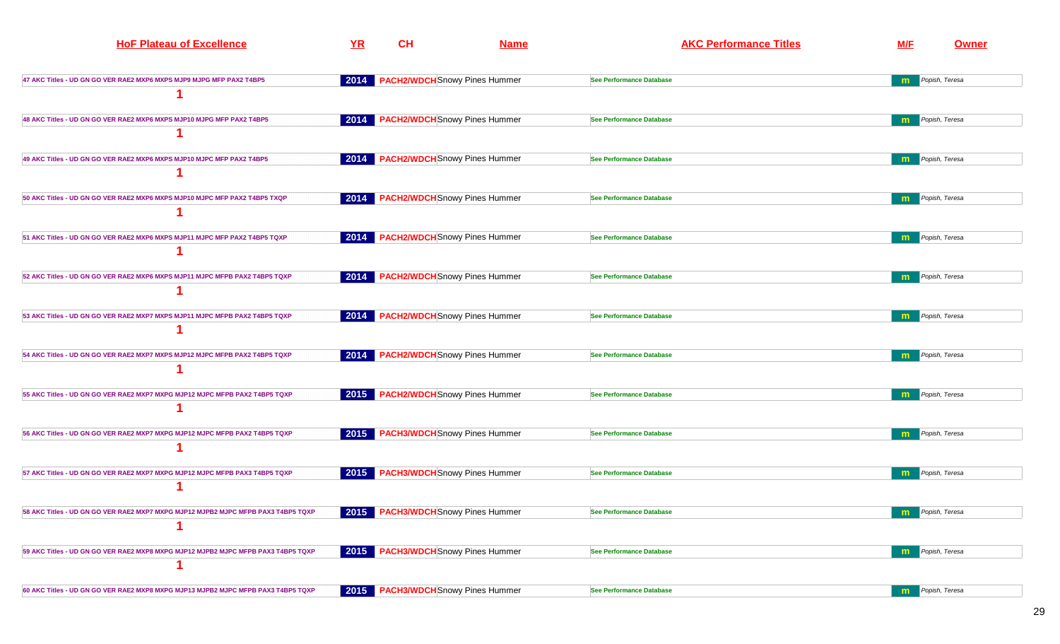| <b>HoF Plateau of Excellence</b>                                                  | YR                   | CH                                   | <b>Name</b> | <b>AKC Performance Titles</b>   | M/F          | <b>Owner</b>            |
|-----------------------------------------------------------------------------------|----------------------|--------------------------------------|-------------|---------------------------------|--------------|-------------------------|
| 47 AKC Titles - UD GN GO VER RAE2 MXP6 MXPS MJP9 MJPG MFP PAX2 T4BP5              | 2014                 | <b>PACH2/WDCH</b> Snowy Pines Hummer |             | <b>See Performance Database</b> |              | Popish, Teresa          |
|                                                                                   |                      |                                      |             |                                 |              |                         |
| 48 AKC Titles - UD GN GO VER RAE2 MXP6 MXPS MJP10 MJPG MFP PAX2 T4BP5             | 2014                 | <b>PACH2/WDCH</b> Snowy Pines Hummer |             | <b>See Performance Database</b> | m            | Popish, Teresa          |
|                                                                                   |                      |                                      |             |                                 |              |                         |
| 49 AKC Titles - UD GN GO VER RAE2 MXP6 MXPS MJP10 MJPC MFP PAX2 T4BP5             | 2014                 | <b>PACH2/WDCH</b> Snowy Pines Hummer |             | <b>See Performance Database</b> | m            | Popish, Teresa          |
|                                                                                   |                      |                                      |             |                                 |              |                         |
| 50 AKC Titles - UD GN GO VER RAE2 MXP6 MXPS MJP10 MJPC MFP PAX2 T4BP5 TXQP        |                      | 2014 PACH2/WDCH Snowy Pines Hummer   |             | <b>See Performance Database</b> | $\mathbf{m}$ | Popish, Teresa          |
|                                                                                   |                      |                                      |             |                                 |              |                         |
| 51 AKC Titles - UD GN GO VER RAE2 MXP6 MXPS MJP11 MJPC MFP PAX2 T4BP5 TQXP        | $\vert$ 2014 $\vert$ | <b>PACH2/WDCH</b> Snowy Pines Hummer |             | <b>See Performance Database</b> | m            | Popish, Teresa          |
|                                                                                   |                      |                                      |             |                                 |              |                         |
| 52 AKC Titles - UD GN GO VER RAE2 MXP6 MXPS MJP11 MJPC MFPB PAX2 T4BP5 TQXP       |                      | 2014 PACH2/WDCH Snowy Pines Hummer   |             | <b>See Performance Database</b> | m            | Popish, Teresa          |
|                                                                                   |                      |                                      |             |                                 |              |                         |
| 53 AKC Titles - UD GN GO VER RAE2 MXP7 MXPS MJP11 MJPC MFPB PAX2 T4BP5 TQXP       | 2014                 | <b>PACH2/WDCH</b> Snowy Pines Hummer |             | <b>See Performance Database</b> | m            | Popish, Teresa          |
|                                                                                   |                      |                                      |             |                                 |              |                         |
| 54 AKC Titles - UD GN GO VER RAE2 MXP7 MXPS MJP12 MJPC MFPB PAX2 T4BP5 TQXP       |                      | 2014 PACH2/WDCH Snowy Pines Hummer   |             | <b>See Performance Database</b> | m            | Popish, Teresa          |
|                                                                                   |                      |                                      |             |                                 |              |                         |
| 55 AKC Titles - UD GN GO VER RAE2 MXP7 MXPG MJP12 MJPC MFPB PAX2 T4BP5 TQXP       |                      | 2015 PACH2/WDCH Snowy Pines Hummer   |             | <b>See Performance Database</b> | m            | Popish, Teresa          |
|                                                                                   |                      |                                      |             |                                 |              |                         |
| 56 AKC Titles - UD GN GO VER RAE2 MXP7 MXPG MJP12 MJPC MFPB PAX2 T4BP5 TQXP       |                      | 2015 PACH3/WDCH Snowy Pines Hummer   |             | <b>See Performance Database</b> |              | Popish, Teresa          |
| 57 AKC Titles - UD GN GO VER RAE2 MXP7 MXPG MJP12 MJPC MFPB PAX3 T4BP5 TQXP       | 2015                 | <b>PACH3/WDCH</b> Snowy Pines Hummer |             | <b>See Performance Database</b> | m            | Popish, Teresa          |
|                                                                                   |                      |                                      |             |                                 |              |                         |
| 58 AKC Titles - UD GN GO VER RAE2 MXP7 MXPG MJP12 MJPB2 MJPC MFPB PAX3 T4BP5 TQXP |                      | 2015 PACH3/WDCH Snowy Pines Hummer   |             | <b>See Performance Database</b> | m            | Popish, Teresa          |
|                                                                                   |                      |                                      |             |                                 |              |                         |
| 59 AKC Titles - UD GN GO VER RAE2 MXP8 MXPG MJP12 MJPB2 MJPC MFPB PAX3 T4BP5 TQXP |                      | 2015 PACH3/WDCH Snowy Pines Hummer   |             | <b>See Performance Database</b> |              | <b>m</b> Popish, Teresa |
|                                                                                   |                      |                                      |             |                                 |              |                         |
| 60 AKC Titles - UD GN GO VER RAE2 MXP8 MXPG MJP13 MJPB2 MJPC MFPB PAX3 T4BP5 TQXP |                      | 2015 PACH3/WDCH Snowy Pines Hummer   |             | <b>See Performance Database</b> | m            | Popish, Teresa          |
|                                                                                   |                      |                                      |             |                                 |              |                         |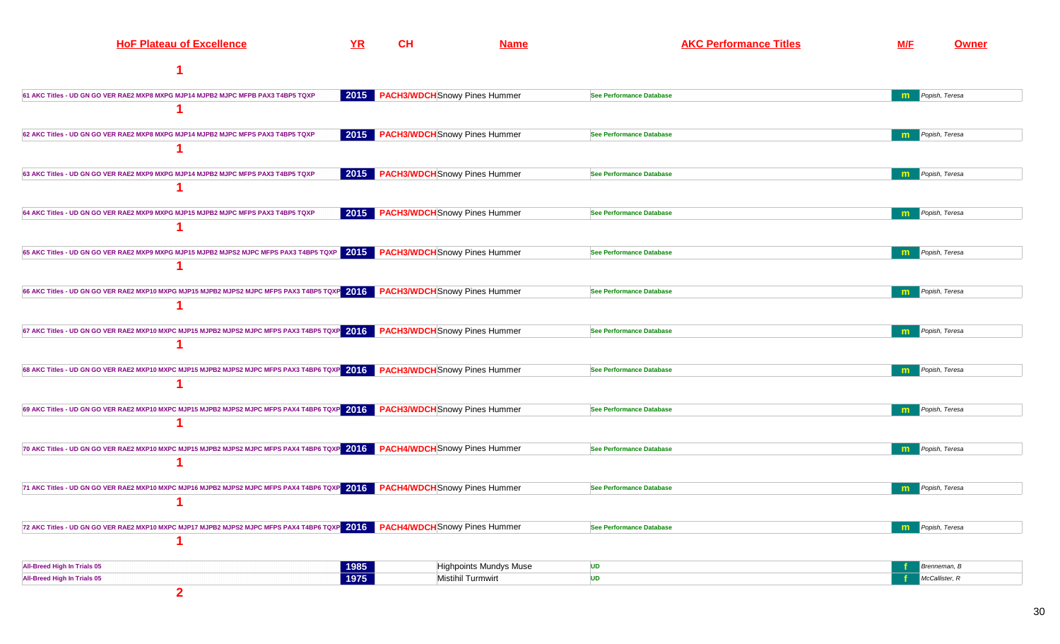| <b>HoF Plateau of Excellence</b>                                                                                            | YR   | <b>CH</b> | <b>Name</b>                        | <b>AKC Performance Titles</b>   | <b>M/F</b>   | <b>Owner</b>   |
|-----------------------------------------------------------------------------------------------------------------------------|------|-----------|------------------------------------|---------------------------------|--------------|----------------|
|                                                                                                                             |      |           |                                    |                                 |              |                |
| 61 AKC Titles - UD GN GO VER RAE2 MXP8 MXPG MJP14 MJPB2 MJPC MFPB PAX3 T4BP5 TQXP                                           |      |           | 2015 PACH3/WDCH Snowy Pines Hummer | <b>See Performance Database</b> | $\mathbf{m}$ | Popish, Teresa |
|                                                                                                                             |      |           |                                    |                                 |              |                |
| 62 AKC Titles - UD GN GO VER RAE2 MXP8 MXPG MJP14 MJPB2 MJPC MFPS PAX3 T4BP5 TQXP                                           |      |           | 2015 PACH3/WDCH Snowy Pines Hummer | <b>See Performance Database</b> | m            | Popish, Teresa |
|                                                                                                                             |      |           |                                    |                                 |              |                |
| 63 AKC Titles - UD GN GO VER RAE2 MXP9 MXPG MJP14 MJPB2 MJPC MFPS PAX3 T4BP5 TQXP                                           |      |           | 2015 PACH3/WDCH Snowy Pines Hummer | <b>See Performance Database</b> | m            | Popish, Teresa |
|                                                                                                                             |      |           |                                    |                                 |              |                |
| 64 AKC Titles - UD GN GO VER RAE2 MXP9 MXPG MJP15 MJPB2 MJPC MFPS PAX3 T4BP5 TQXP                                           |      |           | 2015 PACH3/WDCH Snowy Pines Hummer | <b>See Performance Database</b> | m            | Popish, Teresa |
|                                                                                                                             |      |           |                                    |                                 |              |                |
| 65 AKC Titles - UD GN GO VER RAE2 MXP9 MXPG MJP15 MJPB2 MJPS2 MJPC MFPS PAX3 T4BP5 TQXP 2015 PACH3/WDCHShowy Pines Hummer   |      |           |                                    | <b>See Performance Database</b> | $\mathbf{m}$ | Popish, Teresa |
|                                                                                                                             |      |           |                                    |                                 |              |                |
| 66 AKC Titles - UD GN GO VER RAE2 MXP10 MXPG MJP15 MJPB2 MJPS2 MJPC MFPS PAX3 T4BP5 TQXP 2016 PACH3/WDCHShowy Pines Hummer  |      |           |                                    | <b>See Performance Database</b> | m            | Popish, Teresa |
|                                                                                                                             |      |           |                                    |                                 |              |                |
| 67 AKC Titles - UD GN GO VER RAE2 MXP10 MXPC MJP15 MJPB2 MJPS2 MJPC MFPS PAX3 T4BP5 TQXP 2016 PACH3/WDCHShowy Pines Hummer  |      |           |                                    | <b>See Performance Database</b> | $\mathbf{m}$ | Popish, Teresa |
|                                                                                                                             |      |           |                                    |                                 |              |                |
| 68 AKC Titles - UD GN GO VER RAE2 MXP10 MXPC MJP15 MJPB2 MJPS2 MJPC MFPS PAX3 T4BP6 TQXP 2016 PACH3/WDCH Snowy Pines Hummer |      |           |                                    | <b>See Performance Database</b> | m            | Popish, Teresa |
|                                                                                                                             |      |           |                                    |                                 |              |                |
| 69 AKC Titles - UD GN GO VER RAE2 MXP10 MXPC MJP15 MJPB2 MJPS2 MJPC MFPS PAX4 T4BP6 TQXP 2016 PACH3/WDCHSnowy Pines Hummer  |      |           |                                    | <b>See Performance Database</b> | m            | Popish, Teresa |
|                                                                                                                             |      |           |                                    |                                 |              |                |
| 70 AKC Titles - UD GN GO VER RAE2 MXP10 MXPC MJP15 MJPB2 MJPS2 MJPC MFPS PAX4 T4BP6 TQXP 2016 PACH4/WDCHShowy Pines Hummer  |      |           |                                    | <b>See Performance Database</b> | m            | Popish, Teresa |
|                                                                                                                             |      |           |                                    |                                 |              |                |
| 71 AKC Titles - UD GN GO VER RAE2 MXP10 MXPC MJP16 MJPB2 MJPS2 MJPC MFPS PAX4 T4BP6 TQXP 2016 PACH4/WDCHSnowy Pines Hummer  |      |           |                                    | See Performance Database        |              | Popish, Teresa |
|                                                                                                                             |      |           |                                    |                                 |              |                |
| 72 AKC Titles - UD GN GO VER RAE2 MXP10 MXPC MJP17 MJPB2 MJPS2 MJPC MFPS PAX4 T4BP6 TQXP 2016 PACH4/WDCHShowy Pines Hummer  |      |           |                                    | <b>See Performance Database</b> | m            | Popish, Teresa |
|                                                                                                                             |      |           |                                    |                                 |              |                |
| All-Breed High In Trials 05                                                                                                 | 1985 |           | Highpoints Mundys Muse             | <b>UD</b>                       |              | Brenneman, B   |
| All-Breed High In Trials 05                                                                                                 | 1975 |           | <b>Mistihil Turmwirt</b>           | <b>UD</b>                       |              | McCallister, R |
| $\overline{2}$                                                                                                              |      |           |                                    |                                 |              |                |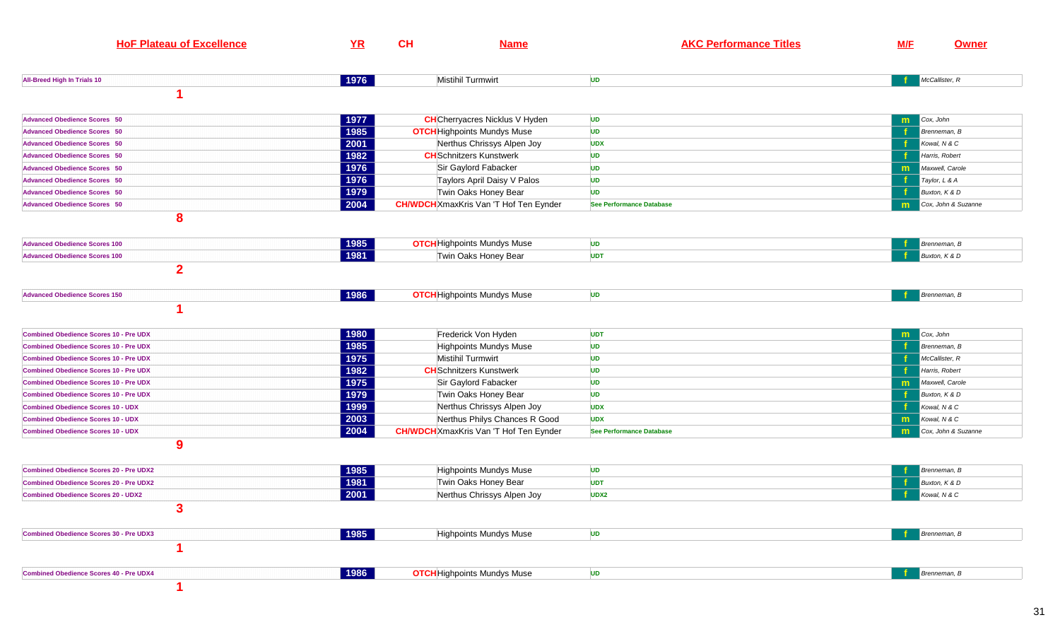| <b>HoF Plateau of Excellence</b>               | YR   | CH<br><b>Name</b>                             | <b>AKC Performance Titles</b>   | <b>M/F</b><br><b>Owner</b> |
|------------------------------------------------|------|-----------------------------------------------|---------------------------------|----------------------------|
| All-Breed High In Trials 10                    | 1976 | Mistihil Turmwirt                             | <b>UD</b>                       | McCallister, R             |
|                                                |      |                                               |                                 |                            |
| <b>Advanced Obedience Scores 50</b>            | 1977 | <b>CH</b> Cherryacres Nicklus V Hyden         | <b>UD</b>                       | Cox, John<br>m             |
| <b>Advanced Obedience Scores 50</b>            | 1985 | <b>OTCH</b> Highpoints Mundys Muse            | <b>UD</b>                       | Brenneman, B               |
| <b>Advanced Obedience Scores 50</b>            | 2001 | Nerthus Chrissys Alpen Joy                    | <b>UDX</b>                      | Kowal, N & C               |
| <b>Advanced Obedience Scores 50</b>            | 1982 | <b>CH</b> Schnitzers Kunstwerk                | <b>UD</b>                       | Harris, Robert             |
| <b>Advanced Obedience Scores 50</b>            | 1976 | Sir Gaylord Fabacker                          | <b>UD</b>                       | Maxwell, Carole<br>m       |
| <b>Advanced Obedience Scores 50</b>            | 1976 | Taylors April Daisy V Palos                   | <b>UD</b>                       | Taylor, L & A              |
| <b>Advanced Obedience Scores 50</b>            | 1979 | Twin Oaks Honey Bear                          | <b>UD</b>                       | Buxton, K & D              |
| <b>Advanced Obedience Scores 50</b>            | 2004 | <b>CH/WDCH</b> XmaxKris Van 'T Hof Ten Eynder | See Performance Database        | Cox, John & Suzanne<br>m   |
| 8                                              |      |                                               |                                 |                            |
| <b>Advanced Obedience Scores 100</b>           | 1985 | <b>OTCH</b> Highpoints Mundys Muse            | <b>UD</b>                       | Brenneman, B               |
| <b>Advanced Obedience Scores 100</b>           | 1981 | Twin Oaks Honey Bear                          | <b>UDT</b>                      | Buxton, K & D              |
| $\overline{2}$                                 |      |                                               |                                 |                            |
| <b>Advanced Obedience Scores 150</b>           | 1986 | <b>OTCH</b> Highpoints Mundys Muse            | <b>UD</b>                       | Brenneman, B               |
|                                                |      |                                               |                                 |                            |
| <b>Combined Obedience Scores 10 - Pre UDX</b>  | 1980 | Frederick Von Hyden                           | <b>UDT</b>                      | Cox, John<br>m             |
| <b>Combined Obedience Scores 10 - Pre UDX</b>  | 1985 | Highpoints Mundys Muse                        | <b>UD</b>                       | Brenneman, B               |
| <b>Combined Obedience Scores 10 - Pre UDX</b>  | 1975 | <b>Mistihil Turmwirt</b>                      | <b>UD</b>                       | McCallister, R             |
| <b>Combined Obedience Scores 10 - Pre UDX</b>  | 1982 | <b>CH</b> Schnitzers Kunstwerk                | <b>UD</b>                       | Harris, Robert             |
| <b>Combined Obedience Scores 10 - Pre UDX</b>  | 1975 | Sir Gaylord Fabacker                          | <b>UD</b>                       | Maxwell, Carole<br>m       |
| <b>Combined Obedience Scores 10 - Pre UDX</b>  | 1979 | Twin Oaks Honey Bear                          | <b>UD</b>                       | Buxton, K & D              |
| <b>Combined Obedience Scores 10 - UDX</b>      | 1999 | Nerthus Chrissys Alpen Joy                    | <b>UDX</b>                      | Kowal, N & C               |
| <b>Combined Obedience Scores 10 - UDX</b>      | 2003 | Nerthus Philys Chances R Good                 | <b>UDX</b>                      | Kowal, N & C<br>m          |
| <b>Combined Obedience Scores 10 - UDX</b>      | 2004 | <b>CH/WDCH</b> XmaxKris Van 'T Hof Ten Eynder | <b>See Performance Database</b> | Cox, John & Suzanne<br>m   |
| 9                                              |      |                                               |                                 |                            |
| <b>Combined Obedience Scores 20 - Pre UDX2</b> | 1985 | <b>Highpoints Mundys Muse</b>                 | <b>UD</b>                       | Brenneman, B               |
| <b>Combined Obedience Scores 20 - Pre UDX2</b> | 1981 | Twin Oaks Honey Bear                          | <b>UDT</b>                      | Buxton, K & D              |
| <b>Combined Obedience Scores 20 - UDX2</b>     | 2001 | Nerthus Chrissys Alpen Joy                    | UDX2                            | Kowal, N & C               |
| 3                                              |      |                                               |                                 |                            |
| <b>Combined Obedience Scores 30 - Pre UDX3</b> | 1985 | Highpoints Mundys Muse                        | <b>UD</b>                       | Brenneman, B               |
|                                                |      |                                               |                                 |                            |
| <b>Combined Obedience Scores 40 - Pre UDX4</b> | 1986 | <b>OTCH</b> Highpoints Mundys Muse            | <b>UD</b>                       | Brenneman, B               |
|                                                |      |                                               |                                 |                            |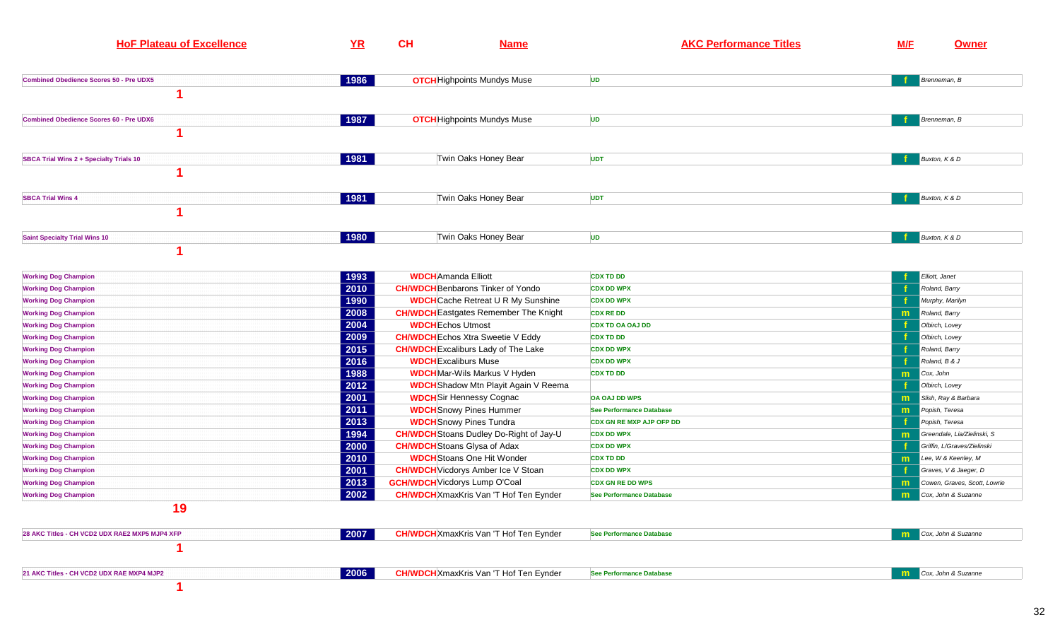| <b>HoF Plateau of Excellence</b>               | $YR$ | <b>CH</b> | <b>Name</b>                                    | <b>AKC Performance Titles</b>   | <b>M/F</b> | <b>Owner</b>                 |
|------------------------------------------------|------|-----------|------------------------------------------------|---------------------------------|------------|------------------------------|
| <b>Combined Obedience Scores 50 - Pre UDX5</b> | 1986 |           | <b>OTCH</b> Highpoints Mundys Muse             | <b>UD</b>                       |            | Brenneman, B                 |
|                                                |      |           |                                                |                                 |            |                              |
| <b>Combined Obedience Scores 60 - Pre UDX6</b> | 1987 |           | <b>OTCH</b> Highpoints Mundys Muse             | <b>UD</b>                       |            | Brenneman, B                 |
|                                                |      |           |                                                |                                 |            |                              |
| <b>SBCA Trial Wins 2 + Specialty Trials 10</b> | 1981 |           | Twin Oaks Honey Bear                           | <b>UDT</b>                      |            | Buxton, K & D                |
|                                                |      |           |                                                |                                 |            |                              |
| <b>SBCA Trial Wins 4</b>                       | 1981 |           | Twin Oaks Honey Bear                           | <b>UDT</b>                      |            | Buxton, K & D                |
|                                                |      |           |                                                |                                 |            |                              |
| <b>Saint Specialty Trial Wins 10</b>           | 1980 |           | Twin Oaks Honey Bear                           | <b>UD</b>                       |            | Buxton, K & D                |
|                                                |      |           |                                                |                                 |            |                              |
| <b>Working Dog Champion</b>                    | 1993 |           | <b>WDCH</b> Amanda Elliott                     | <b>CDX TD DD</b>                |            | Elliott, Janet               |
| <b>Working Dog Champion</b>                    | 2010 |           | <b>CH/WDCH</b> Benbarons Tinker of Yondo       | <b>CDX DD WPX</b>               |            | Roland, Barry                |
| <b>Working Dog Champion</b>                    | 1990 |           | <b>WDCH</b> Cache Retreat U R My Sunshine      | <b>CDX DD WPX</b>               |            | Murphy, Marilyn              |
| <b>Working Dog Champion</b>                    | 2008 |           | <b>CH/WDCH</b> Eastgates Remember The Knight   | <b>CDX RE DD</b>                | m          | Roland, Barry                |
| <b>Working Dog Champion</b>                    | 2004 |           | <b>WDCH</b> Echos Utmost                       | <b>CDX TD OA OAJ DD</b>         |            | Olbirch, Lovey               |
| <b>Working Dog Champion</b>                    | 2009 |           | <b>CH/WDCH</b> Echos Xtra Sweetie V Eddy       | <b>CDX TD DD</b>                |            | Olbirch, Lovey               |
| <b>Working Dog Champion</b>                    | 2015 |           | <b>CH/WDCH</b> Excaliburs Lady of The Lake     | <b>CDX DD WPX</b>               |            | Roland, Barry                |
| <b>Working Dog Champion</b>                    | 2016 |           | <b>WDCH</b> Excaliburs Muse                    | <b>CDX DD WPX</b>               |            | Roland, B & J                |
| <b>Working Dog Champion</b>                    | 1988 |           | <b>WDCH</b> Mar-Wils Markus V Hyden            | <b>CDX TD DD</b>                | m          | Cox, John                    |
| <b>Working Dog Champion</b>                    | 2012 |           | <b>WDCH</b> Shadow Mtn Playit Again V Reema    |                                 |            | Olbirch, Lovey               |
| <b>Working Dog Champion</b>                    | 2001 |           | <b>WDCH</b> Sir Hennessy Cognac                | <b>OA OAJ DD WPS</b>            | m          | Slish, Ray & Barbara         |
| <b>Working Dog Champion</b>                    | 2011 |           | <b>WDCH</b> Snowy Pines Hummer                 | <b>See Performance Database</b> | m          | Popish, Teresa               |
| <b>Working Dog Champion</b>                    | 2013 |           | <b>WDCH</b> Snowy Pines Tundra                 | <b>CDX GN RE MXP AJP OFP DD</b> |            | Popish, Teresa               |
| <b>Working Dog Champion</b>                    | 1994 |           | <b>CH/WDCH</b> Stoans Dudley Do-Right of Jay-U | <b>CDX DD WPX</b>               | m          | Greendale, Lia/Zielinski, S  |
| <b>Working Dog Champion</b>                    | 2000 |           | <b>CH/WDCH</b> Stoans Glysa of Adax            | <b>CDX DD WPX</b>               |            | Griffin, L/Graves/Zielinski  |
| <b>Working Dog Champion</b>                    | 2010 |           | <b>WDCH</b> Stoans One Hit Wonder              | <b>CDX TD DD</b>                | m          | Lee, W & Keenley, M          |
| <b>Working Dog Champion</b>                    | 2001 |           | <b>CH/WDCH</b> Vicdorys Amber Ice V Stoan      | <b>CDX DD WPX</b>               |            | Graves, V & Jaeger, D        |
| <b>Working Dog Champion</b>                    | 2013 |           | <b>GCH/WDCH</b> Vicdorys Lump O'Coal           | <b>CDX GN RE DD WPS</b>         | m          | Cowen, Graves, Scott, Lowrie |
| <b>Working Dog Champion</b>                    | 2002 |           | <b>CH/WDCH</b> XmaxKris Van 'T Hof Ten Eynder  | <b>See Performance Database</b> | m          | Cox, John & Suzanne          |
| 19                                             |      |           |                                                |                                 |            |                              |
| 28 AKC Titles - CH VCD2 UDX RAE2 MXP5 MJP4 XFP | 2007 |           | <b>CH/WDCH</b> XmaxKris Van 'T Hof Ten Eynder  | <b>See Performance Database</b> |            | Cox, John & Suzanne          |
|                                                |      |           |                                                |                                 |            |                              |
| 21 AKC Titles - CH VCD2 UDX RAE MXP4 MJP2      | 2006 |           | <b>CH/WDCH</b> XmaxKris Van 'T Hof Ten Eynder  | <b>See Performance Database</b> |            | Cox, John & Suzanne          |
|                                                |      |           |                                                |                                 |            |                              |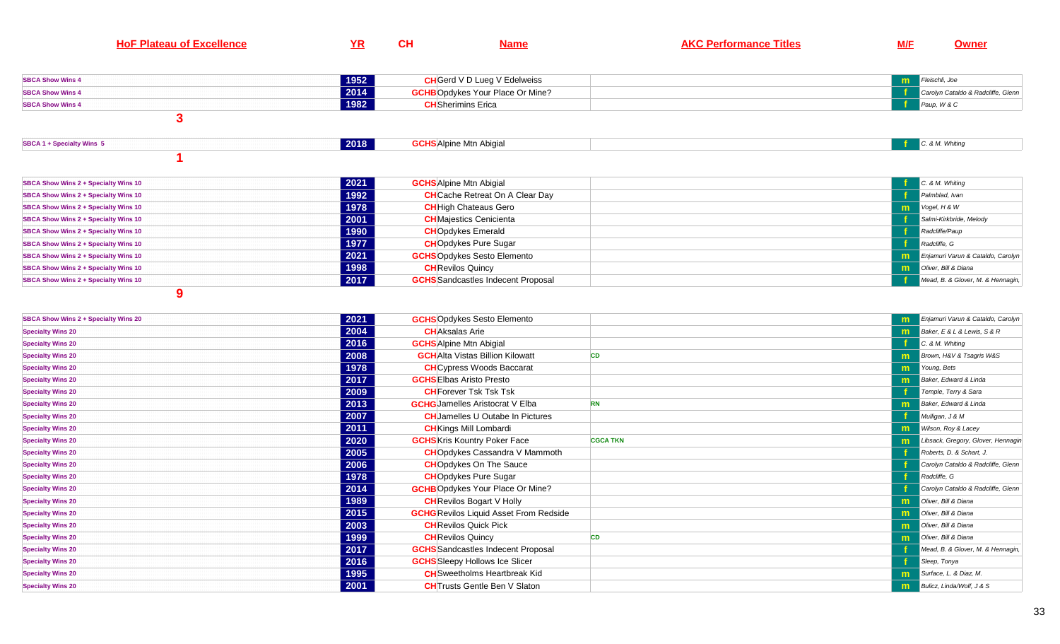| HoF<br>Plateau of<br>чнешсе | YR | ו ו<br>vп | Name | <b>PDARE</b><br><b>Titles</b><br>AKI.<br>--- | M/F | mer |
|-----------------------------|----|-----------|------|----------------------------------------------|-----|-----|
|-----------------------------|----|-----------|------|----------------------------------------------|-----|-----|

| <b>SBCA Show Wins 4</b> | 1952 | <b>CH</b> Gerd V D Lueg V Edelweiss     | <b>Transference</b> Fleischli, Joe |  |
|-------------------------|------|-----------------------------------------|------------------------------------|--|
| <b>SBCA Show Wins 4</b> | 2014 | <b>GCHB</b> Opdykes Your Place Or Mine? | Carolyn Cataldo & Radcliffe, Glenn |  |
| <b>SBCA Show Wins 4</b> | 1982 | <b>CH</b> Sherimins Erica               | Paup, W & C                        |  |
|                         |      |                                         |                                    |  |

| SBCA 1 + Specialty Wins 5 | $\sqrt{2018}$ | <b>GCHS</b> Alpine Mtn Abigial | . & M. Whitina |
|---------------------------|---------------|--------------------------------|----------------|
|                           |               |                                |                |

| SBCA Show Wins 2 + Specialty Wins 10        | 2021 | <b>GCHS</b> Alpine Mtn Abigial            | $C.$ & M. Whiting                 |
|---------------------------------------------|------|-------------------------------------------|-----------------------------------|
| SBCA Show Wins 2 + Specialty Wins 10        | 1992 | <b>CH</b> Cache Retreat On A Clear Day    | Palmblad, Ivan                    |
| <b>SBCA Show Wins 2 + Specialty Wins 10</b> | 1978 | <b>CH</b> High Chateaus Gero              | $V$ ogel, H & W                   |
| <b>SBCA Show Wins 2 + Specialty Wins 10</b> | 2001 | <b>CH</b> Majestics Cenicienta            | Salmi-Kirkbride, Melody           |
| SBCA Show Wins 2 + Specialty Wins 10        | 1990 | <b>CH</b> Opdykes Emerald                 | Radcliffe/Paup                    |
| <b>SBCA Show Wins 2 + Specialty Wins 10</b> | 1977 | <b>CH</b> Opdykes Pure Sugar              | Radcliffe, G                      |
| <b>SBCA Show Wins 2 + Specialty Wins 10</b> | 2021 | <b>GCHS</b> Opdykes Sesto Elemento        | Enjamuri Varun & Cataldo, Carolyn |
| <b>SBCA Show Wins 2 + Specialty Wins 10</b> | 1998 | <b>CH</b> Revilos Quincy                  | Oliver, Bill & Diana              |
| SBCA Show Wins 2 + Specialty Wins 10        | 2017 | <b>GCHS</b> Sandcastles Indecent Proposal | Mead, B. & Glover, M. & Hennagin, |

| SBCA Show Wins 2 + Specialty Wins 20 | 2021 | <b>GCHS</b> Opdykes Sesto Elemento            |                 |    | Enjamuri Varun & Cataldo, Carolyn  |
|--------------------------------------|------|-----------------------------------------------|-----------------|----|------------------------------------|
| <b>Specialty Wins 20</b>             | 2004 | <b>CH</b> Aksalas Arie                        |                 | m. | Baker, E & L & Lewis, S & R        |
| <b>Specialty Wins 20</b>             | 2016 | <b>GCHS</b> Alpine Mtn Abigial                |                 |    | C. & M. Whiting                    |
| <b>Specialty Wins 20</b>             | 2008 | <b>GCH</b> Alta Vistas Billion Kilowatt       | <b>CD</b>       |    | Brown, H&V & Tsagris W&S           |
| <b>Specialty Wins 20</b>             | 1978 | <b>CH</b> Cypress Woods Baccarat              |                 | m. | Young, Bets                        |
| <b>Specialty Wins 20</b>             | 2017 | <b>GCHS</b> Elbas Aristo Presto               |                 | m  | Baker, Edward & Linda              |
| <b>Specialty Wins 20</b>             | 2009 | <b>CH</b> Forever Tsk Tsk Tsk                 |                 |    | Temple, Terry & Sara               |
| <b>Specialty Wins 20</b>             | 2013 | <b>GCHG</b> Jamelles Aristocrat V Elba        | <b>RN</b>       | m  | Baker, Edward & Linda              |
| <b>Specialty Wins 20</b>             | 2007 | <b>CH</b> Jamelles U Outabe In Pictures       |                 |    | Mulligan, J & M                    |
| <b>Specialty Wins 20</b>             | 2011 | <b>CH</b> Kings Mill Lombardi                 |                 | m. | Wilson, Roy & Lacey                |
| <b>Specialty Wins 20</b>             | 2020 | <b>GCHS</b> Kris Kountry Poker Face           | <b>CGCA TKN</b> |    | Libsack, Gregory, Glover, Hennagin |
| <b>Specialty Wins 20</b>             | 2005 | <b>CH</b> Opdykes Cassandra V Mammoth         |                 |    | Roberts, D. & Schart, J.           |
| <b>Specialty Wins 20</b>             | 2006 | <b>CHO</b> pdykes On The Sauce                |                 |    | Carolyn Cataldo & Radcliffe, Glenn |
| <b>Specialty Wins 20</b>             | 1978 | <b>CH</b> Opdykes Pure Sugar                  |                 |    | Radcliffe, G                       |
| <b>Specialty Wins 20</b>             | 2014 | <b>GCHB</b> Opdykes Your Place Or Mine?       |                 |    | Carolyn Cataldo & Radcliffe, Glenn |
| <b>Specialty Wins 20</b>             | 1989 | <b>CH</b> Revilos Bogart V Holly              |                 | m. | Oliver, Bill & Diana               |
| <b>Specialty Wins 20</b>             | 2015 | <b>GCHG</b> Revilos Liquid Asset From Redside |                 |    | Oliver, Bill & Diana               |
| <b>Specialty Wins 20</b>             | 2003 | <b>CH</b> Revilos Quick Pick                  |                 | m. | Oliver, Bill & Diana               |
| <b>Specialty Wins 20</b>             | 1999 | <b>CH</b> Revilos Quincy                      | <b>CD</b>       | m. | Oliver, Bill & Diana               |
| <b>Specialty Wins 20</b>             | 2017 | <b>GCHS</b> Sandcastles Indecent Proposal     |                 |    | Mead, B. & Glover, M. & Hennagin,  |
| <b>Specialty Wins 20</b>             | 2016 | <b>GCHS</b> Sleepy Hollows Ice Slicer         |                 |    | Sleep, Tonya                       |
| <b>Specialty Wins 20</b>             | 1995 | <b>CH</b> Sweetholms Heartbreak Kid           |                 | m  | Surface, L. & Diaz, M.             |
| <b>Specialty Wins 20</b>             | 2001 | <b>CH</b> Trusts Gentle Ben V Slaton          |                 | m  | Bulicz, Linda/Wolf, J & S          |